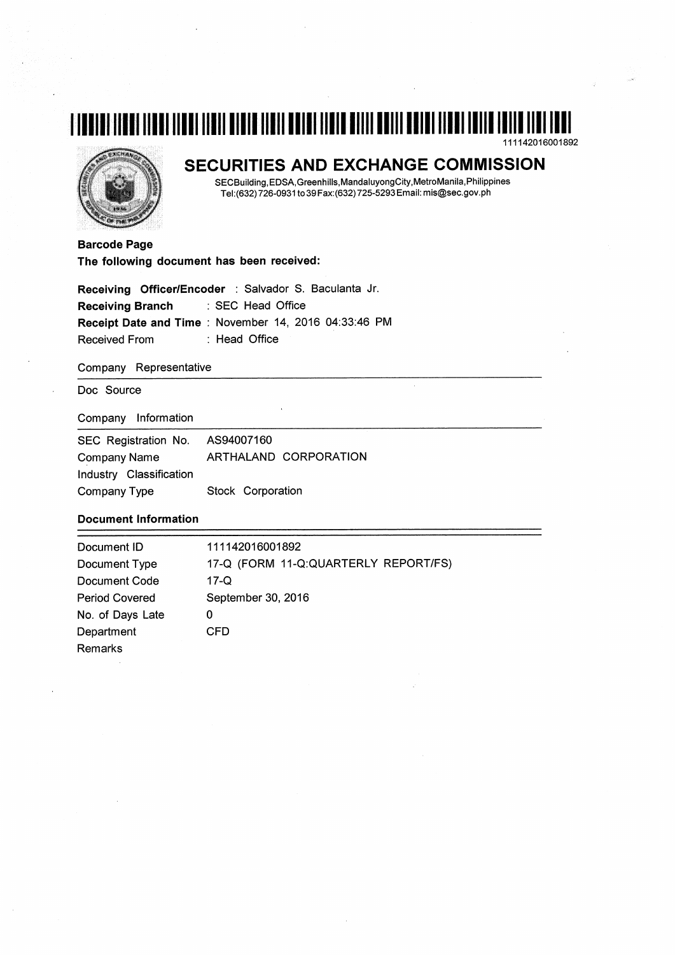# T TUNIT TIRNI TINNI TINNI TINIT NINTH TINIT HUTU TININ TININ MITTI HUTU HUTU TINNI TINIT TUTTU TINI TINI TI 111142016001892



# SECURITIES AND EXCHANGE COMMISSION

SECBuilding, EDSA, Greenhills, Mandaluyong City, MetroManila, Philippines Tel:(632) 726-0931 to 39 Fax:(632) 725-5293 Email: mis@sec.gov.ph

**Barcode Page** The following document has been received:

|                  | Receiving Officer/Encoder : Salvador S. Baculanta Jr. |
|------------------|-------------------------------------------------------|
| Receiving Branch | : SEC Head Office                                     |
|                  | Receipt Date and Time: November 14, 2016 04:33:46 PM  |
| Received From    | : Head Office                                         |

#### Company Representative

Doc Source

Company Information

| SEC Registration No.    | AS94007160            |
|-------------------------|-----------------------|
| <b>Company Name</b>     | ARTHALAND CORPORATION |
| Industry Classification |                       |
| Company Type            | Stock Corporation     |

#### **Document Information**

| Document ID           | 111142016001892                      |
|-----------------------|--------------------------------------|
| Document Type         | 17-Q (FORM 11-Q:QUARTERLY REPORT/FS) |
| Document Code         | 17-Q                                 |
| <b>Period Covered</b> | September 30, 2016                   |
| No. of Days Late      | 0                                    |
| Department            | CFD                                  |
| Remarks               |                                      |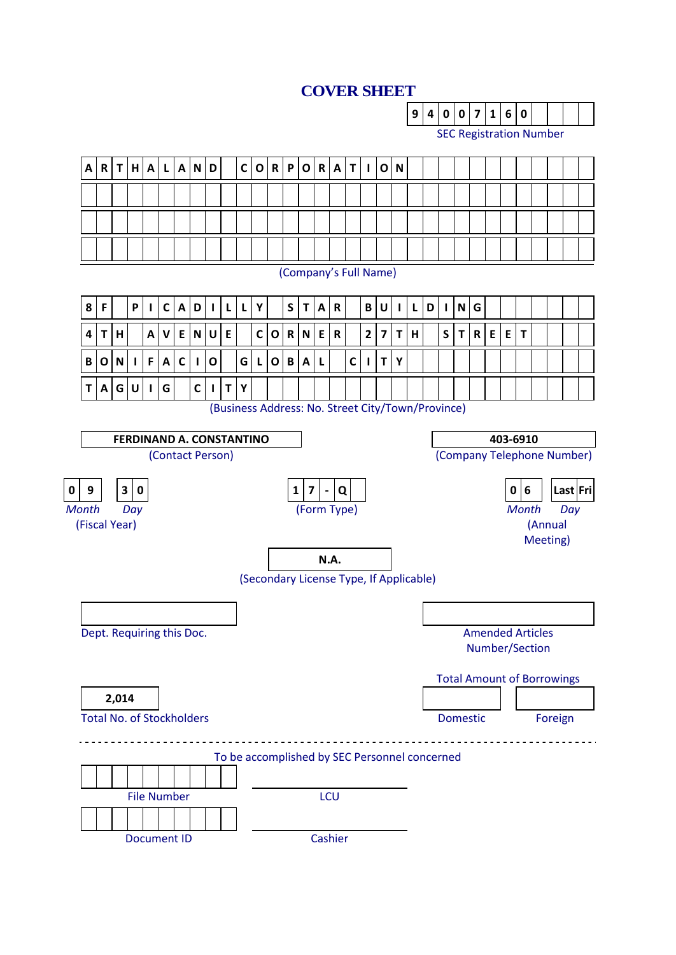# **COVER SHEET**

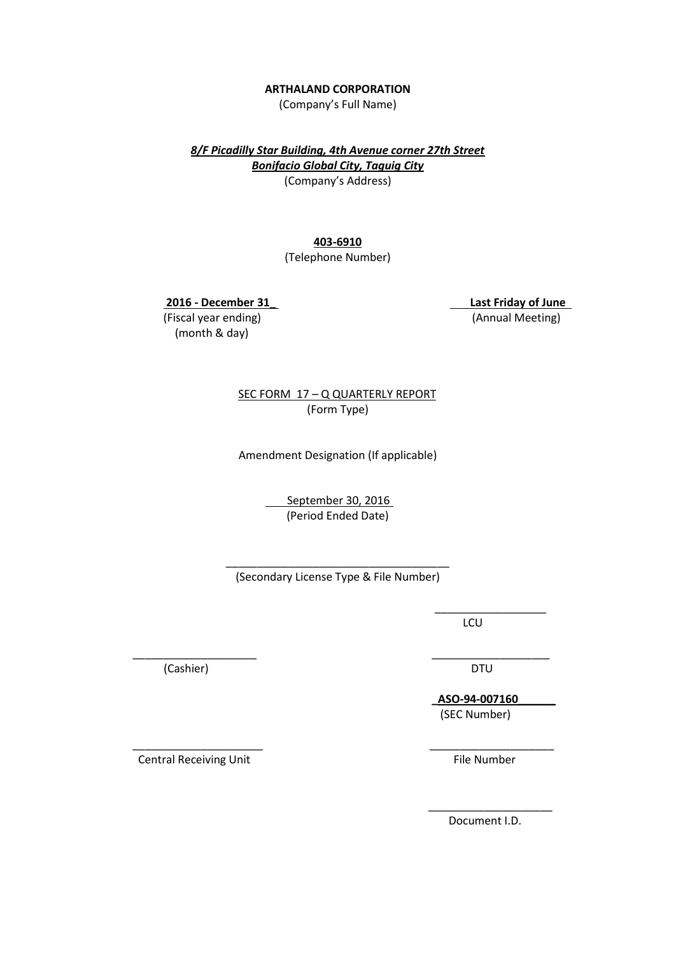#### **ARTHALAND CORPORATION**

(Company's Full Name)

*8/F Picadilly Star Building, 4th Avenue corner 27th Street Bonifacio Global City, Taguig City* (Company's Address)

**403-6910**

(Telephone Number)

 **2016 - December 31\_ Last Friday of June**

(Fiscal year ending) (Annual Meeting) (month & day)

 SEC FORM 17 – Q QUARTERLY REPORT (Form Type)

Amendment Designation (If applicable)

September 30, 2016 (Period Ended Date)

\_\_\_\_\_\_\_\_\_\_\_\_\_\_\_\_\_\_\_\_\_\_\_\_\_\_\_\_\_\_\_\_\_\_\_\_ (Secondary License Type & File Number)

 $\overline{\phantom{a}}$  , and the contract of the contract of the contract of the contract of the contract of the contract of the contract of the contract of the contract of the contract of the contract of the contract of the contrac

 $\overline{\phantom{a}}$  , and the contract of the contract of the contract of the contract of the contract of the contract of the contract of the contract of the contract of the contract of the contract of the contract of the contrac **LCU** 

 \_\_\_\_\_\_\_\_\_\_\_\_\_\_\_\_\_\_\_\_ \_\_\_\_\_\_\_\_\_\_\_\_\_\_\_\_\_\_\_ (Cashier) DTU

 **\_ASO-94-007160\_\_\_\_\_\_**  (SEC Number)

 \_\_\_\_\_\_\_\_\_\_\_\_\_\_\_\_\_\_\_\_\_ \_\_\_\_\_\_\_\_\_\_\_\_\_\_\_\_\_\_\_\_ Central Receiving Unit **File Number** File Number

Document I.D.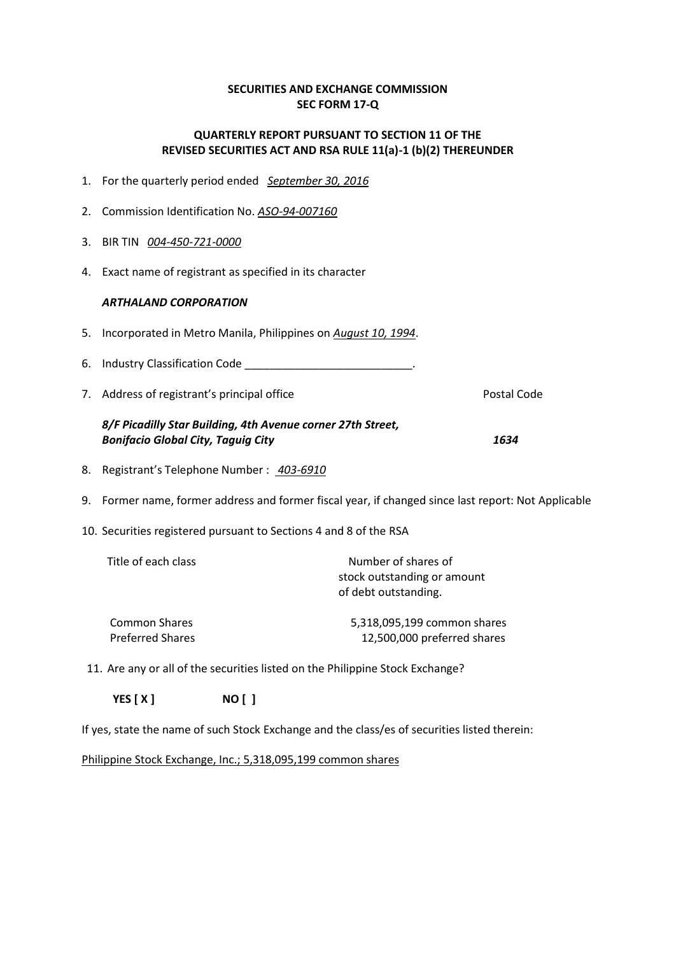# **SECURITIES AND EXCHANGE COMMISSION SEC FORM 17-Q**

# **QUARTERLY REPORT PURSUANT TO SECTION 11 OF THE REVISED SECURITIES ACT AND RSA RULE 11(a)-1 (b)(2) THEREUNDER**

- 1. For the quarterly period ended*September 30, 2016*
- 2. Commission Identification No. *ASO-94-007160*
- 3. BIR TIN *004-450-721-0000*
- 4. Exact name of registrant as specified in its character

# *ARTHALAND CORPORATION*

- 5. Incorporated in Metro Manila, Philippines on *August 10, 1994*.
- 6. Industry Classification Code \_\_\_\_\_\_\_\_\_\_\_\_\_\_\_\_\_\_\_\_\_\_\_\_\_\_\_\_\_\_\_\_.
- 7. Address of registrant's principal office **Postal Code** Postal Code

# *8/F Picadilly Star Building, 4th Avenue corner 27th Street, Bonifacio Global City, Taguig City 1634*

- 8. Registrant's Telephone Number : *403-6910*
- 9. Former name, former address and former fiscal year, if changed since last report: Not Applicable
- 10. Securities registered pursuant to Sections 4 and 8 of the RSA

| Title of each class     | Number of shares of<br>stock outstanding or amount<br>of debt outstanding. |
|-------------------------|----------------------------------------------------------------------------|
| <b>Common Shares</b>    | 5,318,095,199 common shares                                                |
| <b>Preferred Shares</b> | 12,500,000 preferred shares                                                |

11. Are any or all of the securities listed on the Philippine Stock Exchange?

 **YES [ X ] NO [ ]**

If yes, state the name of such Stock Exchange and the class/es of securities listed therein:

Philippine Stock Exchange, Inc.; 5,318,095,199 common shares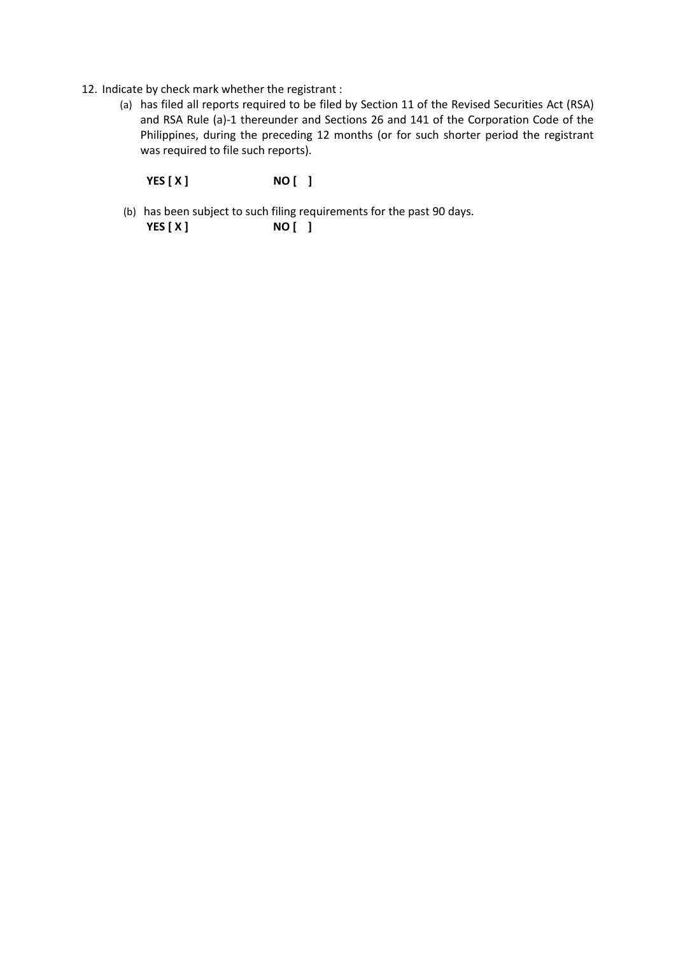- 12. Indicate by check mark whether the registrant :
	- (a) has filed all reports required to be filed by Section 11 of the Revised Securities Act (RSA) and RSA Rule (a)-1 thereunder and Sections 26 and 141 of the Corporation Code of the Philippines, during the preceding 12 months (or for such shorter period the registrant was required to file such reports).

 **YES [ X ] NO [ ]**

(b) has been subject to such filing requirements for the past 90 days.  **YES [ X ] NO [ ]**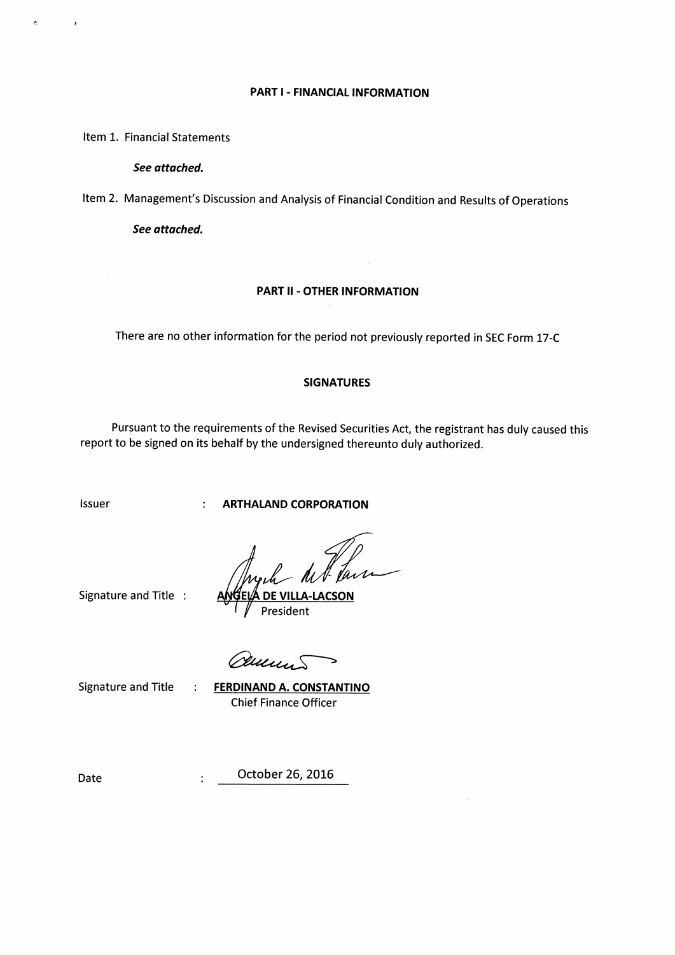#### **PART I - FINANCIAL INFORMATION**

Item 1. Financial Statements

ř.

 $\epsilon$ 

See attached.

Item 2. Management's Discussion and Analysis of Financial Condition and Results of Operations

See attached.

#### **PART II - OTHER INFORMATION**

There are no other information for the period not previously reported in SEC Form 17-C

#### **SIGNATURES**

Pursuant to the requirements of the Revised Securities Act, the registrant has duly caused this report to be signed on its behalf by the undersigned thereunto duly authorized.

Issuer

**ARTHALAND CORPORATION** 

f fair

Signature and Title :

 $\mathbf{r}$ 

 $\ddot{\cdot}$ 

 $\ddot{\cdot}$ 

President

ruus.

Signature and Title

**FERDINAND A. CONSTANTINO Chief Finance Officer** 

Date

October 26, 2016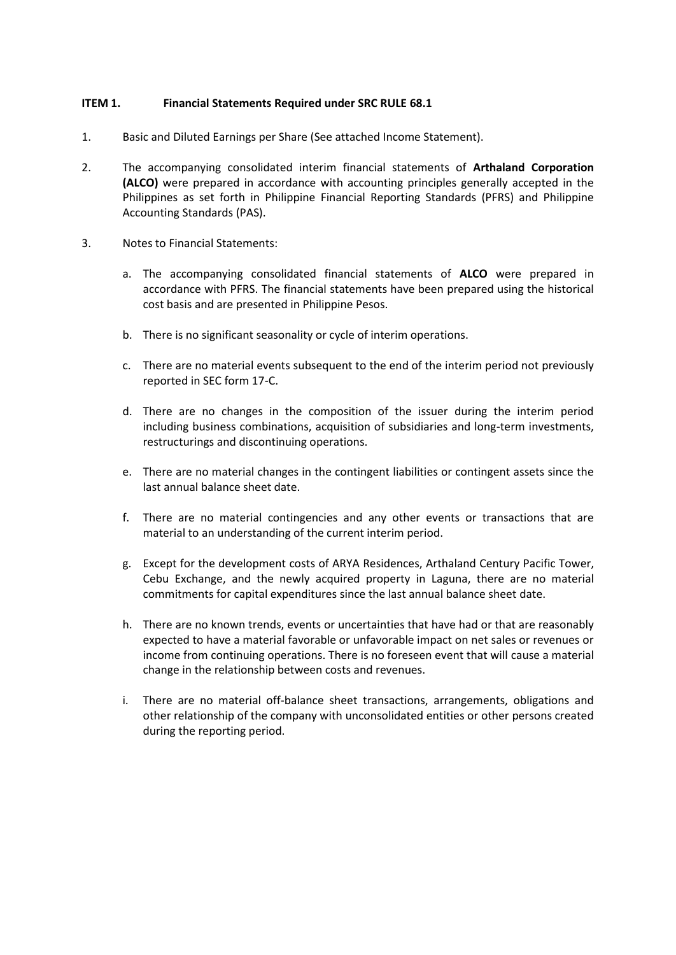# **ITEM 1. Financial Statements Required under SRC RULE 68.1**

- 1. Basic and Diluted Earnings per Share (See attached Income Statement).
- 2. The accompanying consolidated interim financial statements of **Arthaland Corporation (ALCO)** were prepared in accordance with accounting principles generally accepted in the Philippines as set forth in Philippine Financial Reporting Standards (PFRS) and Philippine Accounting Standards (PAS).
- 3. Notes to Financial Statements:
	- a. The accompanying consolidated financial statements of **ALCO** were prepared in accordance with PFRS. The financial statements have been prepared using the historical cost basis and are presented in Philippine Pesos.
	- b. There is no significant seasonality or cycle of interim operations.
	- c. There are no material events subsequent to the end of the interim period not previously reported in SEC form 17-C.
	- d. There are no changes in the composition of the issuer during the interim period including business combinations, acquisition of subsidiaries and long-term investments, restructurings and discontinuing operations.
	- e. There are no material changes in the contingent liabilities or contingent assets since the last annual balance sheet date.
	- f. There are no material contingencies and any other events or transactions that are material to an understanding of the current interim period.
	- g. Except for the development costs of ARYA Residences, Arthaland Century Pacific Tower, Cebu Exchange, and the newly acquired property in Laguna, there are no material commitments for capital expenditures since the last annual balance sheet date.
	- h. There are no known trends, events or uncertainties that have had or that are reasonably expected to have a material favorable or unfavorable impact on net sales or revenues or income from continuing operations. There is no foreseen event that will cause a material change in the relationship between costs and revenues.
	- i. There are no material off-balance sheet transactions, arrangements, obligations and other relationship of the company with unconsolidated entities or other persons created during the reporting period.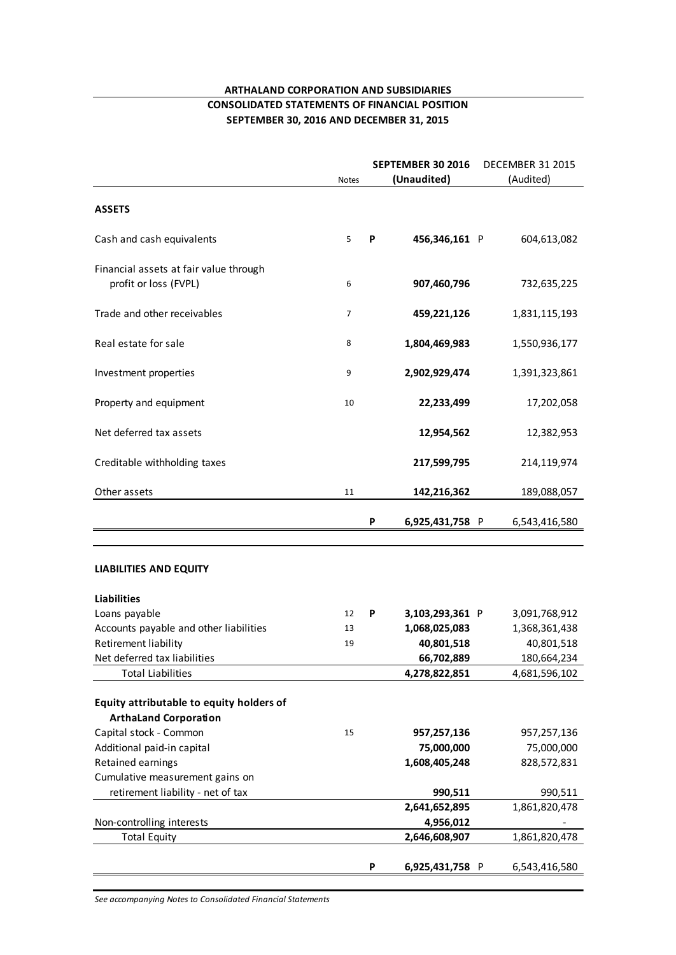# **ARTHALAND CORPORATION AND SUBSIDIARIES**

#### **CONSOLIDATED STATEMENTS OF FINANCIAL POSITION SEPTEMBER 30, 2016 AND DECEMBER 31, 2015**

|                                                                 | <b>Notes</b> |   | SEPTEMBER 30 2016<br>(Unaudited) | <b>DECEMBER 31 2015</b><br>(Audited) |  |
|-----------------------------------------------------------------|--------------|---|----------------------------------|--------------------------------------|--|
|                                                                 |              |   |                                  |                                      |  |
| <b>ASSETS</b>                                                   |              |   |                                  |                                      |  |
| Cash and cash equivalents                                       | 5            | P | 456,346,161 P                    | 604,613,082                          |  |
| Financial assets at fair value through<br>profit or loss (FVPL) | 6            |   | 907,460,796                      | 732,635,225                          |  |
| Trade and other receivables                                     | 7            |   | 459,221,126                      | 1,831,115,193                        |  |
| Real estate for sale                                            | 8            |   | 1,804,469,983                    | 1,550,936,177                        |  |
| Investment properties                                           | 9            |   | 2,902,929,474                    | 1,391,323,861                        |  |
| Property and equipment                                          | 10           |   | 22,233,499                       | 17,202,058                           |  |
| Net deferred tax assets                                         |              |   | 12,954,562                       | 12,382,953                           |  |
| Creditable withholding taxes                                    |              |   | 217,599,795                      | 214,119,974                          |  |
| Other assets                                                    | 11           |   | 142,216,362                      | 189,088,057                          |  |
|                                                                 |              | P | 6,925,431,758 P                  | 6,543,416,580                        |  |
|                                                                 |              |   |                                  |                                      |  |
| <b>LIABILITIES AND EQUITY</b>                                   |              |   |                                  |                                      |  |
| <b>Liabilities</b>                                              |              |   |                                  |                                      |  |
| Loans payable                                                   | 12           | P | 3,103,293,361 P                  | 3,091,768,912                        |  |
| Accounts payable and other liabilities                          | 13           |   | 1,068,025,083                    | 1,368,361,438                        |  |
| <b>Retirement liability</b>                                     | 19           |   | 40,801,518                       | 40,801,518                           |  |
| Net deferred tax liabilities<br><b>Total Liabilities</b>        |              |   | 66,702,889<br>4,278,822,851      | 180,664,234<br>4,681,596,102         |  |
|                                                                 |              |   |                                  |                                      |  |
| Equity attributable to equity holders of                        |              |   |                                  |                                      |  |
| <b>ArthaLand Corporation</b>                                    |              |   |                                  |                                      |  |
| Capital stock - Common                                          | 15           |   | 957,257,136                      | 957,257,136                          |  |
| Additional paid-in capital                                      |              |   | 75,000,000                       | 75,000,000                           |  |
| <b>Retained earnings</b>                                        |              |   | 1,608,405,248                    | 828,572,831                          |  |
| Cumulative measurement gains on                                 |              |   |                                  |                                      |  |
| retirement liability - net of tax                               |              |   | 990,511                          | 990,511                              |  |
|                                                                 |              |   | 2,641,652,895                    | 1,861,820,478                        |  |
| Non-controlling interests<br><b>Total Equity</b>                |              |   | 4,956,012<br>2,646,608,907       | 1,861,820,478                        |  |
|                                                                 |              |   |                                  |                                      |  |
|                                                                 |              | P | 6,925,431,758 P                  | 6,543,416,580                        |  |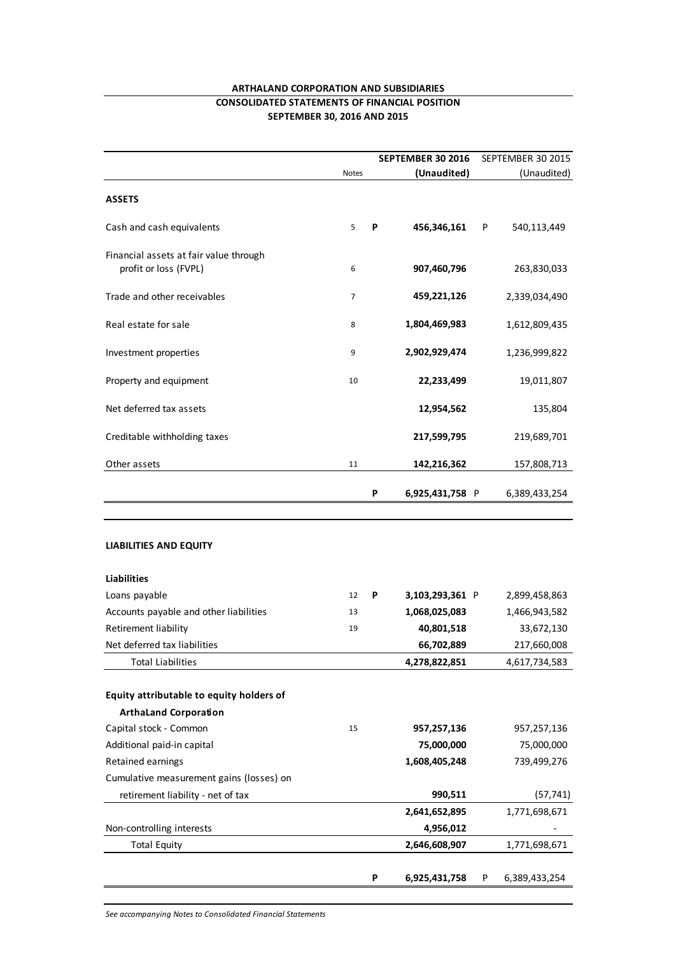# **ARTHALAND CORPORATION AND SUBSIDIARIES**

# **CONSOLIDATED STATEMENTS OF FINANCIAL POSITION SEPTEMBER 30, 2016 AND 2015**

|                                                                 |                |   | SEPTEMBER 30 2016                | SEPTEMBER 30 2015              |
|-----------------------------------------------------------------|----------------|---|----------------------------------|--------------------------------|
|                                                                 | <b>Notes</b>   |   | (Unaudited)                      | (Unaudited)                    |
| <b>ASSETS</b>                                                   |                |   |                                  |                                |
| Cash and cash equivalents                                       | 5              | P | 456,346,161                      | P<br>540,113,449               |
| Financial assets at fair value through<br>profit or loss (FVPL) | 6              |   | 907,460,796                      | 263,830,033                    |
| Trade and other receivables                                     | $\overline{7}$ |   | 459,221,126                      | 2,339,034,490                  |
| Real estate for sale                                            | 8              |   | 1,804,469,983                    | 1,612,809,435                  |
| Investment properties                                           | 9              |   | 2,902,929,474                    | 1,236,999,822                  |
| Property and equipment                                          | 10             |   | 22,233,499                       | 19,011,807                     |
| Net deferred tax assets                                         |                |   | 12,954,562                       | 135,804                        |
| Creditable withholding taxes                                    |                |   | 217,599,795                      | 219,689,701                    |
| Other assets                                                    | 11             |   | 142,216,362                      | 157,808,713                    |
|                                                                 |                | P | 6,925,431,758 P                  | 6,389,433,254                  |
| <b>LIABILITIES AND EQUITY</b>                                   |                |   |                                  |                                |
| <b>Liabilities</b>                                              |                |   |                                  |                                |
| Loans payable<br>Accounts payable and other liabilities         | 12<br>13       | P | 3,103,293,361 P<br>1,068,025,083 | 2,899,458,863<br>1,466,943,582 |
| Retirement liability                                            | 19             |   | 40,801,518                       | 33,672,130                     |
| Net deferred tax liabilities                                    |                |   | 66,702,889                       | 217,660,008                    |
| <b>Total Liabilities</b>                                        |                |   | 4,278,822,851                    | 4,617,734,583                  |
|                                                                 |                |   |                                  |                                |
| Equity attributable to equity holders of                        |                |   |                                  |                                |
| <b>ArthaLand Corporation</b>                                    |                |   |                                  |                                |
| Capital stock - Common                                          | 15             |   | 957,257,136                      | 957,257,136                    |
| Additional paid-in capital                                      |                |   | 75,000,000                       | 75,000,000                     |
| Retained earnings<br>Cumulative measurement gains (losses) on   |                |   | 1,608,405,248                    | 739,499,276                    |
| retirement liability - net of tax                               |                |   | 990,511                          | (57, 741)                      |
|                                                                 |                |   | 2,641,652,895                    | 1,771,698,671                  |
| Non-controlling interests                                       |                |   | 4,956,012                        |                                |
| <b>Total Equity</b>                                             |                |   | 2,646,608,907                    | 1,771,698,671                  |
|                                                                 |                | P | 6,925,431,758                    | P<br>6,389,433,254             |
|                                                                 |                |   |                                  |                                |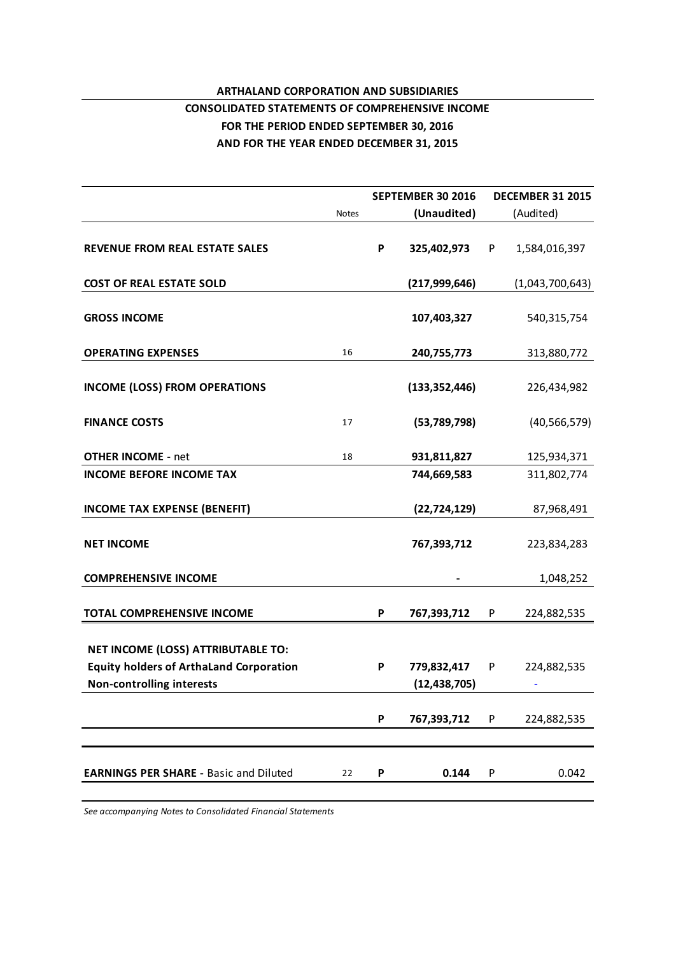# **ARTHALAND CORPORATION AND SUBSIDIARIES CONSOLIDATED STATEMENTS OF COMPREHENSIVE INCOME FOR THE PERIOD ENDED SEPTEMBER 30, 2016**

**AND FOR THE YEAR ENDED DECEMBER 31, 2015**

**SEPTEMBER 30 2016 DECEMBER 31 2015** Notes **(Unaudited)** (Audited) **REVENUE FROM REAL ESTATE SALES P 325,402,973** P 1,584,016,397 **COST OF REAL ESTATE SOLD (217,999,646)** (1,043,700,643) **GROSS INCOME** 540,315,754 **GROSS INCOME**<br> **OPERATING EXPENSES**<br> **OPERATING EXPENSES**<br> **16**<br> **240,755,773**<br> **240,755,773**<br>
313,880,772 **INCOME (LOSS) FROM OPERATIONS (133,352,446)** 226,434,982 **INCOME (LOSS) FROM OPERATIONS** (133,352,446) 226,434,982<br> **FINANCE COSTS** 17 (53,789,798) (40,566,579) **OTHER INCOME** - net 1 8 **931,811,827** 125,934,371 **INCOME BEFORE INCOME TAX 744,669,583** 311,802,774 **INCOME TAX EXPENSE (BENEFIT) (22,724,129)** 87,968,491 **NET INCOME 767,393,712** 223,834,283 **COMPREHENSIVE INCOME -** 1,048,252 **TOTAL COMPREHENSIVE INCOME P 767,393,712** P 224,882,535 **NET INCOME (LOSS) ATTRIBUTABLE TO: Equity holders of ArthaLand Corporation P 779,832,417** P 224,882,535 **Non-controlling interests (12,438,705)** - **P 767,393,712** P 224,882,535 **EARNINGS PER SHARE -** Basic and Diluted 22 **P** 0.144 P 0.042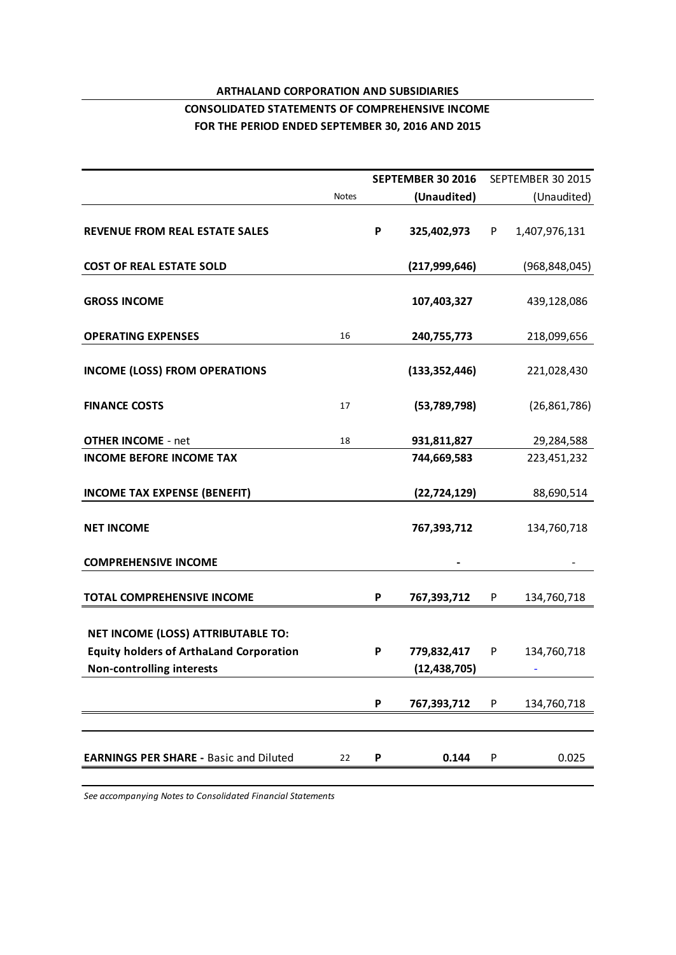# **ARTHALAND CORPORATION AND SUBSIDIARIES**

# **CONSOLIDATED STATEMENTS OF COMPREHENSIVE INCOME FOR THE PERIOD ENDED SEPTEMBER 30, 2016 AND 2015**

|                                                |              |   | <b>SEPTEMBER 30 2016</b> |   | SEPTEMBER 30 2015 |
|------------------------------------------------|--------------|---|--------------------------|---|-------------------|
|                                                | <b>Notes</b> |   | (Unaudited)              |   | (Unaudited)       |
| <b>REVENUE FROM REAL ESTATE SALES</b>          |              | P | 325,402,973              | P | 1,407,976,131     |
| <b>COST OF REAL ESTATE SOLD</b>                |              |   | (217, 999, 646)          |   | (968, 848, 045)   |
| <b>GROSS INCOME</b>                            |              |   | 107,403,327              |   | 439,128,086       |
| <b>OPERATING EXPENSES</b>                      | 16           |   | 240,755,773              |   | 218,099,656       |
| <b>INCOME (LOSS) FROM OPERATIONS</b>           |              |   | (133, 352, 446)          |   | 221,028,430       |
| <b>FINANCE COSTS</b>                           | 17           |   | (53,789,798)             |   | (26, 861, 786)    |
| <b>OTHER INCOME - net</b>                      | 18           |   | 931,811,827              |   | 29,284,588        |
| <b>INCOME BEFORE INCOME TAX</b>                |              |   | 744,669,583              |   | 223,451,232       |
| <b>INCOME TAX EXPENSE (BENEFIT)</b>            |              |   | (22, 724, 129)           |   | 88,690,514        |
| <b>NET INCOME</b>                              |              |   | 767,393,712              |   | 134,760,718       |
| <b>COMPREHENSIVE INCOME</b>                    |              |   |                          |   |                   |
| <b>TOTAL COMPREHENSIVE INCOME</b>              |              | P | 767,393,712              | P | 134,760,718       |
| NET INCOME (LOSS) ATTRIBUTABLE TO:             |              |   |                          |   |                   |
| <b>Equity holders of ArthaLand Corporation</b> |              | P | 779,832,417              | P | 134,760,718       |
| <b>Non-controlling interests</b>               |              |   | (12, 438, 705)           |   |                   |
|                                                |              | P | 767,393,712              | P | 134,760,718       |
|                                                |              |   |                          |   |                   |
| <b>EARNINGS PER SHARE - Basic and Diluted</b>  | 22           | P | 0.144                    | P | 0.025             |
|                                                |              |   |                          |   |                   |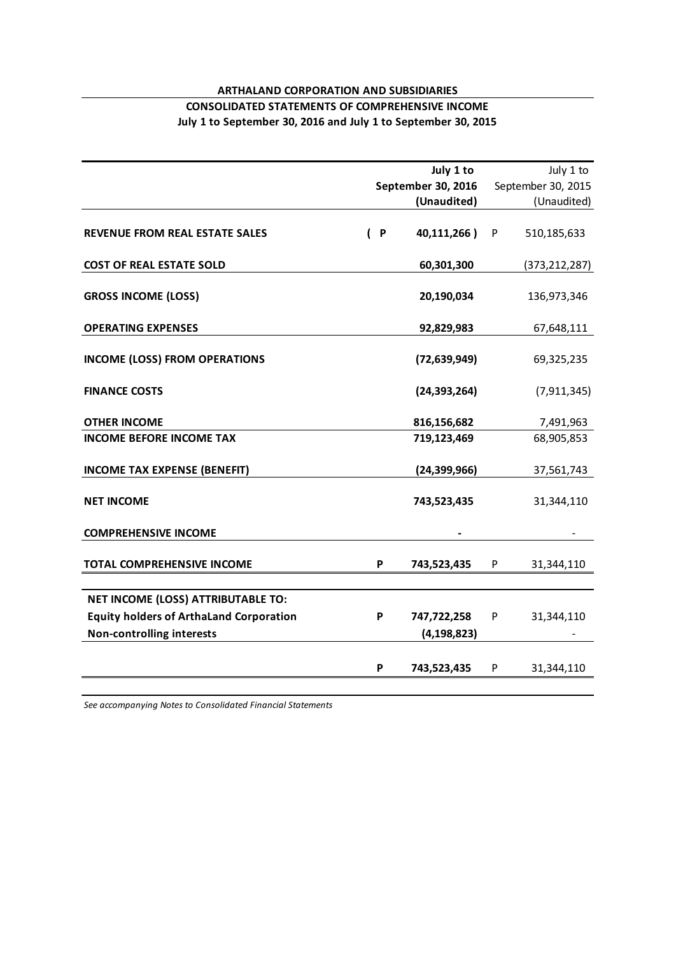# **ARTHALAND CORPORATION AND SUBSIDIARIES**

# **CONSOLIDATED STATEMENTS OF COMPREHENSIVE INCOME July 1 to September 30, 2016 and July 1 to September 30, 2015**

|                                                |              | July 1 to          |   | July 1 to          |
|------------------------------------------------|--------------|--------------------|---|--------------------|
|                                                |              | September 30, 2016 |   | September 30, 2015 |
|                                                |              | (Unaudited)        |   | (Unaudited)        |
| <b>REVENUE FROM REAL ESTATE SALES</b>          | $\mathsf{P}$ | 40,111,266)        | P | 510,185,633        |
| <b>COST OF REAL ESTATE SOLD</b>                |              | 60,301,300         |   | (373, 212, 287)    |
| <b>GROSS INCOME (LOSS)</b>                     |              | 20,190,034         |   | 136,973,346        |
| <b>OPERATING EXPENSES</b>                      |              | 92,829,983         |   | 67,648,111         |
| <b>INCOME (LOSS) FROM OPERATIONS</b>           |              | (72, 639, 949)     |   | 69,325,235         |
| <b>FINANCE COSTS</b>                           |              | (24, 393, 264)     |   | (7, 911, 345)      |
| <b>OTHER INCOME</b>                            |              | 816,156,682        |   | 7,491,963          |
| <b>INCOME BEFORE INCOME TAX</b>                |              | 719,123,469        |   | 68,905,853         |
| <b>INCOME TAX EXPENSE (BENEFIT)</b>            |              | (24, 399, 966)     |   | 37,561,743         |
| <b>NET INCOME</b>                              |              | 743,523,435        |   | 31,344,110         |
| <b>COMPREHENSIVE INCOME</b>                    |              |                    |   |                    |
| <b>TOTAL COMPREHENSIVE INCOME</b>              | P            | 743,523,435        | P | 31,344,110         |
| <b>NET INCOME (LOSS) ATTRIBUTABLE TO:</b>      |              |                    |   |                    |
| <b>Equity holders of ArthaLand Corporation</b> | P            | 747,722,258        | P | 31,344,110         |
| <b>Non-controlling interests</b>               |              | (4, 198, 823)      |   |                    |
|                                                | P            | 743,523,435        | P | 31,344,110         |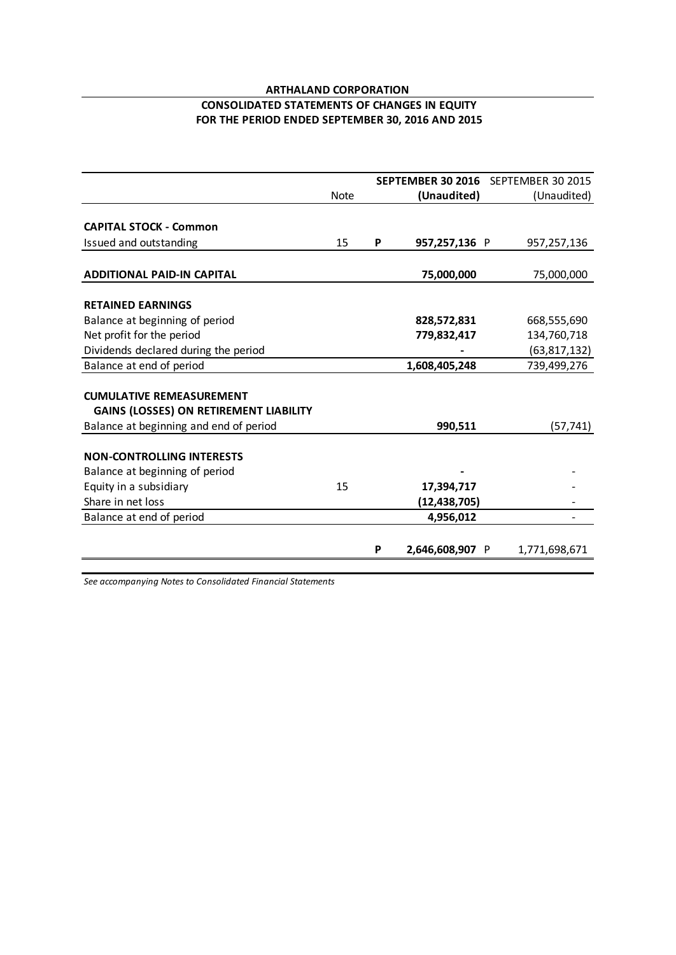# **ARTHALAND CORPORATION FOR THE PERIOD ENDED SEPTEMBER 30, 2016 AND 2015 CONSOLIDATED STATEMENTS OF CHANGES IN EQUITY**

|                                               |             |   |                 | <b>SEPTEMBER 30 2016</b> SEPTEMBER 30 2015 |
|-----------------------------------------------|-------------|---|-----------------|--------------------------------------------|
|                                               | <b>Note</b> |   | (Unaudited)     | (Unaudited)                                |
|                                               |             |   |                 |                                            |
| <b>CAPITAL STOCK - Common</b>                 |             |   |                 |                                            |
| Issued and outstanding                        | 15          | P | 957,257,136 P   | 957,257,136                                |
|                                               |             |   |                 |                                            |
| <b>ADDITIONAL PAID-IN CAPITAL</b>             |             |   | 75,000,000      | 75,000,000                                 |
|                                               |             |   |                 |                                            |
| <b>RETAINED EARNINGS</b>                      |             |   |                 |                                            |
| Balance at beginning of period                |             |   | 828,572,831     | 668,555,690                                |
| Net profit for the period                     |             |   | 779,832,417     | 134,760,718                                |
| Dividends declared during the period          |             |   |                 | (63, 817, 132)                             |
| Balance at end of period                      |             |   | 1,608,405,248   | 739,499,276                                |
|                                               |             |   |                 |                                            |
| <b>CUMULATIVE REMEASUREMENT</b>               |             |   |                 |                                            |
| <b>GAINS (LOSSES) ON RETIREMENT LIABILITY</b> |             |   |                 |                                            |
| Balance at beginning and end of period        |             |   | 990,511         | (57, 741)                                  |
|                                               |             |   |                 |                                            |
| <b>NON-CONTROLLING INTERESTS</b>              |             |   |                 |                                            |
| Balance at beginning of period                |             |   |                 |                                            |
| Equity in a subsidiary                        | 15          |   | 17,394,717      |                                            |
| Share in net loss                             |             |   | (12, 438, 705)  |                                            |
| Balance at end of period                      |             |   | 4,956,012       |                                            |
|                                               |             |   |                 |                                            |
|                                               |             | P | 2,646,608,907 P | 1,771,698,671                              |
|                                               |             |   |                 |                                            |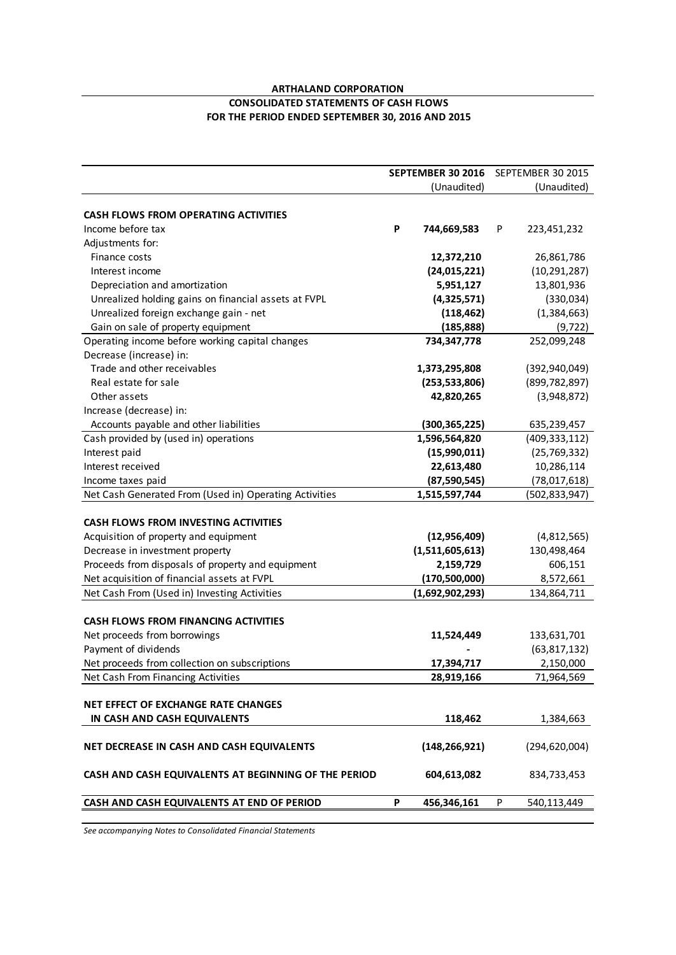#### **ARTHALAND CORPORATION**

#### **CONSOLIDATED STATEMENTS OF CASH FLOWS FOR THE PERIOD ENDED SEPTEMBER 30, 2016 AND 2015**

|                                                        | SEPTEMBER 30 2016 | SEPTEMBER 30 2015 |
|--------------------------------------------------------|-------------------|-------------------|
|                                                        | (Unaudited)       | (Unaudited)       |
|                                                        |                   |                   |
| <b>CASH FLOWS FROM OPERATING ACTIVITIES</b>            |                   |                   |
| Income before tax                                      | P<br>744,669,583  | P<br>223,451,232  |
| Adjustments for:                                       |                   |                   |
| Finance costs                                          | 12,372,210        | 26,861,786        |
| Interest income                                        | (24, 015, 221)    | (10, 291, 287)    |
| Depreciation and amortization                          | 5,951,127         | 13,801,936        |
| Unrealized holding gains on financial assets at FVPL   | (4,325,571)       | (330,034)         |
| Unrealized foreign exchange gain - net                 | (118, 462)        | (1,384,663)       |
| Gain on sale of property equipment                     | (185, 888)        | (9, 722)          |
| Operating income before working capital changes        | 734,347,778       | 252,099,248       |
| Decrease (increase) in:                                |                   |                   |
| Trade and other receivables                            | 1,373,295,808     | (392, 940, 049)   |
| Real estate for sale                                   | (253, 533, 806)   | (899, 782, 897)   |
| Other assets                                           | 42,820,265        | (3,948,872)       |
| Increase (decrease) in:                                |                   |                   |
| Accounts payable and other liabilities                 | (300, 365, 225)   | 635,239,457       |
| Cash provided by (used in) operations                  | 1,596,564,820     | (409, 333, 112)   |
| Interest paid                                          | (15,990,011)      | (25, 769, 332)    |
| Interest received                                      | 22,613,480        | 10,286,114        |
| Income taxes paid                                      | (87,590,545)      | (78,017,618)      |
| Net Cash Generated From (Used in) Operating Activities | 1,515,597,744     | (502, 833, 947)   |
|                                                        |                   |                   |
| <b>CASH FLOWS FROM INVESTING ACTIVITIES</b>            |                   |                   |
| Acquisition of property and equipment                  | (12, 956, 409)    | (4,812,565)       |
| Decrease in investment property                        | (1,511,605,613)   | 130,498,464       |
| Proceeds from disposals of property and equipment      | 2,159,729         | 606,151           |
| Net acquisition of financial assets at FVPL            | (170,500,000)     | 8,572,661         |
| Net Cash From (Used in) Investing Activities           | (1,692,902,293)   | 134,864,711       |
|                                                        |                   |                   |
| <b>CASH FLOWS FROM FINANCING ACTIVITIES</b>            |                   |                   |
| Net proceeds from borrowings                           | 11,524,449        | 133,631,701       |
| Payment of dividends                                   |                   | (63, 817, 132)    |
| Net proceeds from collection on subscriptions          | 17,394,717        | 2,150,000         |
| Net Cash From Financing Activities                     | 28,919,166        | 71,964,569        |
|                                                        |                   |                   |
| <b>NET EFFECT OF EXCHANGE RATE CHANGES</b>             |                   |                   |
| IN CASH AND CASH EQUIVALENTS                           | 118,462           | 1,384,663         |
|                                                        |                   |                   |
| NET DECREASE IN CASH AND CASH EQUIVALENTS              | (148, 266, 921)   | (294, 620, 004)   |
|                                                        |                   |                   |
| CASH AND CASH EQUIVALENTS AT BEGINNING OF THE PERIOD   | 604,613,082       | 834,733,453       |
| CASH AND CASH EQUIVALENTS AT END OF PERIOD             | P<br>456,346,161  | P<br>540,113,449  |
|                                                        |                   |                   |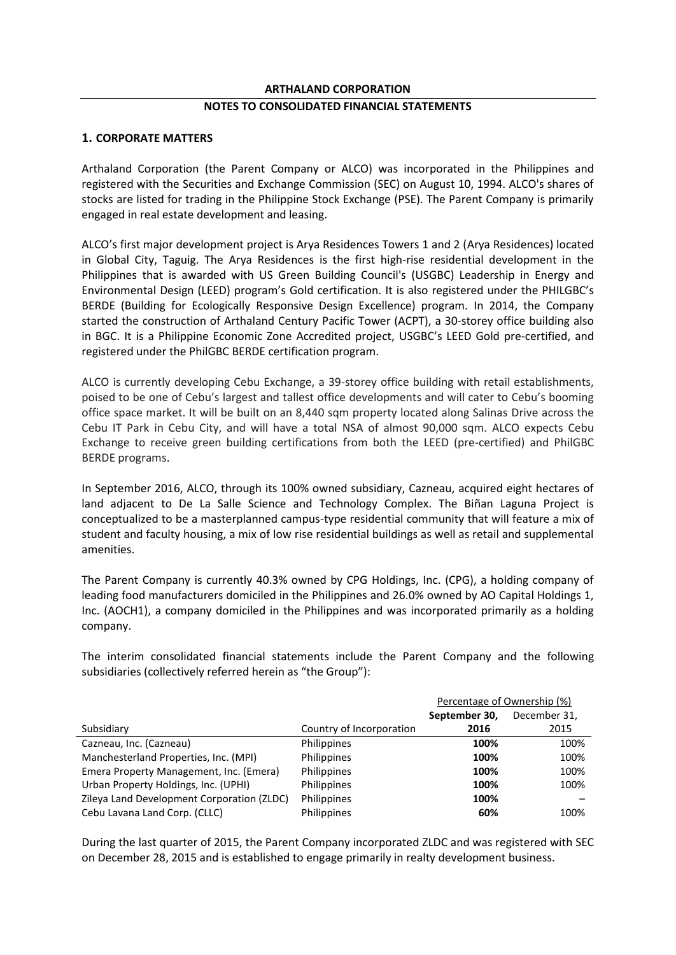#### **ARTHALAND CORPORATION**

# **NOTES TO CONSOLIDATED FINANCIAL STATEMENTS**

#### **1. CORPORATE MATTERS**

Arthaland Corporation (the Parent Company or ALCO) was incorporated in the Philippines and registered with the Securities and Exchange Commission (SEC) on August 10, 1994. ALCO's shares of stocks are listed for trading in the Philippine Stock Exchange (PSE). The Parent Company is primarily engaged in real estate development and leasing.

ALCO's first major development project is Arya Residences Towers 1 and 2 (Arya Residences) located in Global City, Taguig. The Arya Residences is the first high-rise residential development in the Philippines that is awarded with US Green Building Council's (USGBC) Leadership in Energy and Environmental Design (LEED) program's Gold certification. It is also registered under the PHILGBC's BERDE (Building for Ecologically Responsive Design Excellence) program. In 2014, the Company started the construction of Arthaland Century Pacific Tower (ACPT), a 30-storey office building also in BGC. It is a Philippine Economic Zone Accredited project, USGBC's LEED Gold pre-certified, and registered under the PhilGBC BERDE certification program.

ALCO is currently developing Cebu Exchange, a 39-storey office building with retail establishments, poised to be one of Cebu's largest and tallest office developments and will cater to Cebu's booming office space market. It will be built on an 8,440 sqm property located along Salinas Drive across the Cebu IT Park in Cebu City, and will have a total NSA of almost 90,000 sqm. ALCO expects Cebu Exchange to receive green building certifications from both the LEED (pre-certified) and PhilGBC BERDE programs.

In September 2016, ALCO, through its 100% owned subsidiary, Cazneau, acquired eight hectares of land adjacent to De La Salle Science and Technology Complex. The Biñan Laguna Project is conceptualized to be a masterplanned campus-type residential community that will feature a mix of student and faculty housing, a mix of low rise residential buildings as well as retail and supplemental amenities.

The Parent Company is currently 40.3% owned by CPG Holdings, Inc. (CPG), a holding company of leading food manufacturers domiciled in the Philippines and 26.0% owned by AO Capital Holdings 1, Inc. (AOCH1), a company domiciled in the Philippines and was incorporated primarily as a holding company.

The interim consolidated financial statements include the Parent Company and the following subsidiaries (collectively referred herein as "the Group"):

|                                            |                          | Percentage of Ownership (%) |              |
|--------------------------------------------|--------------------------|-----------------------------|--------------|
|                                            |                          | September 30,               | December 31, |
| Subsidiary                                 | Country of Incorporation | 2016                        | 2015         |
| Cazneau, Inc. (Cazneau)                    | Philippines              | 100%                        | 100%         |
| Manchesterland Properties, Inc. (MPI)      | Philippines              | 100%                        | 100%         |
| Emera Property Management, Inc. (Emera)    | Philippines              | 100%                        | 100%         |
| Urban Property Holdings, Inc. (UPHI)       | Philippines              | 100%                        | 100%         |
| Zileya Land Development Corporation (ZLDC) | Philippines              | 100%                        |              |
| Cebu Lavana Land Corp. (CLLC)              | Philippines              | 60%                         | 100%         |

During the last quarter of 2015, the Parent Company incorporated ZLDC and was registered with SEC on December 28, 2015 and is established to engage primarily in realty development business.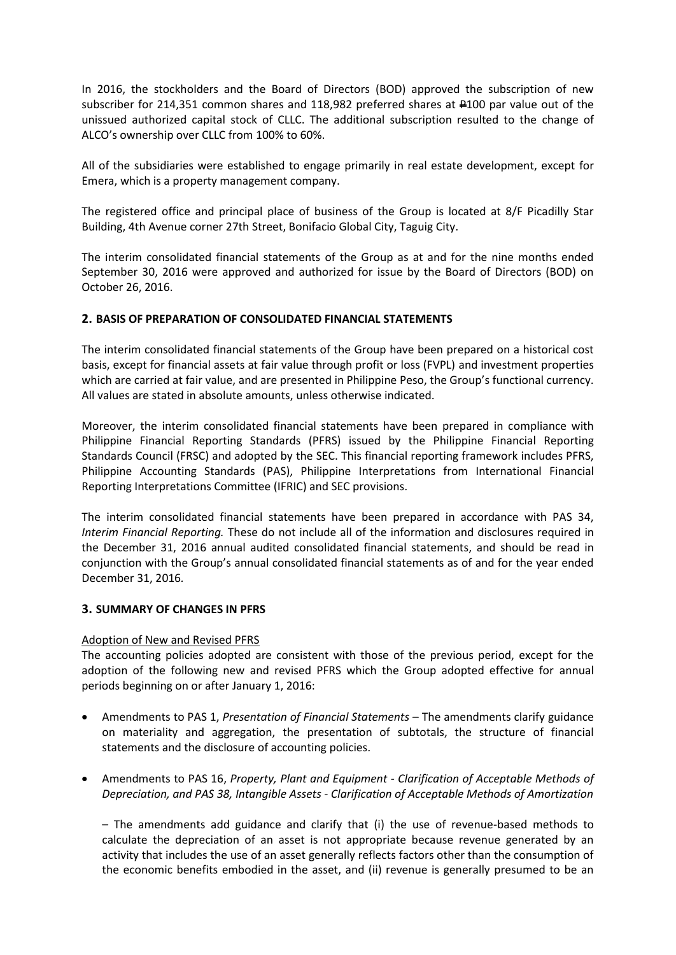In 2016, the stockholders and the Board of Directors (BOD) approved the subscription of new subscriber for 214,351 common shares and 118,982 preferred shares at  $\mu$ 100 par value out of the unissued authorized capital stock of CLLC. The additional subscription resulted to the change of ALCO's ownership over CLLC from 100% to 60%.

All of the subsidiaries were established to engage primarily in real estate development, except for Emera, which is a property management company.

The registered office and principal place of business of the Group is located at 8/F Picadilly Star Building, 4th Avenue corner 27th Street, Bonifacio Global City, Taguig City.

The interim consolidated financial statements of the Group as at and for the nine months ended September 30, 2016 were approved and authorized for issue by the Board of Directors (BOD) on October 26, 2016.

# **2. BASIS OF PREPARATION OF CONSOLIDATED FINANCIAL STATEMENTS**

The interim consolidated financial statements of the Group have been prepared on a historical cost basis, except for financial assets at fair value through profit or loss (FVPL) and investment properties which are carried at fair value, and are presented in Philippine Peso, the Group's functional currency. All values are stated in absolute amounts, unless otherwise indicated.

Moreover, the interim consolidated financial statements have been prepared in compliance with Philippine Financial Reporting Standards (PFRS) issued by the Philippine Financial Reporting Standards Council (FRSC) and adopted by the SEC. This financial reporting framework includes PFRS, Philippine Accounting Standards (PAS), Philippine Interpretations from International Financial Reporting Interpretations Committee (IFRIC) and SEC provisions.

The interim consolidated financial statements have been prepared in accordance with PAS 34, *Interim Financial Reporting.* These do not include all of the information and disclosures required in the December 31, 2016 annual audited consolidated financial statements, and should be read in conjunction with the Group's annual consolidated financial statements as of and for the year ended December 31, 2016*.* 

# **3. SUMMARY OF CHANGES IN PFRS**

#### Adoption of New and Revised PFRS

The accounting policies adopted are consistent with those of the previous period, except for the adoption of the following new and revised PFRS which the Group adopted effective for annual periods beginning on or after January 1, 2016:

- Amendments to PAS 1, *Presentation of Financial Statements* The amendments clarify guidance on materiality and aggregation, the presentation of subtotals, the structure of financial statements and the disclosure of accounting policies.
- Amendments to PAS 16, *Property, Plant and Equipment - Clarification of Acceptable Methods of Depreciation, and PAS 38, Intangible Assets - Clarification of Acceptable Methods of Amortization*

– The amendments add guidance and clarify that (i) the use of revenue-based methods to calculate the depreciation of an asset is not appropriate because revenue generated by an activity that includes the use of an asset generally reflects factors other than the consumption of the economic benefits embodied in the asset, and (ii) revenue is generally presumed to be an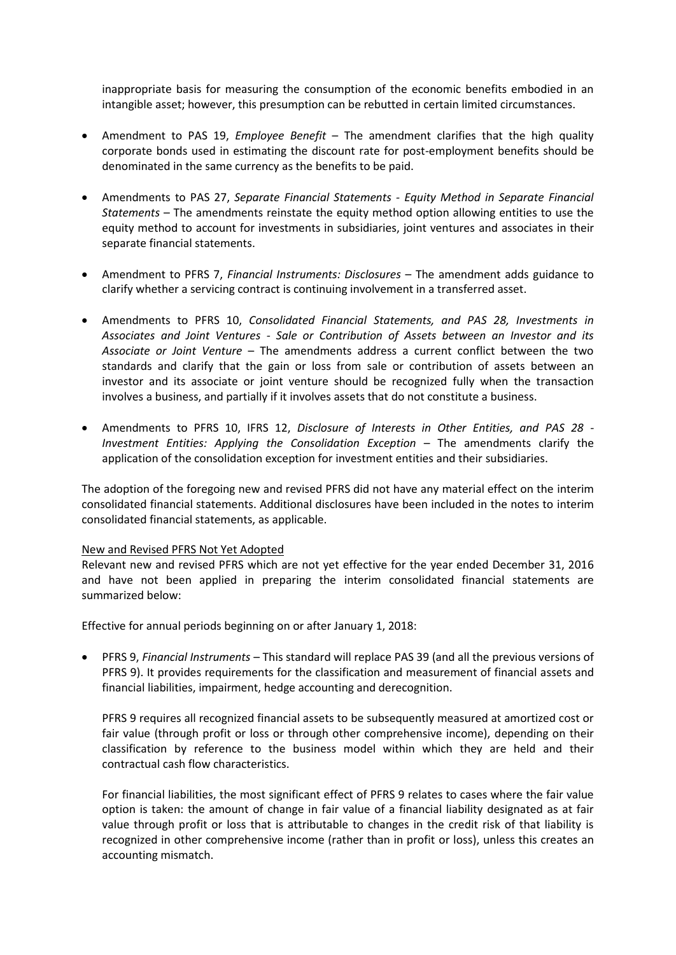inappropriate basis for measuring the consumption of the economic benefits embodied in an intangible asset; however, this presumption can be rebutted in certain limited circumstances.

- Amendment to PAS 19, *Employee Benefit* The amendment clarifies that the high quality corporate bonds used in estimating the discount rate for post-employment benefits should be denominated in the same currency as the benefits to be paid.
- Amendments to PAS 27, *Separate Financial Statements - Equity Method in Separate Financial Statements* – The amendments reinstate the equity method option allowing entities to use the equity method to account for investments in subsidiaries, joint ventures and associates in their separate financial statements.
- Amendment to PFRS 7, *Financial Instruments: Disclosures* The amendment adds guidance to clarify whether a servicing contract is continuing involvement in a transferred asset.
- Amendments to PFRS 10, *Consolidated Financial Statements, and PAS 28, Investments in Associates and Joint Ventures - Sale or Contribution of Assets between an Investor and its Associate or Joint Venture* – The amendments address a current conflict between the two standards and clarify that the gain or loss from sale or contribution of assets between an investor and its associate or joint venture should be recognized fully when the transaction involves a business, and partially if it involves assets that do not constitute a business.
- Amendments to PFRS 10, IFRS 12, *Disclosure of Interests in Other Entities, and PAS 28 - Investment Entities: Applying the Consolidation Exception –* The amendments clarify the application of the consolidation exception for investment entities and their subsidiaries.

The adoption of the foregoing new and revised PFRS did not have any material effect on the interim consolidated financial statements. Additional disclosures have been included in the notes to interim consolidated financial statements, as applicable.

#### New and Revised PFRS Not Yet Adopted

Relevant new and revised PFRS which are not yet effective for the year ended December 31, 2016 and have not been applied in preparing the interim consolidated financial statements are summarized below:

Effective for annual periods beginning on or after January 1, 2018:

 PFRS 9, *Financial Instruments* – This standard will replace PAS 39 (and all the previous versions of PFRS 9). It provides requirements for the classification and measurement of financial assets and financial liabilities, impairment, hedge accounting and derecognition.

PFRS 9 requires all recognized financial assets to be subsequently measured at amortized cost or fair value (through profit or loss or through other comprehensive income), depending on their classification by reference to the business model within which they are held and their contractual cash flow characteristics.

For financial liabilities, the most significant effect of PFRS 9 relates to cases where the fair value option is taken: the amount of change in fair value of a financial liability designated as at fair value through profit or loss that is attributable to changes in the credit risk of that liability is recognized in other comprehensive income (rather than in profit or loss), unless this creates an accounting mismatch.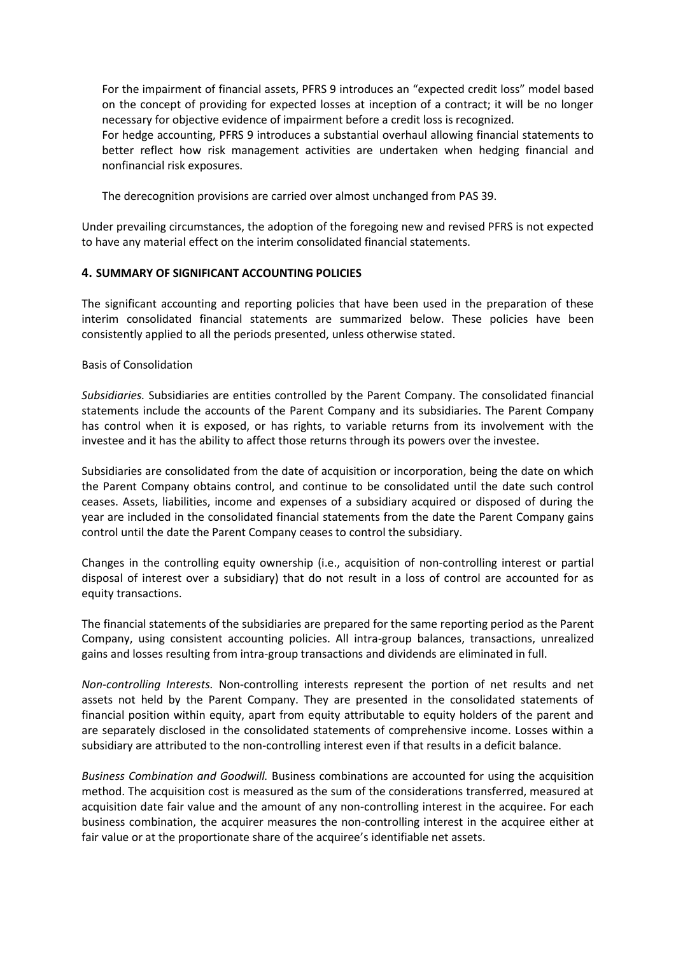For the impairment of financial assets, PFRS 9 introduces an "expected credit loss" model based on the concept of providing for expected losses at inception of a contract; it will be no longer necessary for objective evidence of impairment before a credit loss is recognized.

For hedge accounting, PFRS 9 introduces a substantial overhaul allowing financial statements to better reflect how risk management activities are undertaken when hedging financial and nonfinancial risk exposures.

The derecognition provisions are carried over almost unchanged from PAS 39.

Under prevailing circumstances, the adoption of the foregoing new and revised PFRS is not expected to have any material effect on the interim consolidated financial statements.

# **4. SUMMARY OF SIGNIFICANT ACCOUNTING POLICIES**

The significant accounting and reporting policies that have been used in the preparation of these interim consolidated financial statements are summarized below. These policies have been consistently applied to all the periods presented, unless otherwise stated.

# Basis of Consolidation

*Subsidiaries.* Subsidiaries are entities controlled by the Parent Company. The consolidated financial statements include the accounts of the Parent Company and its subsidiaries. The Parent Company has control when it is exposed, or has rights, to variable returns from its involvement with the investee and it has the ability to affect those returns through its powers over the investee.

Subsidiaries are consolidated from the date of acquisition or incorporation, being the date on which the Parent Company obtains control, and continue to be consolidated until the date such control ceases. Assets, liabilities, income and expenses of a subsidiary acquired or disposed of during the year are included in the consolidated financial statements from the date the Parent Company gains control until the date the Parent Company ceases to control the subsidiary.

Changes in the controlling equity ownership (i.e., acquisition of non-controlling interest or partial disposal of interest over a subsidiary) that do not result in a loss of control are accounted for as equity transactions.

The financial statements of the subsidiaries are prepared for the same reporting period as the Parent Company, using consistent accounting policies. All intra-group balances, transactions, unrealized gains and losses resulting from intra-group transactions and dividends are eliminated in full.

*Non-controlling Interests.* Non-controlling interests represent the portion of net results and net assets not held by the Parent Company. They are presented in the consolidated statements of financial position within equity, apart from equity attributable to equity holders of the parent and are separately disclosed in the consolidated statements of comprehensive income. Losses within a subsidiary are attributed to the non-controlling interest even if that results in a deficit balance.

*Business Combination and Goodwill.* Business combinations are accounted for using the acquisition method. The acquisition cost is measured as the sum of the considerations transferred, measured at acquisition date fair value and the amount of any non-controlling interest in the acquiree. For each business combination, the acquirer measures the non-controlling interest in the acquiree either at fair value or at the proportionate share of the acquiree's identifiable net assets.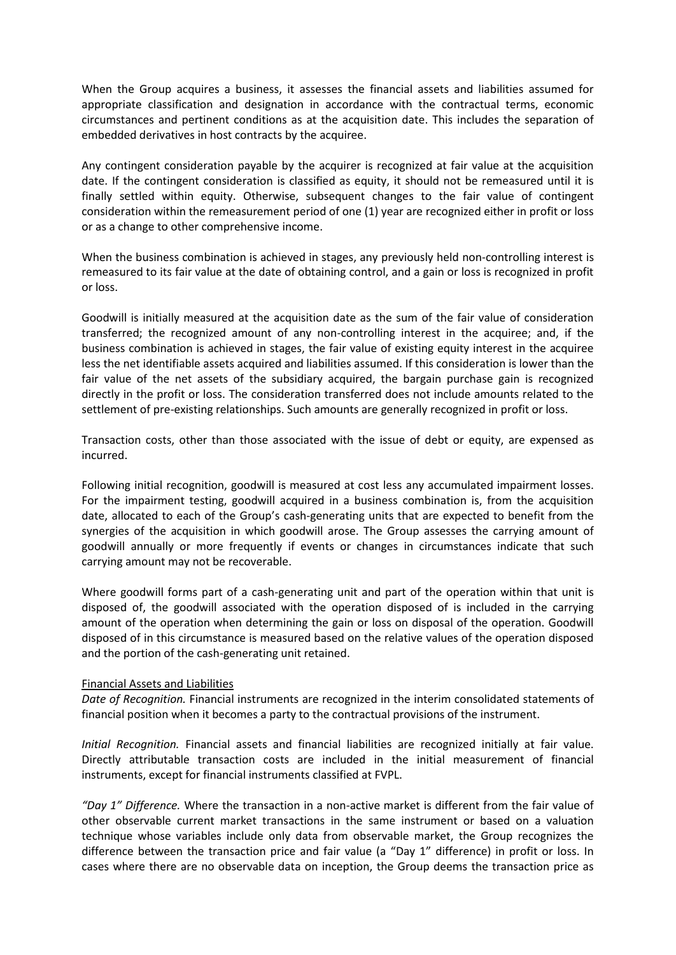When the Group acquires a business, it assesses the financial assets and liabilities assumed for appropriate classification and designation in accordance with the contractual terms, economic circumstances and pertinent conditions as at the acquisition date. This includes the separation of embedded derivatives in host contracts by the acquiree.

Any contingent consideration payable by the acquirer is recognized at fair value at the acquisition date. If the contingent consideration is classified as equity, it should not be remeasured until it is finally settled within equity. Otherwise, subsequent changes to the fair value of contingent consideration within the remeasurement period of one (1) year are recognized either in profit or loss or as a change to other comprehensive income.

When the business combination is achieved in stages, any previously held non-controlling interest is remeasured to its fair value at the date of obtaining control, and a gain or loss is recognized in profit or loss.

Goodwill is initially measured at the acquisition date as the sum of the fair value of consideration transferred; the recognized amount of any non-controlling interest in the acquiree; and, if the business combination is achieved in stages, the fair value of existing equity interest in the acquiree less the net identifiable assets acquired and liabilities assumed. If this consideration is lower than the fair value of the net assets of the subsidiary acquired, the bargain purchase gain is recognized directly in the profit or loss. The consideration transferred does not include amounts related to the settlement of pre-existing relationships. Such amounts are generally recognized in profit or loss.

Transaction costs, other than those associated with the issue of debt or equity, are expensed as incurred.

Following initial recognition, goodwill is measured at cost less any accumulated impairment losses. For the impairment testing, goodwill acquired in a business combination is, from the acquisition date, allocated to each of the Group's cash-generating units that are expected to benefit from the synergies of the acquisition in which goodwill arose. The Group assesses the carrying amount of goodwill annually or more frequently if events or changes in circumstances indicate that such carrying amount may not be recoverable.

Where goodwill forms part of a cash-generating unit and part of the operation within that unit is disposed of, the goodwill associated with the operation disposed of is included in the carrying amount of the operation when determining the gain or loss on disposal of the operation. Goodwill disposed of in this circumstance is measured based on the relative values of the operation disposed and the portion of the cash-generating unit retained.

# Financial Assets and Liabilities

*Date of Recognition.* Financial instruments are recognized in the interim consolidated statements of financial position when it becomes a party to the contractual provisions of the instrument.

*Initial Recognition.* Financial assets and financial liabilities are recognized initially at fair value. Directly attributable transaction costs are included in the initial measurement of financial instruments, except for financial instruments classified at FVPL.

*"Day 1" Difference.* Where the transaction in a non-active market is different from the fair value of other observable current market transactions in the same instrument or based on a valuation technique whose variables include only data from observable market, the Group recognizes the difference between the transaction price and fair value (a "Day 1" difference) in profit or loss. In cases where there are no observable data on inception, the Group deems the transaction price as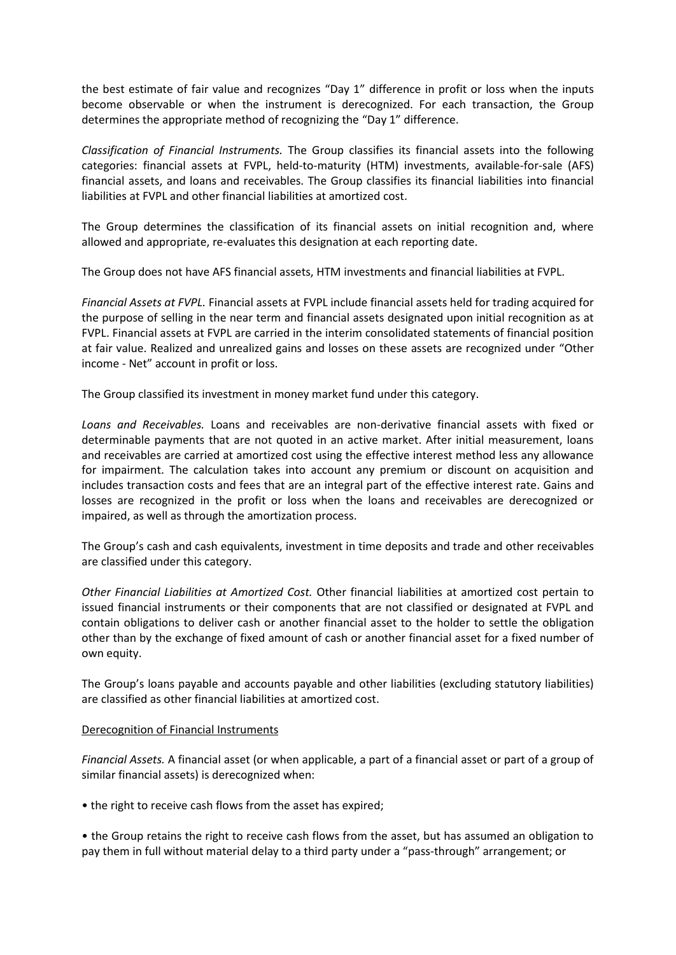the best estimate of fair value and recognizes "Day 1" difference in profit or loss when the inputs become observable or when the instrument is derecognized. For each transaction, the Group determines the appropriate method of recognizing the "Day 1" difference.

*Classification of Financial Instruments.* The Group classifies its financial assets into the following categories: financial assets at FVPL, held-to-maturity (HTM) investments, available-for-sale (AFS) financial assets, and loans and receivables. The Group classifies its financial liabilities into financial liabilities at FVPL and other financial liabilities at amortized cost.

The Group determines the classification of its financial assets on initial recognition and, where allowed and appropriate, re-evaluates this designation at each reporting date.

The Group does not have AFS financial assets, HTM investments and financial liabilities at FVPL.

*Financial Assets at FVPL.* Financial assets at FVPL include financial assets held for trading acquired for the purpose of selling in the near term and financial assets designated upon initial recognition as at FVPL. Financial assets at FVPL are carried in the interim consolidated statements of financial position at fair value. Realized and unrealized gains and losses on these assets are recognized under "Other income - Net" account in profit or loss.

The Group classified its investment in money market fund under this category.

*Loans and Receivables.* Loans and receivables are non-derivative financial assets with fixed or determinable payments that are not quoted in an active market. After initial measurement, loans and receivables are carried at amortized cost using the effective interest method less any allowance for impairment. The calculation takes into account any premium or discount on acquisition and includes transaction costs and fees that are an integral part of the effective interest rate. Gains and losses are recognized in the profit or loss when the loans and receivables are derecognized or impaired, as well as through the amortization process.

The Group's cash and cash equivalents, investment in time deposits and trade and other receivables are classified under this category.

*Other Financial Liabilities at Amortized Cost.* Other financial liabilities at amortized cost pertain to issued financial instruments or their components that are not classified or designated at FVPL and contain obligations to deliver cash or another financial asset to the holder to settle the obligation other than by the exchange of fixed amount of cash or another financial asset for a fixed number of own equity.

The Group's loans payable and accounts payable and other liabilities (excluding statutory liabilities) are classified as other financial liabilities at amortized cost.

# Derecognition of Financial Instruments

*Financial Assets.* A financial asset (or when applicable, a part of a financial asset or part of a group of similar financial assets) is derecognized when:

• the right to receive cash flows from the asset has expired;

• the Group retains the right to receive cash flows from the asset, but has assumed an obligation to pay them in full without material delay to a third party under a "pass-through" arrangement; or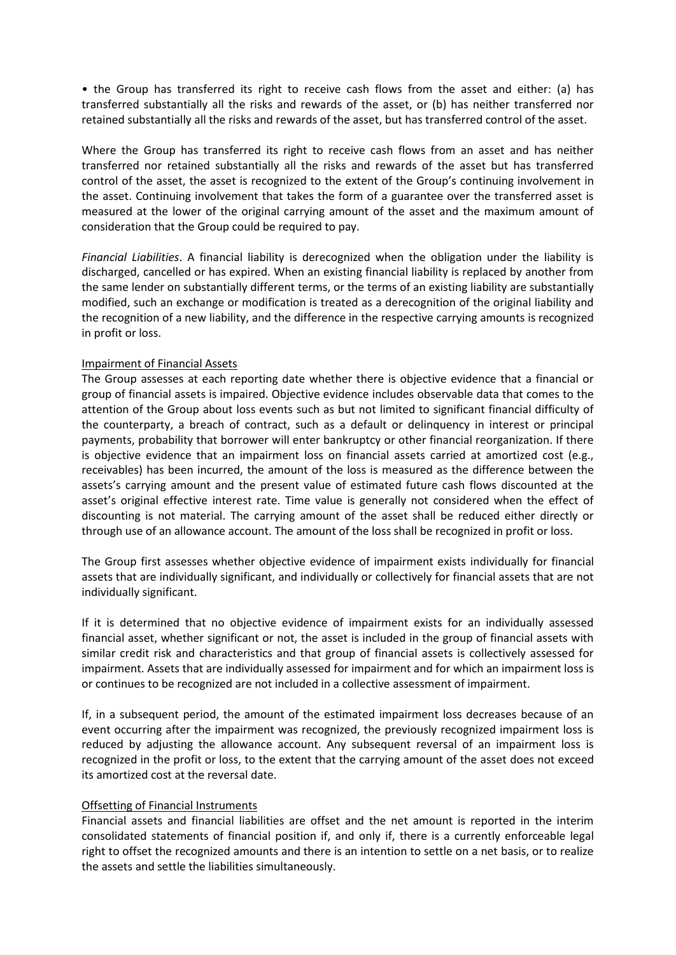• the Group has transferred its right to receive cash flows from the asset and either: (a) has transferred substantially all the risks and rewards of the asset, or (b) has neither transferred nor retained substantially all the risks and rewards of the asset, but has transferred control of the asset.

Where the Group has transferred its right to receive cash flows from an asset and has neither transferred nor retained substantially all the risks and rewards of the asset but has transferred control of the asset, the asset is recognized to the extent of the Group's continuing involvement in the asset. Continuing involvement that takes the form of a guarantee over the transferred asset is measured at the lower of the original carrying amount of the asset and the maximum amount of consideration that the Group could be required to pay.

*Financial Liabilities*. A financial liability is derecognized when the obligation under the liability is discharged, cancelled or has expired. When an existing financial liability is replaced by another from the same lender on substantially different terms, or the terms of an existing liability are substantially modified, such an exchange or modification is treated as a derecognition of the original liability and the recognition of a new liability, and the difference in the respective carrying amounts is recognized in profit or loss.

#### Impairment of Financial Assets

The Group assesses at each reporting date whether there is objective evidence that a financial or group of financial assets is impaired. Objective evidence includes observable data that comes to the attention of the Group about loss events such as but not limited to significant financial difficulty of the counterparty, a breach of contract, such as a default or delinquency in interest or principal payments, probability that borrower will enter bankruptcy or other financial reorganization. If there is objective evidence that an impairment loss on financial assets carried at amortized cost (e.g., receivables) has been incurred, the amount of the loss is measured as the difference between the assets's carrying amount and the present value of estimated future cash flows discounted at the asset's original effective interest rate. Time value is generally not considered when the effect of discounting is not material. The carrying amount of the asset shall be reduced either directly or through use of an allowance account. The amount of the loss shall be recognized in profit or loss.

The Group first assesses whether objective evidence of impairment exists individually for financial assets that are individually significant, and individually or collectively for financial assets that are not individually significant.

If it is determined that no objective evidence of impairment exists for an individually assessed financial asset, whether significant or not, the asset is included in the group of financial assets with similar credit risk and characteristics and that group of financial assets is collectively assessed for impairment. Assets that are individually assessed for impairment and for which an impairment loss is or continues to be recognized are not included in a collective assessment of impairment.

If, in a subsequent period, the amount of the estimated impairment loss decreases because of an event occurring after the impairment was recognized, the previously recognized impairment loss is reduced by adjusting the allowance account. Any subsequent reversal of an impairment loss is recognized in the profit or loss, to the extent that the carrying amount of the asset does not exceed its amortized cost at the reversal date.

# Offsetting of Financial Instruments

Financial assets and financial liabilities are offset and the net amount is reported in the interim consolidated statements of financial position if, and only if, there is a currently enforceable legal right to offset the recognized amounts and there is an intention to settle on a net basis, or to realize the assets and settle the liabilities simultaneously.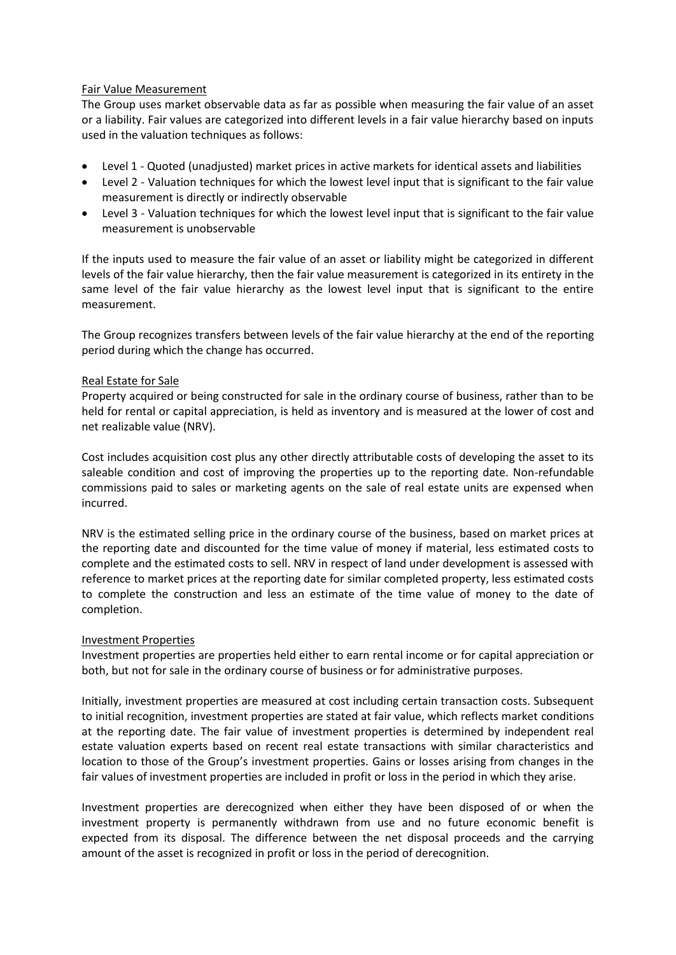# Fair Value Measurement

The Group uses market observable data as far as possible when measuring the fair value of an asset or a liability. Fair values are categorized into different levels in a fair value hierarchy based on inputs used in the valuation techniques as follows:

- Level 1 Quoted (unadjusted) market prices in active markets for identical assets and liabilities
- Level 2 Valuation techniques for which the lowest level input that is significant to the fair value measurement is directly or indirectly observable
- Level 3 Valuation techniques for which the lowest level input that is significant to the fair value measurement is unobservable

If the inputs used to measure the fair value of an asset or liability might be categorized in different levels of the fair value hierarchy, then the fair value measurement is categorized in its entirety in the same level of the fair value hierarchy as the lowest level input that is significant to the entire measurement.

The Group recognizes transfers between levels of the fair value hierarchy at the end of the reporting period during which the change has occurred.

# Real Estate for Sale

Property acquired or being constructed for sale in the ordinary course of business, rather than to be held for rental or capital appreciation, is held as inventory and is measured at the lower of cost and net realizable value (NRV).

Cost includes acquisition cost plus any other directly attributable costs of developing the asset to its saleable condition and cost of improving the properties up to the reporting date. Non-refundable commissions paid to sales or marketing agents on the sale of real estate units are expensed when incurred.

NRV is the estimated selling price in the ordinary course of the business, based on market prices at the reporting date and discounted for the time value of money if material, less estimated costs to complete and the estimated costs to sell. NRV in respect of land under development is assessed with reference to market prices at the reporting date for similar completed property, less estimated costs to complete the construction and less an estimate of the time value of money to the date of completion.

# Investment Properties

Investment properties are properties held either to earn rental income or for capital appreciation or both, but not for sale in the ordinary course of business or for administrative purposes.

Initially, investment properties are measured at cost including certain transaction costs. Subsequent to initial recognition, investment properties are stated at fair value, which reflects market conditions at the reporting date. The fair value of investment properties is determined by independent real estate valuation experts based on recent real estate transactions with similar characteristics and location to those of the Group's investment properties. Gains or losses arising from changes in the fair values of investment properties are included in profit or loss in the period in which they arise.

Investment properties are derecognized when either they have been disposed of or when the investment property is permanently withdrawn from use and no future economic benefit is expected from its disposal. The difference between the net disposal proceeds and the carrying amount of the asset is recognized in profit or loss in the period of derecognition.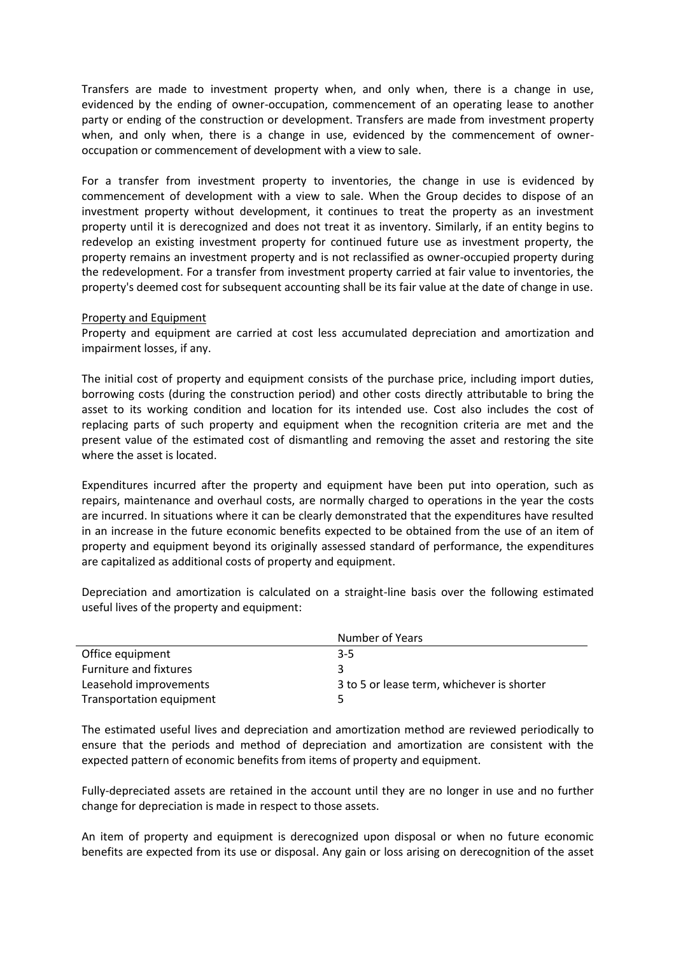Transfers are made to investment property when, and only when, there is a change in use, evidenced by the ending of owner-occupation, commencement of an operating lease to another party or ending of the construction or development. Transfers are made from investment property when, and only when, there is a change in use, evidenced by the commencement of owneroccupation or commencement of development with a view to sale.

For a transfer from investment property to inventories, the change in use is evidenced by commencement of development with a view to sale. When the Group decides to dispose of an investment property without development, it continues to treat the property as an investment property until it is derecognized and does not treat it as inventory. Similarly, if an entity begins to redevelop an existing investment property for continued future use as investment property, the property remains an investment property and is not reclassified as owner-occupied property during the redevelopment. For a transfer from investment property carried at fair value to inventories, the property's deemed cost for subsequent accounting shall be its fair value at the date of change in use.

#### Property and Equipment

Property and equipment are carried at cost less accumulated depreciation and amortization and impairment losses, if any.

The initial cost of property and equipment consists of the purchase price, including import duties, borrowing costs (during the construction period) and other costs directly attributable to bring the asset to its working condition and location for its intended use. Cost also includes the cost of replacing parts of such property and equipment when the recognition criteria are met and the present value of the estimated cost of dismantling and removing the asset and restoring the site where the asset is located.

Expenditures incurred after the property and equipment have been put into operation, such as repairs, maintenance and overhaul costs, are normally charged to operations in the year the costs are incurred. In situations where it can be clearly demonstrated that the expenditures have resulted in an increase in the future economic benefits expected to be obtained from the use of an item of property and equipment beyond its originally assessed standard of performance, the expenditures are capitalized as additional costs of property and equipment.

Depreciation and amortization is calculated on a straight-line basis over the following estimated useful lives of the property and equipment:

|                          | Number of Years                            |
|--------------------------|--------------------------------------------|
| Office equipment         | $3 - 5$                                    |
| Furniture and fixtures   | ર                                          |
| Leasehold improvements   | 3 to 5 or lease term, whichever is shorter |
| Transportation equipment |                                            |

The estimated useful lives and depreciation and amortization method are reviewed periodically to ensure that the periods and method of depreciation and amortization are consistent with the expected pattern of economic benefits from items of property and equipment.

Fully-depreciated assets are retained in the account until they are no longer in use and no further change for depreciation is made in respect to those assets.

An item of property and equipment is derecognized upon disposal or when no future economic benefits are expected from its use or disposal. Any gain or loss arising on derecognition of the asset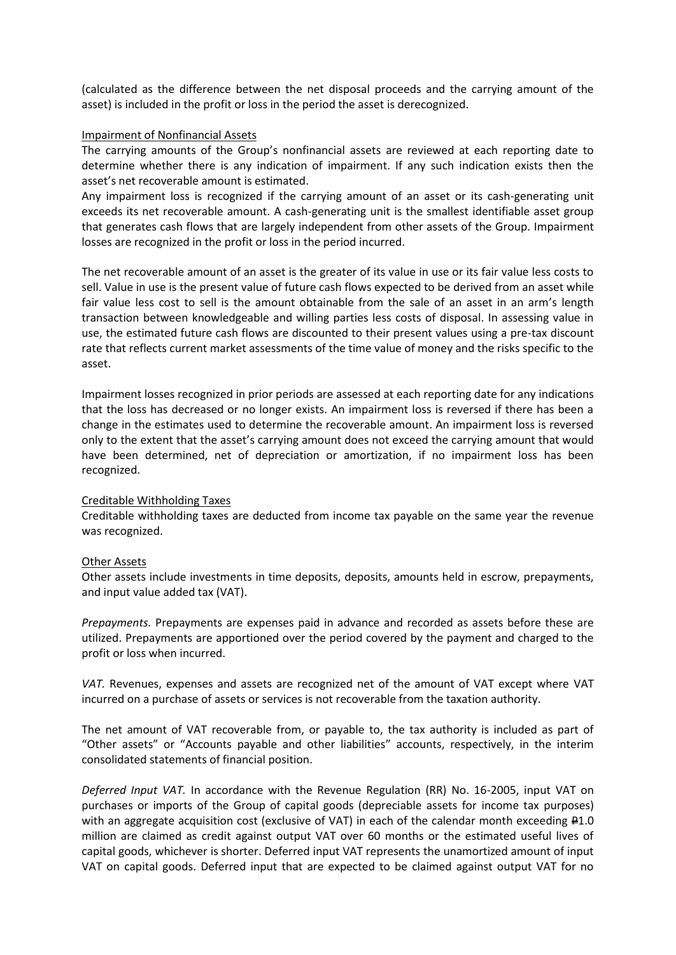(calculated as the difference between the net disposal proceeds and the carrying amount of the asset) is included in the profit or loss in the period the asset is derecognized.

#### Impairment of Nonfinancial Assets

The carrying amounts of the Group's nonfinancial assets are reviewed at each reporting date to determine whether there is any indication of impairment. If any such indication exists then the asset's net recoverable amount is estimated.

Any impairment loss is recognized if the carrying amount of an asset or its cash-generating unit exceeds its net recoverable amount. A cash-generating unit is the smallest identifiable asset group that generates cash flows that are largely independent from other assets of the Group. Impairment losses are recognized in the profit or loss in the period incurred.

The net recoverable amount of an asset is the greater of its value in use or its fair value less costs to sell. Value in use is the present value of future cash flows expected to be derived from an asset while fair value less cost to sell is the amount obtainable from the sale of an asset in an arm's length transaction between knowledgeable and willing parties less costs of disposal. In assessing value in use, the estimated future cash flows are discounted to their present values using a pre-tax discount rate that reflects current market assessments of the time value of money and the risks specific to the asset.

Impairment losses recognized in prior periods are assessed at each reporting date for any indications that the loss has decreased or no longer exists. An impairment loss is reversed if there has been a change in the estimates used to determine the recoverable amount. An impairment loss is reversed only to the extent that the asset's carrying amount does not exceed the carrying amount that would have been determined, net of depreciation or amortization, if no impairment loss has been recognized.

#### Creditable Withholding Taxes

Creditable withholding taxes are deducted from income tax payable on the same year the revenue was recognized.

#### Other Assets

Other assets include investments in time deposits, deposits, amounts held in escrow, prepayments, and input value added tax (VAT).

*Prepayments.* Prepayments are expenses paid in advance and recorded as assets before these are utilized. Prepayments are apportioned over the period covered by the payment and charged to the profit or loss when incurred.

*VAT.* Revenues, expenses and assets are recognized net of the amount of VAT except where VAT incurred on a purchase of assets or services is not recoverable from the taxation authority.

The net amount of VAT recoverable from, or payable to, the tax authority is included as part of "Other assets" or "Accounts payable and other liabilities" accounts, respectively, in the interim consolidated statements of financial position.

*Deferred Input VAT.* In accordance with the Revenue Regulation (RR) No. 16-2005, input VAT on purchases or imports of the Group of capital goods (depreciable assets for income tax purposes) with an aggregate acquisition cost (exclusive of VAT) in each of the calendar month exceeding  $\text{\texttt{P1.0}}$ million are claimed as credit against output VAT over 60 months or the estimated useful lives of capital goods, whichever is shorter. Deferred input VAT represents the unamortized amount of input VAT on capital goods. Deferred input that are expected to be claimed against output VAT for no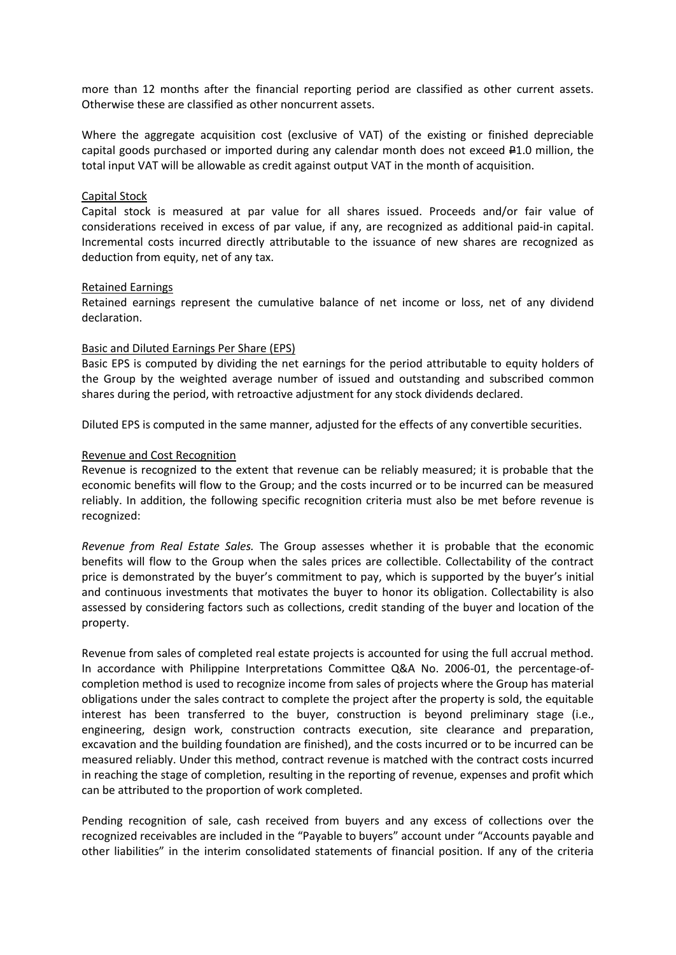more than 12 months after the financial reporting period are classified as other current assets. Otherwise these are classified as other noncurrent assets.

Where the aggregate acquisition cost (exclusive of VAT) of the existing or finished depreciable capital goods purchased or imported during any calendar month does not exceed  $\text{\textsterling}1.0$  million, the total input VAT will be allowable as credit against output VAT in the month of acquisition.

#### Capital Stock

Capital stock is measured at par value for all shares issued. Proceeds and/or fair value of considerations received in excess of par value, if any, are recognized as additional paid-in capital. Incremental costs incurred directly attributable to the issuance of new shares are recognized as deduction from equity, net of any tax.

#### Retained Earnings

Retained earnings represent the cumulative balance of net income or loss, net of any dividend declaration.

#### Basic and Diluted Earnings Per Share (EPS)

Basic EPS is computed by dividing the net earnings for the period attributable to equity holders of the Group by the weighted average number of issued and outstanding and subscribed common shares during the period, with retroactive adjustment for any stock dividends declared.

Diluted EPS is computed in the same manner, adjusted for the effects of any convertible securities.

#### Revenue and Cost Recognition

Revenue is recognized to the extent that revenue can be reliably measured; it is probable that the economic benefits will flow to the Group; and the costs incurred or to be incurred can be measured reliably. In addition, the following specific recognition criteria must also be met before revenue is recognized:

*Revenue from Real Estate Sales.* The Group assesses whether it is probable that the economic benefits will flow to the Group when the sales prices are collectible. Collectability of the contract price is demonstrated by the buyer's commitment to pay, which is supported by the buyer's initial and continuous investments that motivates the buyer to honor its obligation. Collectability is also assessed by considering factors such as collections, credit standing of the buyer and location of the property.

Revenue from sales of completed real estate projects is accounted for using the full accrual method. In accordance with Philippine Interpretations Committee Q&A No. 2006-01, the percentage-ofcompletion method is used to recognize income from sales of projects where the Group has material obligations under the sales contract to complete the project after the property is sold, the equitable interest has been transferred to the buyer, construction is beyond preliminary stage (i.e., engineering, design work, construction contracts execution, site clearance and preparation, excavation and the building foundation are finished), and the costs incurred or to be incurred can be measured reliably. Under this method, contract revenue is matched with the contract costs incurred in reaching the stage of completion, resulting in the reporting of revenue, expenses and profit which can be attributed to the proportion of work completed.

Pending recognition of sale, cash received from buyers and any excess of collections over the recognized receivables are included in the "Payable to buyers" account under "Accounts payable and other liabilities" in the interim consolidated statements of financial position. If any of the criteria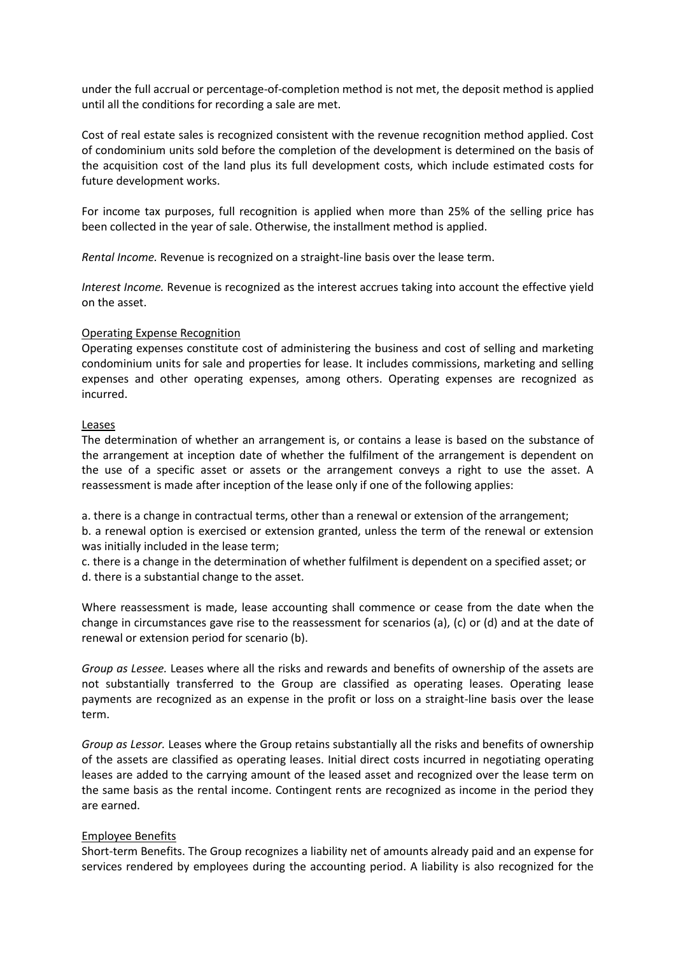under the full accrual or percentage-of-completion method is not met, the deposit method is applied until all the conditions for recording a sale are met.

Cost of real estate sales is recognized consistent with the revenue recognition method applied. Cost of condominium units sold before the completion of the development is determined on the basis of the acquisition cost of the land plus its full development costs, which include estimated costs for future development works.

For income tax purposes, full recognition is applied when more than 25% of the selling price has been collected in the year of sale. Otherwise, the installment method is applied.

*Rental Income.* Revenue is recognized on a straight-line basis over the lease term.

*Interest Income.* Revenue is recognized as the interest accrues taking into account the effective yield on the asset.

#### Operating Expense Recognition

Operating expenses constitute cost of administering the business and cost of selling and marketing condominium units for sale and properties for lease. It includes commissions, marketing and selling expenses and other operating expenses, among others. Operating expenses are recognized as incurred.

#### **Leases**

The determination of whether an arrangement is, or contains a lease is based on the substance of the arrangement at inception date of whether the fulfilment of the arrangement is dependent on the use of a specific asset or assets or the arrangement conveys a right to use the asset. A reassessment is made after inception of the lease only if one of the following applies:

a. there is a change in contractual terms, other than a renewal or extension of the arrangement;

b. a renewal option is exercised or extension granted, unless the term of the renewal or extension was initially included in the lease term;

c. there is a change in the determination of whether fulfilment is dependent on a specified asset; or d. there is a substantial change to the asset.

Where reassessment is made, lease accounting shall commence or cease from the date when the change in circumstances gave rise to the reassessment for scenarios (a), (c) or (d) and at the date of renewal or extension period for scenario (b).

*Group as Lessee.* Leases where all the risks and rewards and benefits of ownership of the assets are not substantially transferred to the Group are classified as operating leases. Operating lease payments are recognized as an expense in the profit or loss on a straight-line basis over the lease term.

*Group as Lessor.* Leases where the Group retains substantially all the risks and benefits of ownership of the assets are classified as operating leases. Initial direct costs incurred in negotiating operating leases are added to the carrying amount of the leased asset and recognized over the lease term on the same basis as the rental income. Contingent rents are recognized as income in the period they are earned.

# Employee Benefits

Short-term Benefits. The Group recognizes a liability net of amounts already paid and an expense for services rendered by employees during the accounting period. A liability is also recognized for the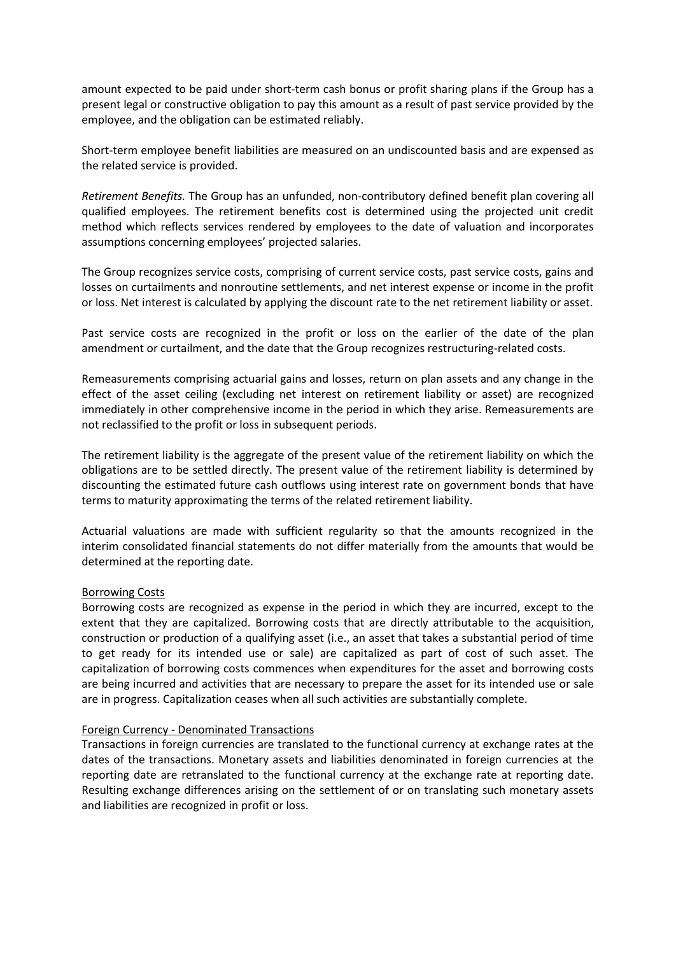amount expected to be paid under short-term cash bonus or profit sharing plans if the Group has a present legal or constructive obligation to pay this amount as a result of past service provided by the employee, and the obligation can be estimated reliably.

Short-term employee benefit liabilities are measured on an undiscounted basis and are expensed as the related service is provided.

*Retirement Benefits.* The Group has an unfunded, non-contributory defined benefit plan covering all qualified employees. The retirement benefits cost is determined using the projected unit credit method which reflects services rendered by employees to the date of valuation and incorporates assumptions concerning employees' projected salaries.

The Group recognizes service costs, comprising of current service costs, past service costs, gains and losses on curtailments and nonroutine settlements, and net interest expense or income in the profit or loss. Net interest is calculated by applying the discount rate to the net retirement liability or asset.

Past service costs are recognized in the profit or loss on the earlier of the date of the plan amendment or curtailment, and the date that the Group recognizes restructuring-related costs.

Remeasurements comprising actuarial gains and losses, return on plan assets and any change in the effect of the asset ceiling (excluding net interest on retirement liability or asset) are recognized immediately in other comprehensive income in the period in which they arise. Remeasurements are not reclassified to the profit or loss in subsequent periods.

The retirement liability is the aggregate of the present value of the retirement liability on which the obligations are to be settled directly. The present value of the retirement liability is determined by discounting the estimated future cash outflows using interest rate on government bonds that have terms to maturity approximating the terms of the related retirement liability.

Actuarial valuations are made with sufficient regularity so that the amounts recognized in the interim consolidated financial statements do not differ materially from the amounts that would be determined at the reporting date.

#### Borrowing Costs

Borrowing costs are recognized as expense in the period in which they are incurred, except to the extent that they are capitalized. Borrowing costs that are directly attributable to the acquisition, construction or production of a qualifying asset (i.e., an asset that takes a substantial period of time to get ready for its intended use or sale) are capitalized as part of cost of such asset. The capitalization of borrowing costs commences when expenditures for the asset and borrowing costs are being incurred and activities that are necessary to prepare the asset for its intended use or sale are in progress. Capitalization ceases when all such activities are substantially complete.

#### Foreign Currency - Denominated Transactions

Transactions in foreign currencies are translated to the functional currency at exchange rates at the dates of the transactions. Monetary assets and liabilities denominated in foreign currencies at the reporting date are retranslated to the functional currency at the exchange rate at reporting date. Resulting exchange differences arising on the settlement of or on translating such monetary assets and liabilities are recognized in profit or loss.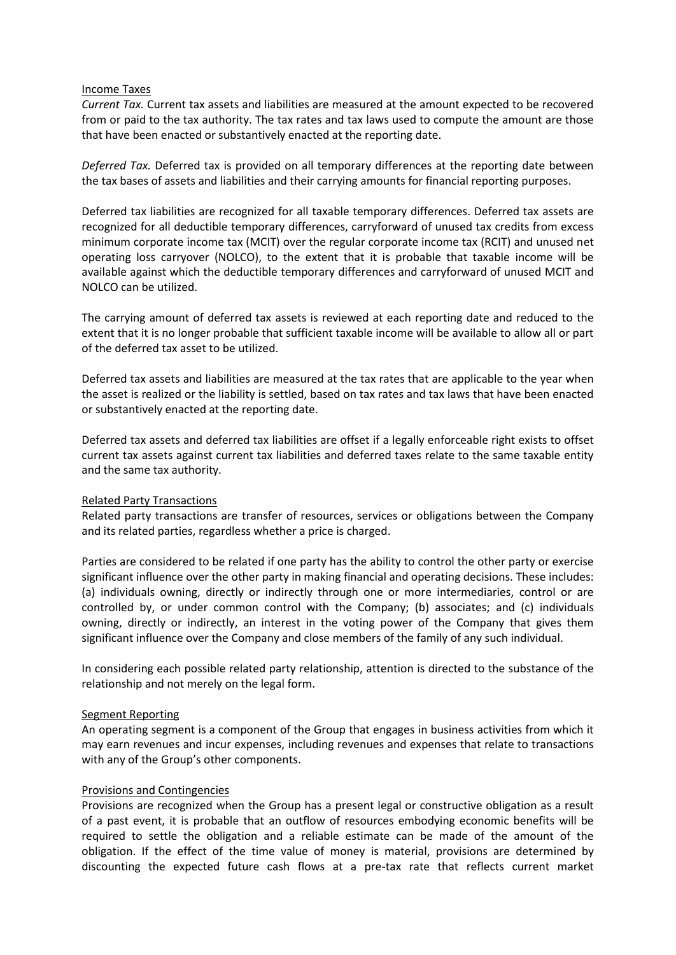#### Income Taxes

*Current Tax.* Current tax assets and liabilities are measured at the amount expected to be recovered from or paid to the tax authority. The tax rates and tax laws used to compute the amount are those that have been enacted or substantively enacted at the reporting date.

*Deferred Tax.* Deferred tax is provided on all temporary differences at the reporting date between the tax bases of assets and liabilities and their carrying amounts for financial reporting purposes.

Deferred tax liabilities are recognized for all taxable temporary differences. Deferred tax assets are recognized for all deductible temporary differences, carryforward of unused tax credits from excess minimum corporate income tax (MCIT) over the regular corporate income tax (RCIT) and unused net operating loss carryover (NOLCO), to the extent that it is probable that taxable income will be available against which the deductible temporary differences and carryforward of unused MCIT and NOLCO can be utilized.

The carrying amount of deferred tax assets is reviewed at each reporting date and reduced to the extent that it is no longer probable that sufficient taxable income will be available to allow all or part of the deferred tax asset to be utilized.

Deferred tax assets and liabilities are measured at the tax rates that are applicable to the year when the asset is realized or the liability is settled, based on tax rates and tax laws that have been enacted or substantively enacted at the reporting date.

Deferred tax assets and deferred tax liabilities are offset if a legally enforceable right exists to offset current tax assets against current tax liabilities and deferred taxes relate to the same taxable entity and the same tax authority.

# Related Party Transactions

Related party transactions are transfer of resources, services or obligations between the Company and its related parties, regardless whether a price is charged.

Parties are considered to be related if one party has the ability to control the other party or exercise significant influence over the other party in making financial and operating decisions. These includes: (a) individuals owning, directly or indirectly through one or more intermediaries, control or are controlled by, or under common control with the Company; (b) associates; and (c) individuals owning, directly or indirectly, an interest in the voting power of the Company that gives them significant influence over the Company and close members of the family of any such individual.

In considering each possible related party relationship, attention is directed to the substance of the relationship and not merely on the legal form.

# Segment Reporting

An operating segment is a component of the Group that engages in business activities from which it may earn revenues and incur expenses, including revenues and expenses that relate to transactions with any of the Group's other components.

# Provisions and Contingencies

Provisions are recognized when the Group has a present legal or constructive obligation as a result of a past event, it is probable that an outflow of resources embodying economic benefits will be required to settle the obligation and a reliable estimate can be made of the amount of the obligation. If the effect of the time value of money is material, provisions are determined by discounting the expected future cash flows at a pre-tax rate that reflects current market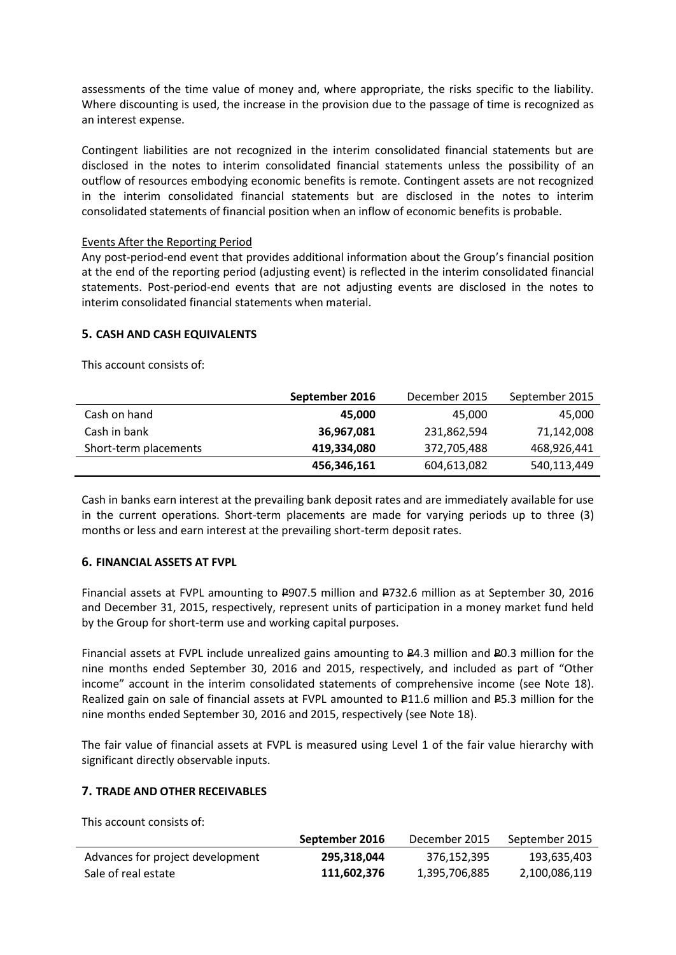assessments of the time value of money and, where appropriate, the risks specific to the liability. Where discounting is used, the increase in the provision due to the passage of time is recognized as an interest expense.

Contingent liabilities are not recognized in the interim consolidated financial statements but are disclosed in the notes to interim consolidated financial statements unless the possibility of an outflow of resources embodying economic benefits is remote. Contingent assets are not recognized in the interim consolidated financial statements but are disclosed in the notes to interim consolidated statements of financial position when an inflow of economic benefits is probable.

# Events After the Reporting Period

Any post-period-end event that provides additional information about the Group's financial position at the end of the reporting period (adjusting event) is reflected in the interim consolidated financial statements. Post-period-end events that are not adjusting events are disclosed in the notes to interim consolidated financial statements when material.

# **5. CASH AND CASH EQUIVALENTS**

This account consists of:

|                       | September 2016 | December 2015 | September 2015 |
|-----------------------|----------------|---------------|----------------|
| Cash on hand          | 45,000         | 45,000        | 45,000         |
| Cash in bank          | 36,967,081     | 231,862,594   | 71,142,008     |
| Short-term placements | 419,334,080    | 372,705,488   | 468,926,441    |
|                       | 456,346,161    | 604,613,082   | 540,113,449    |

Cash in banks earn interest at the prevailing bank deposit rates and are immediately available for use in the current operations. Short-term placements are made for varying periods up to three (3) months or less and earn interest at the prevailing short-term deposit rates.

# **6. FINANCIAL ASSETS AT FVPL**

Financial assets at FVPL amounting to  $E$ 907.5 million and  $E$ 732.6 million as at September 30, 2016 and December 31, 2015, respectively, represent units of participation in a money market fund held by the Group for short-term use and working capital purposes.

Financial assets at FVPL include unrealized gains amounting to P4.3 million and P0.3 million for the nine months ended September 30, 2016 and 2015, respectively, and included as part of "Other income" account in the interim consolidated statements of comprehensive income (see Note 18). Realized gain on sale of financial assets at FVPL amounted to  $\text{P11.6}$  million and P5.3 million for the nine months ended September 30, 2016 and 2015, respectively (see Note 18).

The fair value of financial assets at FVPL is measured using Level 1 of the fair value hierarchy with significant directly observable inputs.

# **7. TRADE AND OTHER RECEIVABLES**

This account consists of:

|                                  | September 2016 | December 2015 | September 2015 |
|----------------------------------|----------------|---------------|----------------|
| Advances for project development | 295.318.044    | 376.152.395   | 193,635,403    |
| Sale of real estate              | 111.602.376    | 1,395,706,885 | 2,100,086,119  |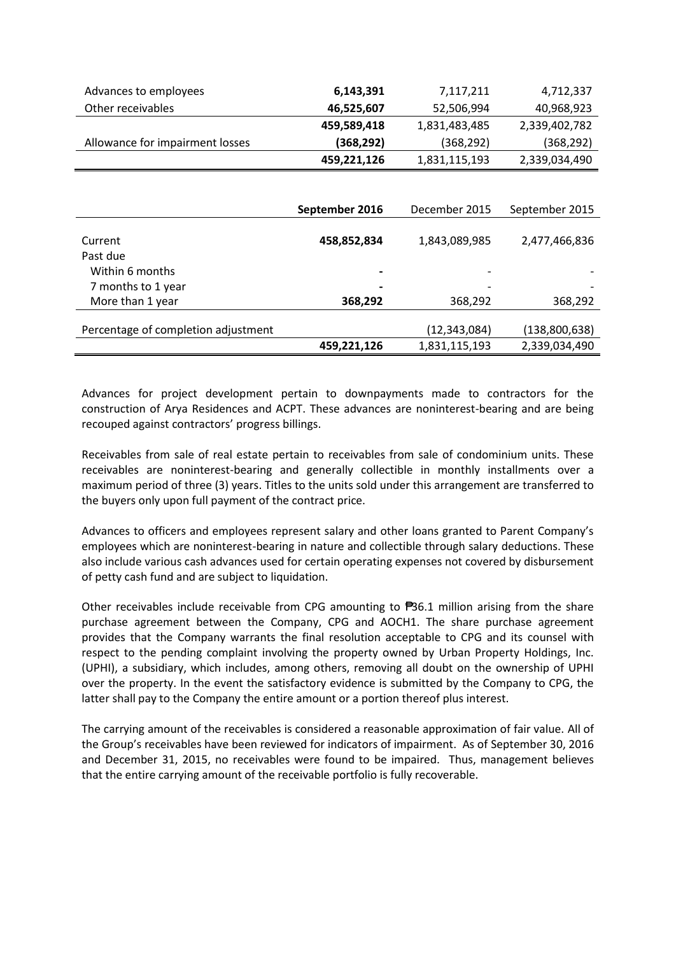| Advances to employees               | 6,143,391      | 7,117,211      | 4,712,337      |
|-------------------------------------|----------------|----------------|----------------|
| Other receivables                   | 46,525,607     | 52,506,994     | 40,968,923     |
|                                     | 459,589,418    | 1,831,483,485  | 2,339,402,782  |
| Allowance for impairment losses     | (368, 292)     | (368, 292)     | (368, 292)     |
|                                     | 459,221,126    | 1,831,115,193  | 2,339,034,490  |
|                                     |                |                |                |
|                                     |                |                |                |
|                                     | September 2016 | December 2015  | September 2015 |
| Current                             | 458,852,834    | 1,843,089,985  | 2,477,466,836  |
| Past due                            |                |                |                |
| Within 6 months                     |                |                |                |
| 7 months to 1 year                  |                |                |                |
| More than 1 year                    | 368,292        | 368,292        | 368,292        |
| Percentage of completion adjustment |                | (12, 343, 084) | (138,800,638)  |
|                                     | 459,221,126    | 1,831,115,193  | 2,339,034,490  |

Advances for project development pertain to downpayments made to contractors for the construction of Arya Residences and ACPT. These advances are noninterest-bearing and are being recouped against contractors' progress billings.

Receivables from sale of real estate pertain to receivables from sale of condominium units. These receivables are noninterest-bearing and generally collectible in monthly installments over a maximum period of three (3) years. Titles to the units sold under this arrangement are transferred to the buyers only upon full payment of the contract price.

Advances to officers and employees represent salary and other loans granted to Parent Company's employees which are noninterest-bearing in nature and collectible through salary deductions. These also include various cash advances used for certain operating expenses not covered by disbursement of petty cash fund and are subject to liquidation.

Other receivables include receivable from CPG amounting to ₱36.1 million arising from the share purchase agreement between the Company, CPG and AOCH1. The share purchase agreement provides that the Company warrants the final resolution acceptable to CPG and its counsel with respect to the pending complaint involving the property owned by Urban Property Holdings, Inc. (UPHI), a subsidiary, which includes, among others, removing all doubt on the ownership of UPHI over the property. In the event the satisfactory evidence is submitted by the Company to CPG, the latter shall pay to the Company the entire amount or a portion thereof plus interest.

The carrying amount of the receivables is considered a reasonable approximation of fair value. All of the Group's receivables have been reviewed for indicators of impairment. As of September 30, 2016 and December 31, 2015, no receivables were found to be impaired. Thus, management believes that the entire carrying amount of the receivable portfolio is fully recoverable.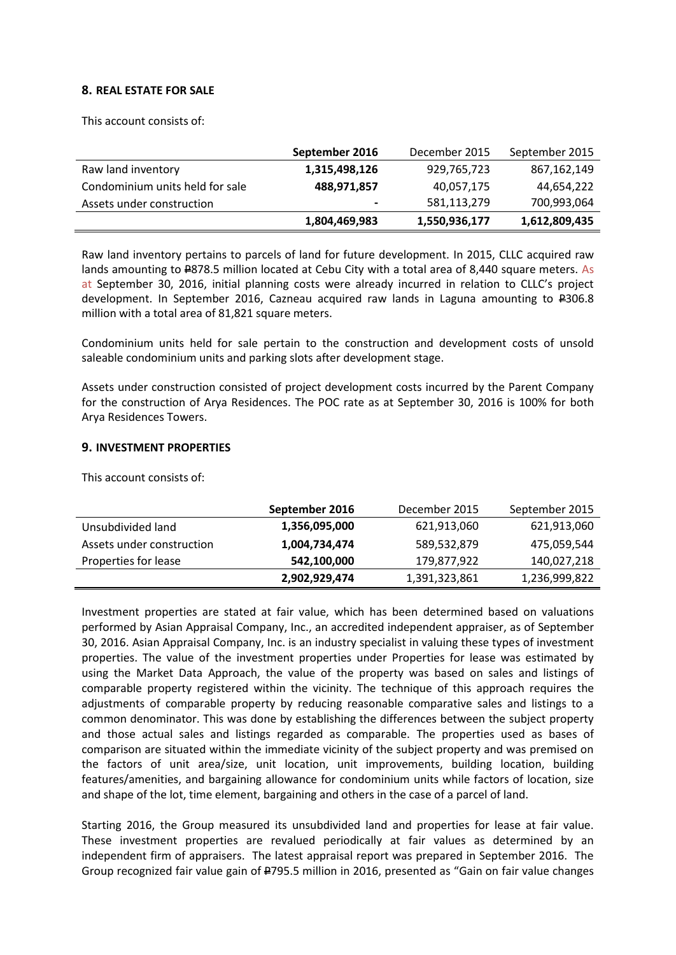# **8. REAL ESTATE FOR SALE**

This account consists of:

|                                 | September 2016 | December 2015 | September 2015 |
|---------------------------------|----------------|---------------|----------------|
| Raw land inventory              | 1,315,498,126  | 929,765,723   | 867,162,149    |
| Condominium units held for sale | 488,971,857    | 40,057,175    | 44,654,222     |
| Assets under construction       | $\blacksquare$ | 581,113,279   | 700,993,064    |
|                                 | 1,804,469,983  | 1,550,936,177 | 1,612,809,435  |

Raw land inventory pertains to parcels of land for future development. In 2015, CLLC acquired raw lands amounting to  $2878.5$  million located at Cebu City with a total area of 8,440 square meters. As at September 30, 2016, initial planning costs were already incurred in relation to CLLC's project development. In September 2016, Cazneau acquired raw lands in Laguna amounting to #306.8 million with a total area of 81,821 square meters.

Condominium units held for sale pertain to the construction and development costs of unsold saleable condominium units and parking slots after development stage.

Assets under construction consisted of project development costs incurred by the Parent Company for the construction of Arya Residences. The POC rate as at September 30, 2016 is 100% for both Arya Residences Towers.

#### **9. INVESTMENT PROPERTIES**

This account consists of:

|                           | September 2016 | December 2015 | September 2015 |
|---------------------------|----------------|---------------|----------------|
| Unsubdivided land         | 1,356,095,000  | 621,913,060   | 621,913,060    |
| Assets under construction | 1,004,734,474  | 589,532,879   | 475,059,544    |
| Properties for lease      | 542,100,000    | 179,877,922   | 140,027,218    |
|                           | 2,902,929,474  | 1,391,323,861 | 1,236,999,822  |

Investment properties are stated at fair value, which has been determined based on valuations performed by Asian Appraisal Company, Inc., an accredited independent appraiser, as of September 30, 2016. Asian Appraisal Company, Inc. is an industry specialist in valuing these types of investment properties. The value of the investment properties under Properties for lease was estimated by using the Market Data Approach, the value of the property was based on sales and listings of comparable property registered within the vicinity. The technique of this approach requires the adjustments of comparable property by reducing reasonable comparative sales and listings to a common denominator. This was done by establishing the differences between the subject property and those actual sales and listings regarded as comparable. The properties used as bases of comparison are situated within the immediate vicinity of the subject property and was premised on the factors of unit area/size, unit location, unit improvements, building location, building features/amenities, and bargaining allowance for condominium units while factors of location, size and shape of the lot, time element, bargaining and others in the case of a parcel of land.

Starting 2016, the Group measured its unsubdivided land and properties for lease at fair value. These investment properties are revalued periodically at fair values as determined by an independent firm of appraisers. The latest appraisal report was prepared in September 2016. The Group recognized fair value gain of #795.5 million in 2016, presented as "Gain on fair value changes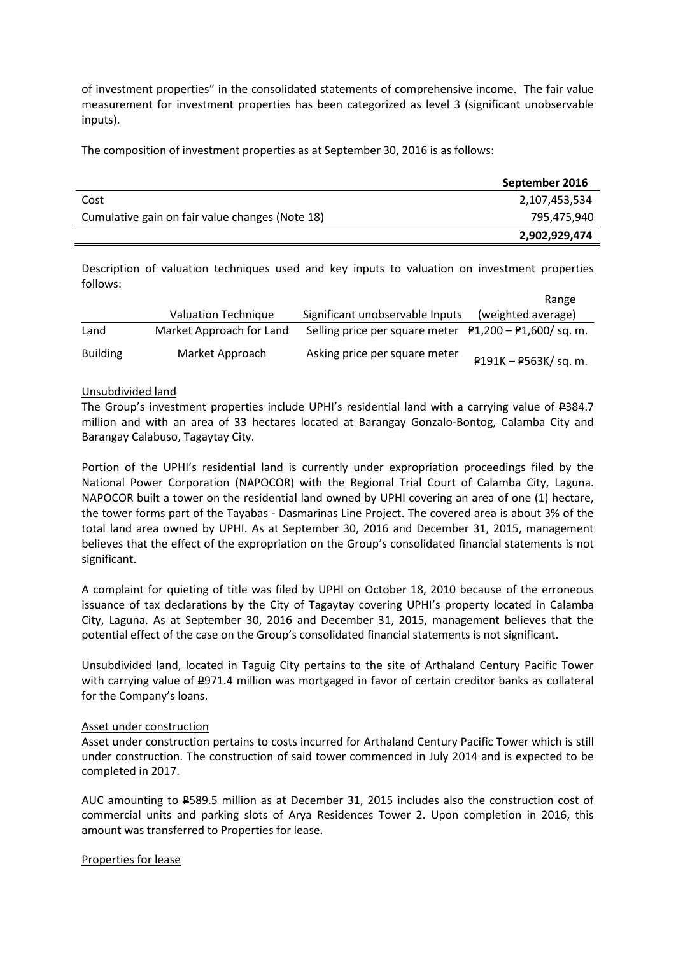of investment properties" in the consolidated statements of comprehensive income. The fair value measurement for investment properties has been categorized as level 3 (significant unobservable inputs).

The composition of investment properties as at September 30, 2016 is as follows:

|                                                 | September 2016 |
|-------------------------------------------------|----------------|
| Cost                                            | 2,107,453,534  |
| Cumulative gain on fair value changes (Note 18) | 795,475,940    |
|                                                 | 2,902,929,474  |

Description of valuation techniques used and key inputs to valuation on investment properties follows:

|                 |                          |                                                         | Range                 |
|-----------------|--------------------------|---------------------------------------------------------|-----------------------|
|                 | Valuation Technique      | Significant unobservable Inputs                         | (weighted average)    |
| Land            | Market Approach for Land | Selling price per square meter $P1,200 - P1,600$ sq. m. |                       |
| <b>Building</b> | Market Approach          | Asking price per square meter                           | P191K - P563K/ sq. m. |

# Unsubdivided land

The Group's investment properties include UPHI's residential land with a carrying value of  $\text{\textsterling}384.7$ million and with an area of 33 hectares located at Barangay Gonzalo-Bontog, Calamba City and Barangay Calabuso, Tagaytay City.

Portion of the UPHI's residential land is currently under expropriation proceedings filed by the National Power Corporation (NAPOCOR) with the Regional Trial Court of Calamba City, Laguna. NAPOCOR built a tower on the residential land owned by UPHI covering an area of one (1) hectare, the tower forms part of the Tayabas - Dasmarinas Line Project. The covered area is about 3% of the total land area owned by UPHI. As at September 30, 2016 and December 31, 2015, management believes that the effect of the expropriation on the Group's consolidated financial statements is not significant.

A complaint for quieting of title was filed by UPHI on October 18, 2010 because of the erroneous issuance of tax declarations by the City of Tagaytay covering UPHI's property located in Calamba City, Laguna. As at September 30, 2016 and December 31, 2015, management believes that the potential effect of the case on the Group's consolidated financial statements is not significant.

Unsubdivided land, located in Taguig City pertains to the site of Arthaland Century Pacific Tower with carrying value of  $E971.4$  million was mortgaged in favor of certain creditor banks as collateral for the Company's loans.

# Asset under construction

Asset under construction pertains to costs incurred for Arthaland Century Pacific Tower which is still under construction. The construction of said tower commenced in July 2014 and is expected to be completed in 2017.

AUC amounting to P589.5 million as at December 31, 2015 includes also the construction cost of commercial units and parking slots of Arya Residences Tower 2. Upon completion in 2016, this amount was transferred to Properties for lease.

# Properties for lease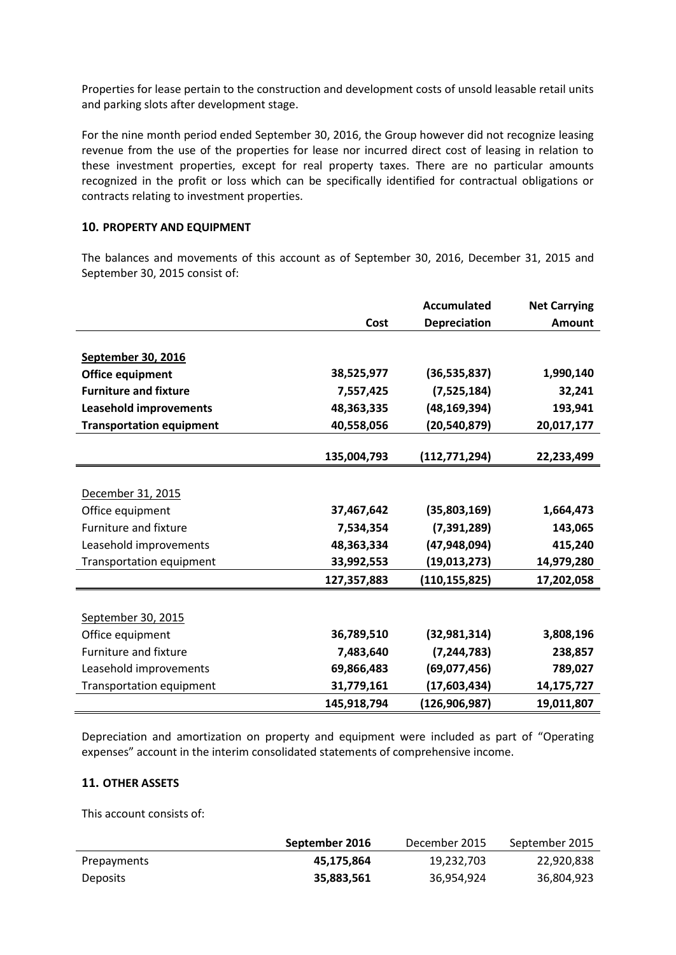Properties for lease pertain to the construction and development costs of unsold leasable retail units and parking slots after development stage.

For the nine month period ended September 30, 2016, the Group however did not recognize leasing revenue from the use of the properties for lease nor incurred direct cost of leasing in relation to these investment properties, except for real property taxes. There are no particular amounts recognized in the profit or loss which can be specifically identified for contractual obligations or contracts relating to investment properties.

# **10. PROPERTY AND EQUIPMENT**

The balances and movements of this account as of September 30, 2016, December 31, 2015 and September 30, 2015 consist of:

|                                 |             | <b>Accumulated</b> | <b>Net Carrying</b> |
|---------------------------------|-------------|--------------------|---------------------|
|                                 | Cost        | Depreciation       | <b>Amount</b>       |
|                                 |             |                    |                     |
| <b>September 30, 2016</b>       |             |                    |                     |
| <b>Office equipment</b>         | 38,525,977  | (36, 535, 837)     | 1,990,140           |
| <b>Furniture and fixture</b>    | 7,557,425   | (7,525,184)        | 32,241              |
| <b>Leasehold improvements</b>   | 48,363,335  | (48, 169, 394)     | 193,941             |
| <b>Transportation equipment</b> | 40,558,056  | (20, 540, 879)     | 20,017,177          |
|                                 |             |                    |                     |
|                                 | 135,004,793 | (112, 771, 294)    | 22,233,499          |
|                                 |             |                    |                     |
| December 31, 2015               |             |                    |                     |
| Office equipment                | 37,467,642  | (35,803,169)       | 1,664,473           |
| Furniture and fixture           | 7,534,354   | (7, 391, 289)      | 143,065             |
| Leasehold improvements          | 48,363,334  | (47, 948, 094)     | 415,240             |
| <b>Transportation equipment</b> | 33,992,553  | (19, 013, 273)     | 14,979,280          |
|                                 | 127,357,883 | (110, 155, 825)    | 17,202,058          |
|                                 |             |                    |                     |
| September 30, 2015              |             |                    |                     |
| Office equipment                | 36,789,510  | (32, 981, 314)     | 3,808,196           |
| Furniture and fixture           | 7,483,640   | (7, 244, 783)      | 238,857             |
| Leasehold improvements          | 69,866,483  | (69,077,456)       | 789,027             |
| Transportation equipment        | 31,779,161  | (17,603,434)       | 14,175,727          |
|                                 | 145,918,794 | (126,906,987)      | 19,011,807          |

Depreciation and amortization on property and equipment were included as part of "Operating expenses" account in the interim consolidated statements of comprehensive income.

# **11. OTHER ASSETS**

This account consists of:

|             | September 2016 | December 2015 | September 2015 |
|-------------|----------------|---------------|----------------|
| Prepayments | 45.175.864     | 19,232,703    | 22,920,838     |
| Deposits    | 35,883,561     | 36,954,924    | 36,804,923     |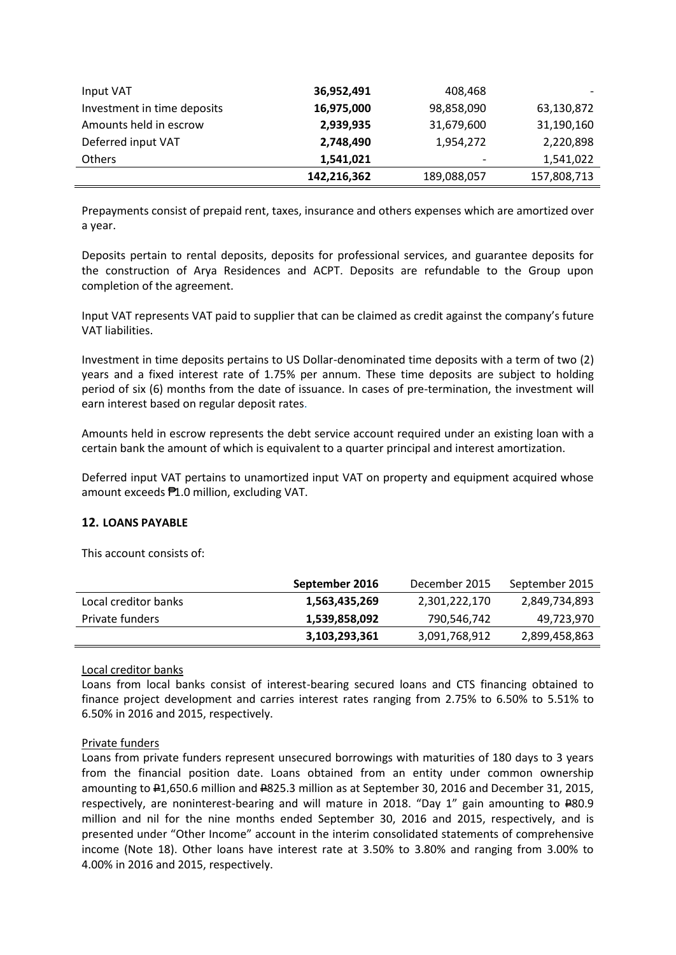| Input VAT                   | 36,952,491  | 408,468                  |             |
|-----------------------------|-------------|--------------------------|-------------|
| Investment in time deposits | 16,975,000  | 98,858,090               | 63,130,872  |
| Amounts held in escrow      | 2,939,935   | 31,679,600               | 31,190,160  |
| Deferred input VAT          | 2,748,490   | 1,954,272                | 2,220,898   |
| <b>Others</b>               | 1,541,021   | $\overline{\phantom{a}}$ | 1,541,022   |
|                             | 142,216,362 | 189,088,057              | 157,808,713 |

Prepayments consist of prepaid rent, taxes, insurance and others expenses which are amortized over a year.

Deposits pertain to rental deposits, deposits for professional services, and guarantee deposits for the construction of Arya Residences and ACPT. Deposits are refundable to the Group upon completion of the agreement.

Input VAT represents VAT paid to supplier that can be claimed as credit against the company's future VAT liabilities.

Investment in time deposits pertains to US Dollar-denominated time deposits with a term of two (2) years and a fixed interest rate of 1.75% per annum. These time deposits are subject to holding period of six (6) months from the date of issuance. In cases of pre-termination, the investment will earn interest based on regular deposit rates.

Amounts held in escrow represents the debt service account required under an existing loan with a certain bank the amount of which is equivalent to a quarter principal and interest amortization.

Deferred input VAT pertains to unamortized input VAT on property and equipment acquired whose amount exceeds ₱1.0 million, excluding VAT.

# **12. LOANS PAYABLE**

This account consists of:

|                      | September 2016 | December 2015 | September 2015 |
|----------------------|----------------|---------------|----------------|
| Local creditor banks | 1,563,435,269  | 2,301,222,170 | 2,849,734,893  |
| Private funders      | 1,539,858,092  | 790,546,742   | 49,723,970     |
|                      | 3,103,293,361  | 3,091,768,912 | 2,899,458,863  |

# Local creditor banks

Loans from local banks consist of interest-bearing secured loans and CTS financing obtained to finance project development and carries interest rates ranging from 2.75% to 6.50% to 5.51% to 6.50% in 2016 and 2015, respectively.

#### Private funders

Loans from private funders represent unsecured borrowings with maturities of 180 days to 3 years from the financial position date. Loans obtained from an entity under common ownership amounting to P1,650.6 million and P825.3 million as at September 30, 2016 and December 31, 2015, respectively, are noninterest-bearing and will mature in 2018. "Day 1" gain amounting to P80.9 million and nil for the nine months ended September 30, 2016 and 2015, respectively, and is presented under "Other Income" account in the interim consolidated statements of comprehensive income (Note 18). Other loans have interest rate at 3.50% to 3.80% and ranging from 3.00% to 4.00% in 2016 and 2015, respectively.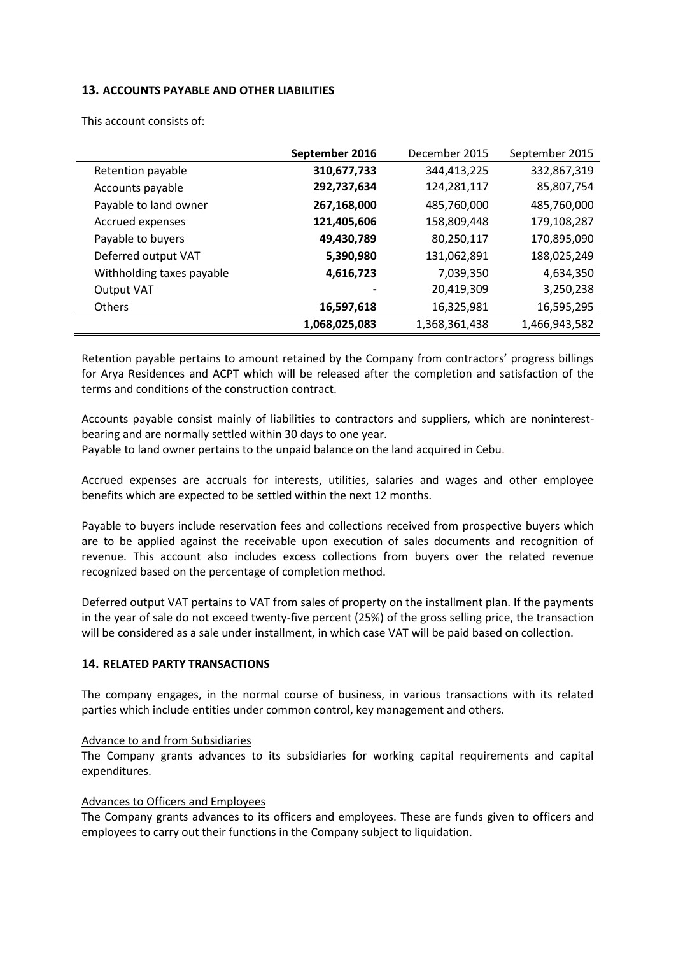# **13. ACCOUNTS PAYABLE AND OTHER LIABILITIES**

|                           | September 2016 | December 2015 | September 2015 |
|---------------------------|----------------|---------------|----------------|
| Retention payable         | 310,677,733    | 344,413,225   | 332,867,319    |
| Accounts payable          | 292,737,634    | 124,281,117   | 85,807,754     |
| Payable to land owner     | 267,168,000    | 485,760,000   | 485,760,000    |
| Accrued expenses          | 121,405,606    | 158,809,448   | 179,108,287    |
| Payable to buyers         | 49,430,789     | 80,250,117    | 170,895,090    |
| Deferred output VAT       | 5,390,980      | 131,062,891   | 188,025,249    |
| Withholding taxes payable | 4,616,723      | 7,039,350     | 4,634,350      |
| <b>Output VAT</b>         |                | 20,419,309    | 3,250,238      |
| Others                    | 16,597,618     | 16,325,981    | 16,595,295     |
|                           | 1,068,025,083  | 1,368,361,438 | 1,466,943,582  |

This account consists of:

Retention payable pertains to amount retained by the Company from contractors' progress billings for Arya Residences and ACPT which will be released after the completion and satisfaction of the terms and conditions of the construction contract.

Accounts payable consist mainly of liabilities to contractors and suppliers, which are noninterestbearing and are normally settled within 30 days to one year.

Payable to land owner pertains to the unpaid balance on the land acquired in Cebu.

Accrued expenses are accruals for interests, utilities, salaries and wages and other employee benefits which are expected to be settled within the next 12 months.

Payable to buyers include reservation fees and collections received from prospective buyers which are to be applied against the receivable upon execution of sales documents and recognition of revenue. This account also includes excess collections from buyers over the related revenue recognized based on the percentage of completion method.

Deferred output VAT pertains to VAT from sales of property on the installment plan. If the payments in the year of sale do not exceed twenty-five percent (25%) of the gross selling price, the transaction will be considered as a sale under installment, in which case VAT will be paid based on collection.

# **14. RELATED PARTY TRANSACTIONS**

The company engages, in the normal course of business, in various transactions with its related parties which include entities under common control, key management and others.

# Advance to and from Subsidiaries

The Company grants advances to its subsidiaries for working capital requirements and capital expenditures.

# Advances to Officers and Employees

The Company grants advances to its officers and employees. These are funds given to officers and employees to carry out their functions in the Company subject to liquidation.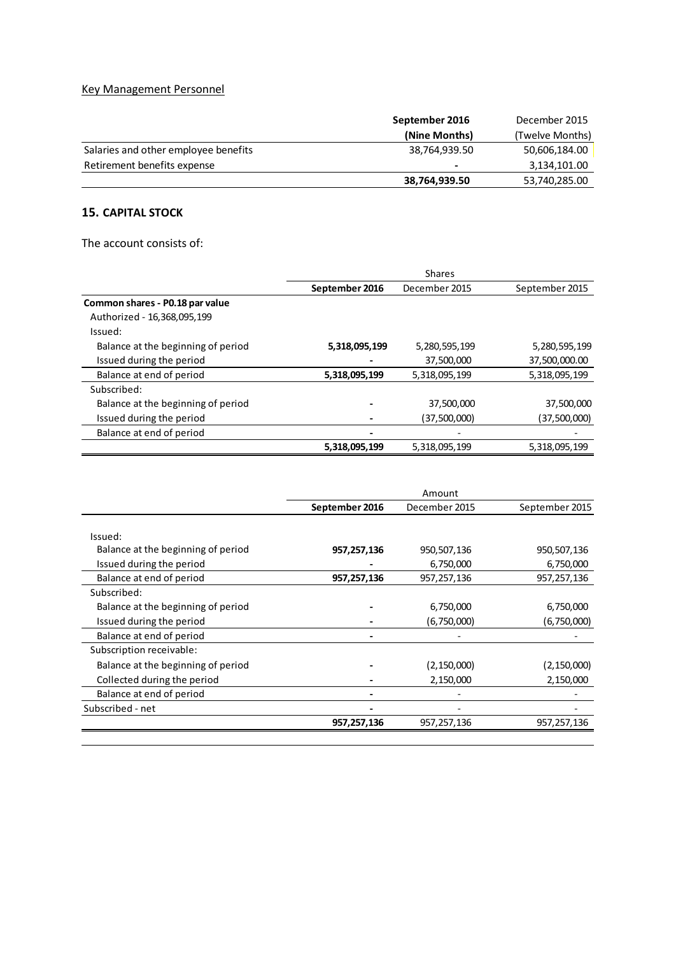# Key Management Personnel

|                                      | September 2016 | December 2015   |
|--------------------------------------|----------------|-----------------|
|                                      | (Nine Months)  | (Twelve Months) |
| Salaries and other employee benefits | 38.764.939.50  | 50,606,184.00   |
| Retirement benefits expense          | $\blacksquare$ | 3,134,101.00    |
|                                      | 38,764,939.50  | 53,740,285.00   |

# **15. CAPITAL STOCK**

The account consists of:

|                                    | <b>Shares</b>                   |               |                |
|------------------------------------|---------------------------------|---------------|----------------|
|                                    | September 2016<br>December 2015 |               | September 2015 |
| Common shares - P0.18 par value    |                                 |               |                |
| Authorized - 16,368,095,199        |                                 |               |                |
| Issued:                            |                                 |               |                |
| Balance at the beginning of period | 5,318,095,199                   | 5,280,595,199 | 5,280,595,199  |
| Issued during the period           |                                 | 37,500,000    | 37,500,000.00  |
| Balance at end of period           | 5,318,095,199                   | 5,318,095,199 | 5,318,095,199  |
| Subscribed:                        |                                 |               |                |
| Balance at the beginning of period |                                 | 37,500,000    | 37,500,000     |
| Issued during the period           |                                 | (37,500,000)  | (37,500,000)   |
| Balance at end of period           |                                 |               |                |
|                                    | 5,318,095,199                   | 5,318,095,199 | 5,318,095,199  |

|                                    | Amount         |               |                |
|------------------------------------|----------------|---------------|----------------|
|                                    | September 2016 | December 2015 | September 2015 |
|                                    |                |               |                |
| Issued:                            |                |               |                |
| Balance at the beginning of period | 957,257,136    | 950,507,136   | 950,507,136    |
| Issued during the period           |                | 6,750,000     | 6,750,000      |
| Balance at end of period           | 957,257,136    | 957,257,136   | 957,257,136    |
| Subscribed:                        |                |               |                |
| Balance at the beginning of period |                | 6,750,000     | 6,750,000      |
| Issued during the period           |                | (6,750,000)   | (6,750,000)    |
| Balance at end of period           |                |               |                |
| Subscription receivable:           |                |               |                |
| Balance at the beginning of period |                | (2, 150, 000) | (2, 150, 000)  |
| Collected during the period        |                | 2,150,000     | 2,150,000      |
| Balance at end of period           |                |               |                |
| Subscribed - net                   |                |               |                |
|                                    | 957,257,136    | 957,257,136   | 957,257,136    |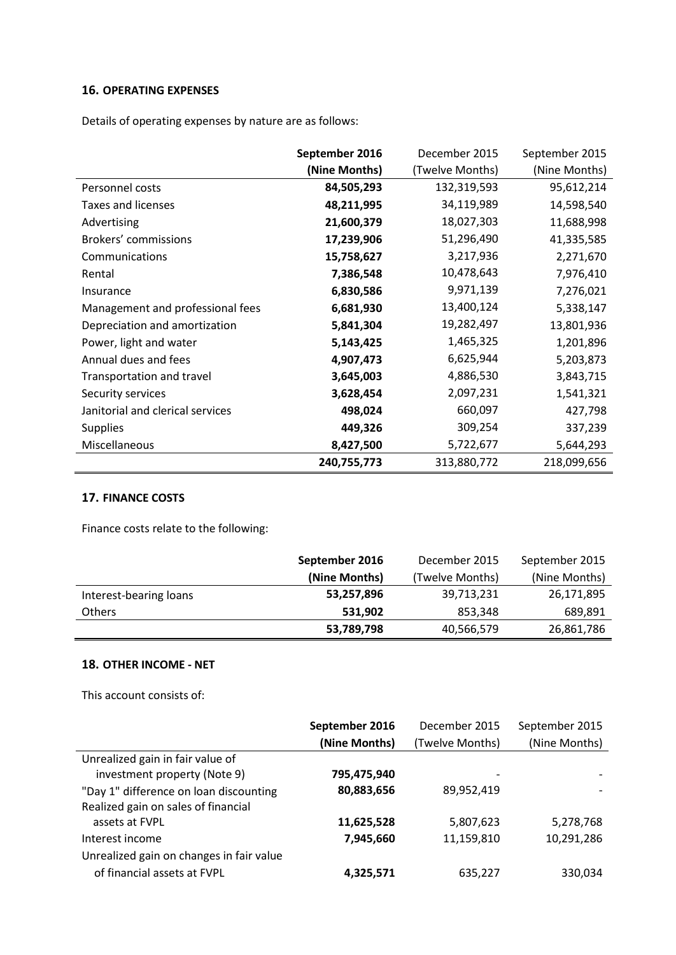# **16. OPERATING EXPENSES**

Details of operating expenses by nature are as follows:

|                                  | September 2016 | December 2015   | September 2015 |
|----------------------------------|----------------|-----------------|----------------|
|                                  | (Nine Months)  | (Twelve Months) | (Nine Months)  |
| Personnel costs                  | 84,505,293     | 132,319,593     | 95,612,214     |
| Taxes and licenses               | 48,211,995     | 34,119,989      | 14,598,540     |
| Advertising                      | 21,600,379     | 18,027,303      | 11,688,998     |
| Brokers' commissions             | 17,239,906     | 51,296,490      | 41,335,585     |
| Communications                   | 15,758,627     | 3,217,936       | 2,271,670      |
| Rental                           | 7,386,548      | 10,478,643      | 7,976,410      |
| Insurance                        | 6,830,586      | 9,971,139       | 7,276,021      |
| Management and professional fees | 6,681,930      | 13,400,124      | 5,338,147      |
| Depreciation and amortization    | 5,841,304      | 19,282,497      | 13,801,936     |
| Power, light and water           | 5,143,425      | 1,465,325       | 1,201,896      |
| Annual dues and fees             | 4,907,473      | 6,625,944       | 5,203,873      |
| Transportation and travel        | 3,645,003      | 4,886,530       | 3,843,715      |
| Security services                | 3,628,454      | 2,097,231       | 1,541,321      |
| Janitorial and clerical services | 498,024        | 660,097         | 427,798        |
| <b>Supplies</b>                  | 449,326        | 309,254         | 337,239        |
| Miscellaneous                    | 8,427,500      | 5,722,677       | 5,644,293      |
|                                  | 240,755,773    | 313,880,772     | 218,099,656    |

# **17. FINANCE COSTS**

Finance costs relate to the following:

|                        | September 2016 | December 2015   | September 2015 |
|------------------------|----------------|-----------------|----------------|
|                        | (Nine Months)  | (Twelve Months) | (Nine Months)  |
| Interest-bearing loans | 53,257,896     | 39,713,231      | 26,171,895     |
| <b>Others</b>          | 531.902        | 853,348         | 689,891        |
|                        | 53,789,798     | 40,566,579      | 26,861,786     |

# **18. OTHER INCOME - NET**

This account consists of:

|                                          | September 2016 | December 2015   | September 2015 |
|------------------------------------------|----------------|-----------------|----------------|
|                                          | (Nine Months)  | (Twelve Months) | (Nine Months)  |
| Unrealized gain in fair value of         |                |                 |                |
| investment property (Note 9)             | 795,475,940    |                 |                |
| "Day 1" difference on loan discounting   | 80,883,656     | 89,952,419      |                |
| Realized gain on sales of financial      |                |                 |                |
| assets at FVPL                           | 11,625,528     | 5,807,623       | 5,278,768      |
| Interest income                          | 7,945,660      | 11,159,810      | 10,291,286     |
| Unrealized gain on changes in fair value |                |                 |                |
| of financial assets at FVPL              | 4,325,571      | 635,227         | 330,034        |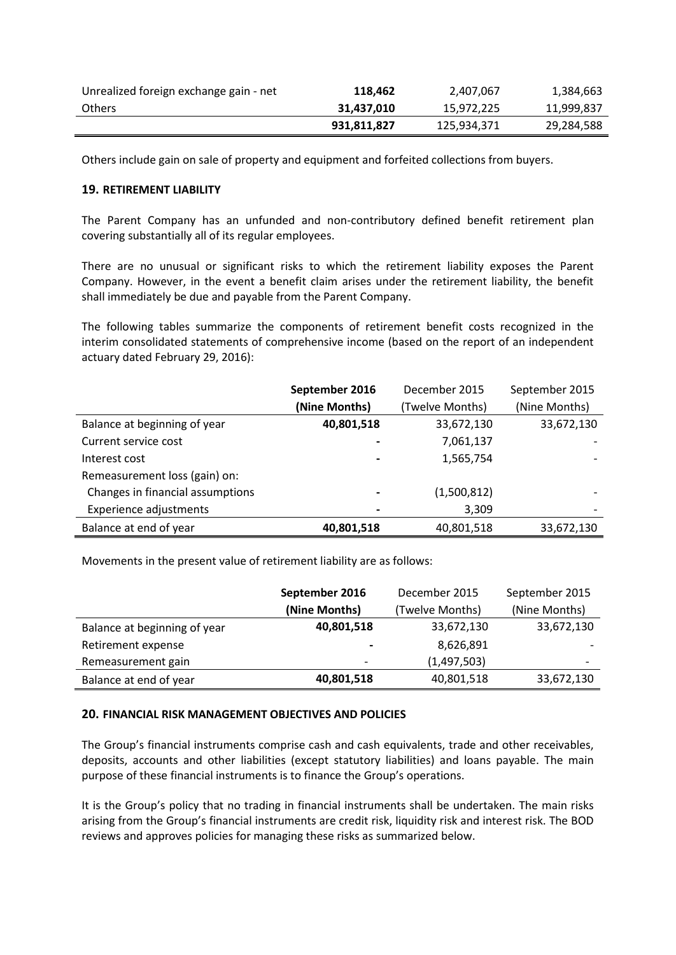| Unrealized foreign exchange gain - net | 118,462     | 2,407,067   | 1,384,663  |
|----------------------------------------|-------------|-------------|------------|
| <b>Others</b>                          | 31,437,010  | 15,972,225  | 11,999,837 |
|                                        | 931,811,827 | 125,934,371 | 29,284,588 |

Others include gain on sale of property and equipment and forfeited collections from buyers.

# **19. RETIREMENT LIABILITY**

The Parent Company has an unfunded and non-contributory defined benefit retirement plan covering substantially all of its regular employees.

There are no unusual or significant risks to which the retirement liability exposes the Parent Company. However, in the event a benefit claim arises under the retirement liability, the benefit shall immediately be due and payable from the Parent Company.

The following tables summarize the components of retirement benefit costs recognized in the interim consolidated statements of comprehensive income (based on the report of an independent actuary dated February 29, 2016):

|                                  | September 2016<br>December 2015 |                 | September 2015 |
|----------------------------------|---------------------------------|-----------------|----------------|
|                                  | (Nine Months)                   | (Twelve Months) | (Nine Months)  |
| Balance at beginning of year     | 40,801,518                      | 33,672,130      | 33,672,130     |
| Current service cost             | $\overline{\phantom{0}}$        | 7,061,137       |                |
| Interest cost                    |                                 | 1,565,754       |                |
| Remeasurement loss (gain) on:    |                                 |                 |                |
| Changes in financial assumptions |                                 | (1,500,812)     |                |
| <b>Experience adjustments</b>    |                                 | 3,309           |                |
| Balance at end of year           | 40,801,518                      | 40,801,518      | 33,672,130     |

Movements in the present value of retirement liability are as follows:

|                              | September 2016<br>December 2015 |                 | September 2015 |
|------------------------------|---------------------------------|-----------------|----------------|
|                              | (Nine Months)                   | (Twelve Months) | (Nine Months)  |
| Balance at beginning of year | 40,801,518                      | 33,672,130      | 33,672,130     |
| Retirement expense           |                                 | 8,626,891       |                |
| Remeasurement gain           | $\overline{\phantom{0}}$        | (1,497,503)     |                |
| Balance at end of year       | 40,801,518                      | 40,801,518      | 33,672,130     |

# **20. FINANCIAL RISK MANAGEMENT OBJECTIVES AND POLICIES**

The Group's financial instruments comprise cash and cash equivalents, trade and other receivables, deposits, accounts and other liabilities (except statutory liabilities) and loans payable. The main purpose of these financial instruments is to finance the Group's operations.

It is the Group's policy that no trading in financial instruments shall be undertaken. The main risks arising from the Group's financial instruments are credit risk, liquidity risk and interest risk. The BOD reviews and approves policies for managing these risks as summarized below.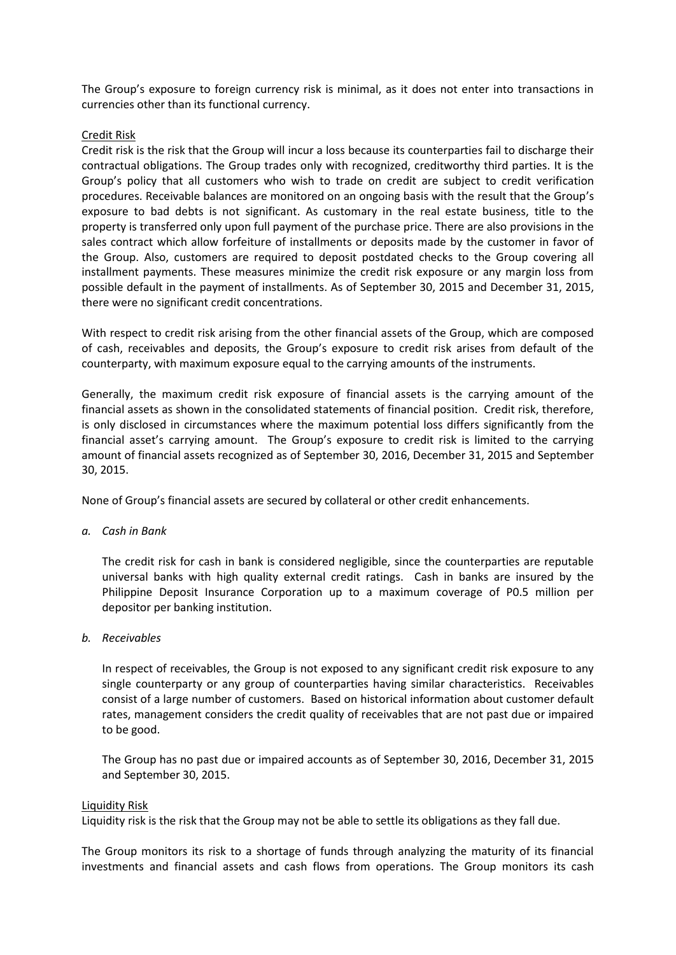The Group's exposure to foreign currency risk is minimal, as it does not enter into transactions in currencies other than its functional currency.

#### Credit Risk

Credit risk is the risk that the Group will incur a loss because its counterparties fail to discharge their contractual obligations. The Group trades only with recognized, creditworthy third parties. It is the Group's policy that all customers who wish to trade on credit are subject to credit verification procedures. Receivable balances are monitored on an ongoing basis with the result that the Group's exposure to bad debts is not significant. As customary in the real estate business, title to the property is transferred only upon full payment of the purchase price. There are also provisions in the sales contract which allow forfeiture of installments or deposits made by the customer in favor of the Group. Also, customers are required to deposit postdated checks to the Group covering all installment payments. These measures minimize the credit risk exposure or any margin loss from possible default in the payment of installments. As of September 30, 2015 and December 31, 2015, there were no significant credit concentrations.

With respect to credit risk arising from the other financial assets of the Group, which are composed of cash, receivables and deposits, the Group's exposure to credit risk arises from default of the counterparty, with maximum exposure equal to the carrying amounts of the instruments.

Generally, the maximum credit risk exposure of financial assets is the carrying amount of the financial assets as shown in the consolidated statements of financial position. Credit risk, therefore, is only disclosed in circumstances where the maximum potential loss differs significantly from the financial asset's carrying amount. The Group's exposure to credit risk is limited to the carrying amount of financial assets recognized as of September 30, 2016, December 31, 2015 and September 30, 2015.

None of Group's financial assets are secured by collateral or other credit enhancements.

*a. Cash in Bank*

The credit risk for cash in bank is considered negligible, since the counterparties are reputable universal banks with high quality external credit ratings. Cash in banks are insured by the Philippine Deposit Insurance Corporation up to a maximum coverage of P0.5 million per depositor per banking institution.

*b. Receivables* 

In respect of receivables, the Group is not exposed to any significant credit risk exposure to any single counterparty or any group of counterparties having similar characteristics. Receivables consist of a large number of customers. Based on historical information about customer default rates, management considers the credit quality of receivables that are not past due or impaired to be good.

The Group has no past due or impaired accounts as of September 30, 2016, December 31, 2015 and September 30, 2015.

#### Liquidity Risk

Liquidity risk is the risk that the Group may not be able to settle its obligations as they fall due.

The Group monitors its risk to a shortage of funds through analyzing the maturity of its financial investments and financial assets and cash flows from operations. The Group monitors its cash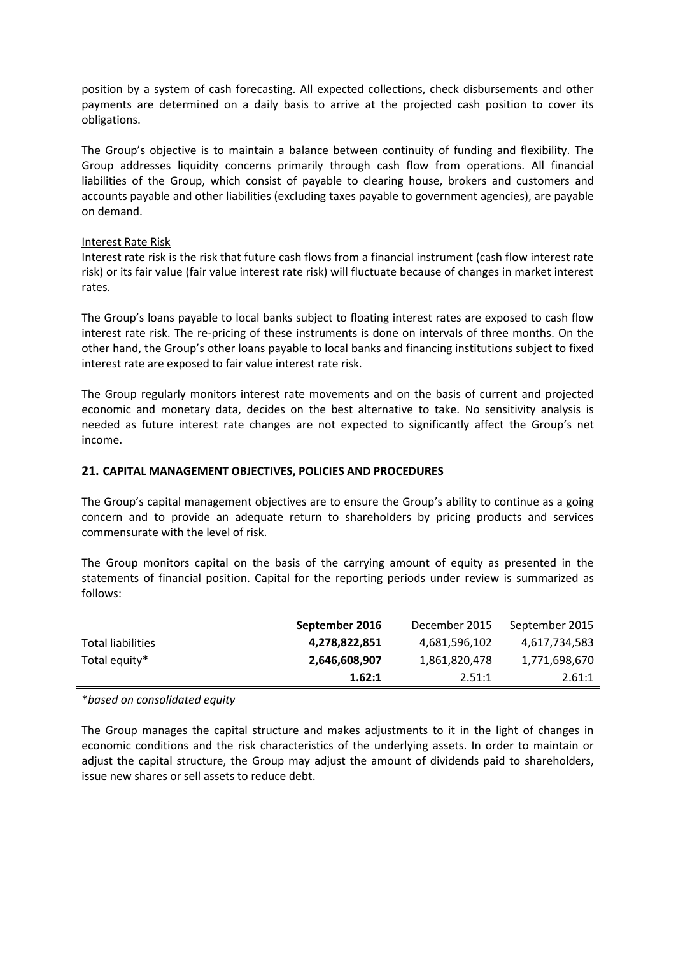position by a system of cash forecasting. All expected collections, check disbursements and other payments are determined on a daily basis to arrive at the projected cash position to cover its obligations.

The Group's objective is to maintain a balance between continuity of funding and flexibility. The Group addresses liquidity concerns primarily through cash flow from operations. All financial liabilities of the Group, which consist of payable to clearing house, brokers and customers and accounts payable and other liabilities (excluding taxes payable to government agencies), are payable on demand.

#### Interest Rate Risk

Interest rate risk is the risk that future cash flows from a financial instrument (cash flow interest rate risk) or its fair value (fair value interest rate risk) will fluctuate because of changes in market interest rates.

The Group's loans payable to local banks subject to floating interest rates are exposed to cash flow interest rate risk. The re-pricing of these instruments is done on intervals of three months. On the other hand, the Group's other loans payable to local banks and financing institutions subject to fixed interest rate are exposed to fair value interest rate risk.

The Group regularly monitors interest rate movements and on the basis of current and projected economic and monetary data, decides on the best alternative to take. No sensitivity analysis is needed as future interest rate changes are not expected to significantly affect the Group's net income.

# **21. CAPITAL MANAGEMENT OBJECTIVES, POLICIES AND PROCEDURES**

The Group's capital management objectives are to ensure the Group's ability to continue as a going concern and to provide an adequate return to shareholders by pricing products and services commensurate with the level of risk.

The Group monitors capital on the basis of the carrying amount of equity as presented in the statements of financial position. Capital for the reporting periods under review is summarized as follows:

|                          | September 2016 | December 2015 | September 2015 |
|--------------------------|----------------|---------------|----------------|
| <b>Total liabilities</b> | 4,278,822,851  | 4,681,596,102 | 4,617,734,583  |
| Total equity*            | 2,646,608,907  | 1,861,820,478 | 1,771,698,670  |
|                          | 1.62:1         | 2.51:1        | 2.61:1         |

\**based on consolidated equity*

The Group manages the capital structure and makes adjustments to it in the light of changes in economic conditions and the risk characteristics of the underlying assets. In order to maintain or adjust the capital structure, the Group may adjust the amount of dividends paid to shareholders, issue new shares or sell assets to reduce debt.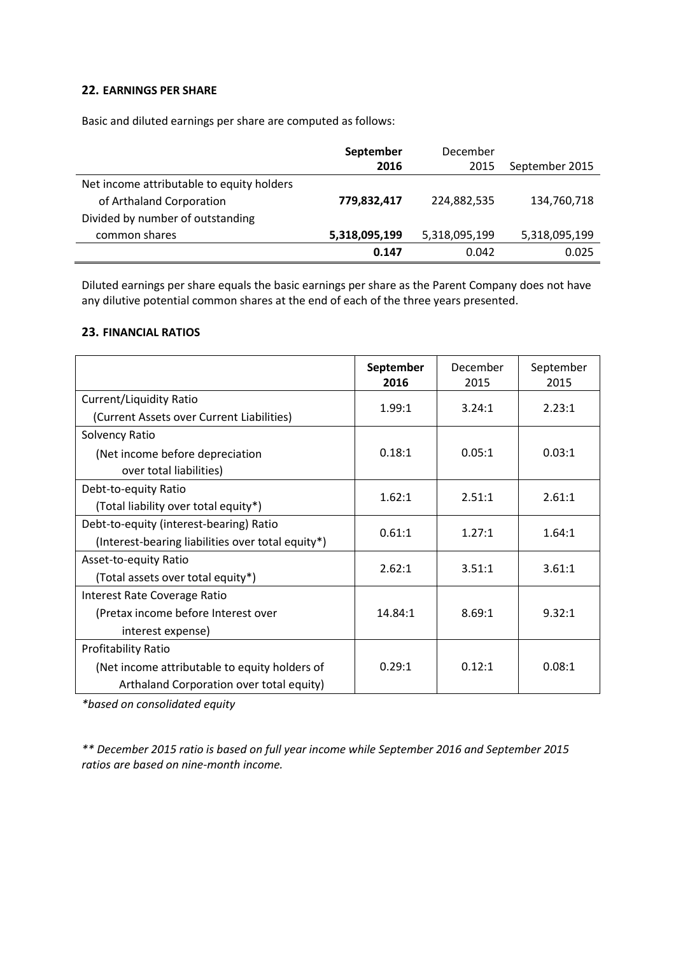# **22. EARNINGS PER SHARE**

Basic and diluted earnings per share are computed as follows:

|                                                                                                           | September<br>2016 | December<br>2015 | September 2015 |
|-----------------------------------------------------------------------------------------------------------|-------------------|------------------|----------------|
| Net income attributable to equity holders<br>of Arthaland Corporation<br>Divided by number of outstanding | 779,832,417       | 224,882,535      | 134,760,718    |
| common shares                                                                                             | 5,318,095,199     | 5,318,095,199    | 5,318,095,199  |
|                                                                                                           | 0.147             | 0.042            | 0.025          |

Diluted earnings per share equals the basic earnings per share as the Parent Company does not have any dilutive potential common shares at the end of each of the three years presented.

# **23. FINANCIAL RATIOS**

|                                                   | September<br>2016 | December<br>2015 | September<br>2015 |
|---------------------------------------------------|-------------------|------------------|-------------------|
| Current/Liquidity Ratio                           | 1.99:1            | 3.24:1           | 2.23:1            |
| (Current Assets over Current Liabilities)         |                   |                  |                   |
| Solvency Ratio                                    |                   |                  |                   |
| (Net income before depreciation                   | 0.18:1            | 0.05:1           | 0.03:1            |
| over total liabilities)                           |                   |                  |                   |
| Debt-to-equity Ratio                              | 1.62:1            | 2.51:1           | 2.61:1            |
| (Total liability over total equity*)              |                   |                  |                   |
| Debt-to-equity (interest-bearing) Ratio           | 0.61:1            | 1.27:1           | 1.64:1            |
| (Interest-bearing liabilities over total equity*) |                   |                  |                   |
| Asset-to-equity Ratio                             | 2.62:1            | 3.51:1           | 3.61:1            |
| (Total assets over total equity*)                 |                   |                  |                   |
| Interest Rate Coverage Ratio                      |                   |                  |                   |
| (Pretax income before Interest over               | 14.84:1           | 8.69:1           | 9.32:1            |
| interest expense)                                 |                   |                  |                   |
| <b>Profitability Ratio</b>                        |                   |                  |                   |
| (Net income attributable to equity holders of     | 0.29:1            | 0.12:1           | 0.08:1            |
| Arthaland Corporation over total equity)          |                   |                  |                   |

*\*based on consolidated equity*

*\*\* December 2015 ratio is based on full year income while September 2016 and September 2015 ratios are based on nine-month income.*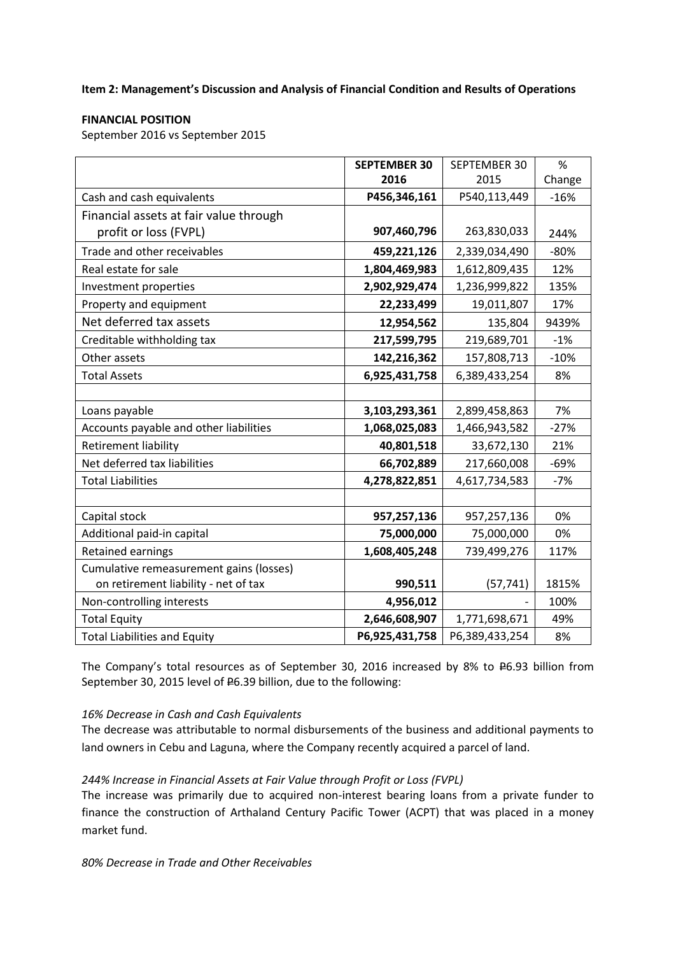**Item 2: Management's Discussion and Analysis of Financial Condition and Results of Operations**

# **FINANCIAL POSITION**

September 2016 vs September 2015

|                                         | <b>SEPTEMBER 30</b> | SEPTEMBER 30   | %      |
|-----------------------------------------|---------------------|----------------|--------|
|                                         | 2016                | 2015           | Change |
| Cash and cash equivalents               | P456,346,161        | P540,113,449   | $-16%$ |
| Financial assets at fair value through  |                     |                |        |
| profit or loss (FVPL)                   | 907,460,796         | 263,830,033    | 244%   |
| Trade and other receivables             | 459,221,126         | 2,339,034,490  | $-80%$ |
| Real estate for sale                    | 1,804,469,983       | 1,612,809,435  | 12%    |
| Investment properties                   | 2,902,929,474       | 1,236,999,822  | 135%   |
| Property and equipment                  | 22,233,499          | 19,011,807     | 17%    |
| Net deferred tax assets                 | 12,954,562          | 135,804        | 9439%  |
| Creditable withholding tax              | 217,599,795         | 219,689,701    | $-1%$  |
| Other assets                            | 142,216,362         | 157,808,713    | $-10%$ |
| <b>Total Assets</b>                     | 6,925,431,758       | 6,389,433,254  | 8%     |
|                                         |                     |                |        |
| Loans payable                           | 3,103,293,361       | 2,899,458,863  | 7%     |
| Accounts payable and other liabilities  | 1,068,025,083       | 1,466,943,582  | $-27%$ |
| <b>Retirement liability</b>             | 40,801,518          | 33,672,130     | 21%    |
| Net deferred tax liabilities            | 66,702,889          | 217,660,008    | $-69%$ |
| <b>Total Liabilities</b>                | 4,278,822,851       | 4,617,734,583  | $-7%$  |
|                                         |                     |                |        |
| Capital stock                           | 957,257,136         | 957,257,136    | 0%     |
| Additional paid-in capital              | 75,000,000          | 75,000,000     | 0%     |
| <b>Retained earnings</b>                | 1,608,405,248       | 739,499,276    | 117%   |
| Cumulative remeasurement gains (losses) |                     |                |        |
| on retirement liability - net of tax    | 990,511             | (57, 741)      | 1815%  |
| Non-controlling interests               | 4,956,012           |                | 100%   |
| <b>Total Equity</b>                     | 2,646,608,907       | 1,771,698,671  | 49%    |
| <b>Total Liabilities and Equity</b>     | P6,925,431,758      | P6,389,433,254 | 8%     |

The Company's total resources as of September 30, 2016 increased by 8% to  $E6.93$  billion from September 30, 2015 level of <del>P</del>6.39 billion, due to the following:

# *16% Decrease in Cash and Cash Equivalents*

The decrease was attributable to normal disbursements of the business and additional payments to land owners in Cebu and Laguna, where the Company recently acquired a parcel of land.

# *244% Increase in Financial Assets at Fair Value through Profit or Loss (FVPL)*

The increase was primarily due to acquired non-interest bearing loans from a private funder to finance the construction of Arthaland Century Pacific Tower (ACPT) that was placed in a money market fund.

*80% Decrease in Trade and Other Receivables*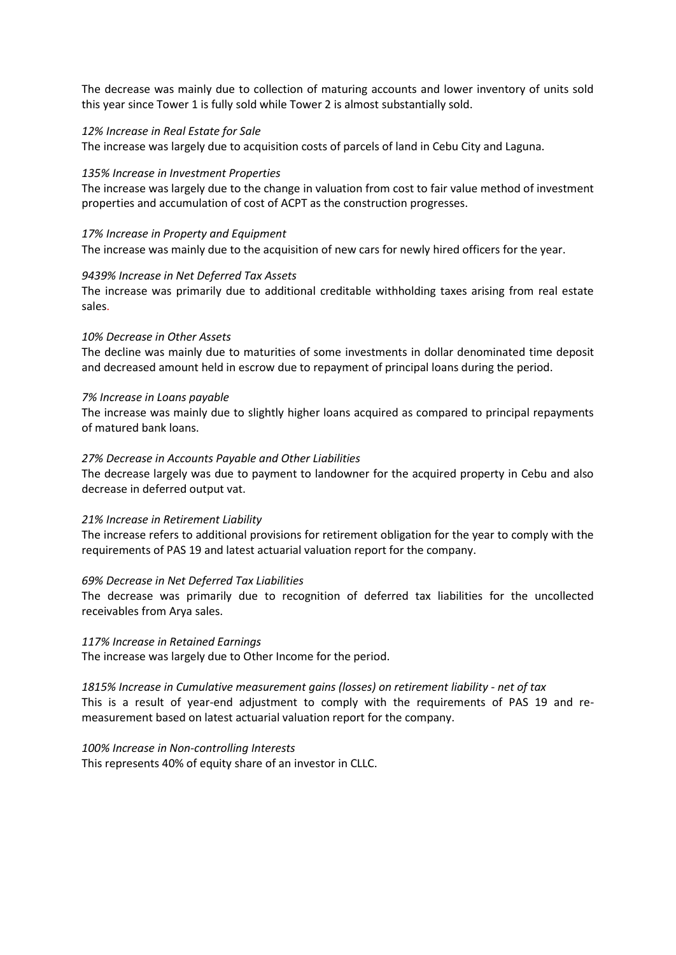The decrease was mainly due to collection of maturing accounts and lower inventory of units sold this year since Tower 1 is fully sold while Tower 2 is almost substantially sold.

#### *12% Increase in Real Estate for Sale*

The increase was largely due to acquisition costs of parcels of land in Cebu City and Laguna.

#### *135% Increase in Investment Properties*

The increase was largely due to the change in valuation from cost to fair value method of investment properties and accumulation of cost of ACPT as the construction progresses.

*17% Increase in Property and Equipment* The increase was mainly due to the acquisition of new cars for newly hired officers for the year.

#### *9439% Increase in Net Deferred Tax Assets*

The increase was primarily due to additional creditable withholding taxes arising from real estate sales.

#### *10% Decrease in Other Assets*

The decline was mainly due to maturities of some investments in dollar denominated time deposit and decreased amount held in escrow due to repayment of principal loans during the period.

#### *7% Increase in Loans payable*

The increase was mainly due to slightly higher loans acquired as compared to principal repayments of matured bank loans.

#### *27% Decrease in Accounts Payable and Other Liabilities*

The decrease largely was due to payment to landowner for the acquired property in Cebu and also decrease in deferred output vat.

#### *21% Increase in Retirement Liability*

The increase refers to additional provisions for retirement obligation for the year to comply with the requirements of PAS 19 and latest actuarial valuation report for the company.

#### *69% Decrease in Net Deferred Tax Liabilities*

The decrease was primarily due to recognition of deferred tax liabilities for the uncollected receivables from Arya sales.

# *117% Increase in Retained Earnings*

The increase was largely due to Other Income for the period.

#### *1815% Increase in Cumulative measurement gains (losses) on retirement liability - net of tax*

This is a result of year-end adjustment to comply with the requirements of PAS 19 and remeasurement based on latest actuarial valuation report for the company.

#### *100% Increase in Non-controlling Interests*

This represents 40% of equity share of an investor in CLLC.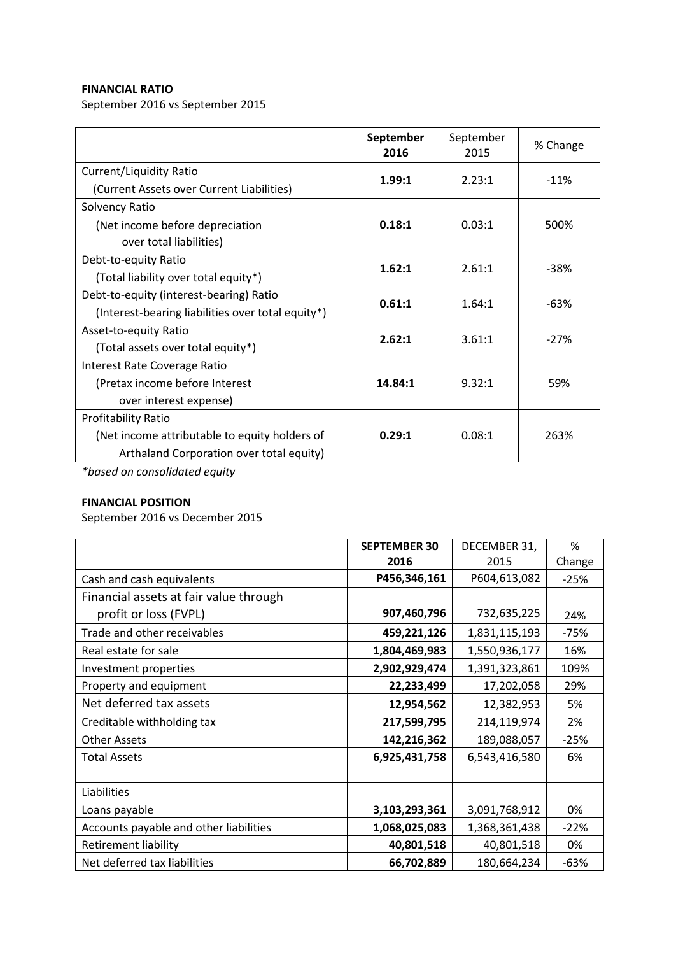# **FINANCIAL RATIO**

September 2016 vs September 2015

|                                                   | September<br>2016 | September<br>2015 | % Change |
|---------------------------------------------------|-------------------|-------------------|----------|
| Current/Liquidity Ratio                           | 1.99:1            | 2.23:1            | $-11%$   |
| (Current Assets over Current Liabilities)         |                   |                   |          |
| Solvency Ratio                                    |                   |                   |          |
| (Net income before depreciation                   | 0.18:1            | 0.03:1            | 500%     |
| over total liabilities)                           |                   |                   |          |
| Debt-to-equity Ratio                              | 1.62:1            | 2.61:1            | $-38%$   |
| (Total liability over total equity*)              |                   |                   |          |
| Debt-to-equity (interest-bearing) Ratio           | 0.61:1            | 1.64:1            | -63%     |
| (Interest-bearing liabilities over total equity*) |                   |                   |          |
| Asset-to-equity Ratio                             | 2.62:1            | 3.61:1            | $-27%$   |
| (Total assets over total equity*)                 |                   |                   |          |
| Interest Rate Coverage Ratio                      |                   |                   |          |
| (Pretax income before Interest                    | 14.84:1           | 9.32:1            | 59%      |
| over interest expense)                            |                   |                   |          |
| <b>Profitability Ratio</b>                        |                   |                   |          |
| (Net income attributable to equity holders of     | 0.29:1            | 0.08:1            | 263%     |
| Arthaland Corporation over total equity)          |                   |                   |          |

*\*based on consolidated equity*

# **FINANCIAL POSITION**

September 2016 vs December 2015

|                                        | <b>SEPTEMBER 30</b> | DECEMBER 31,  | ℅      |
|----------------------------------------|---------------------|---------------|--------|
|                                        | 2016                | 2015          | Change |
| Cash and cash equivalents              | P456,346,161        | P604,613,082  | $-25%$ |
| Financial assets at fair value through |                     |               |        |
| profit or loss (FVPL)                  | 907,460,796         | 732,635,225   | 24%    |
| Trade and other receivables            | 459,221,126         | 1,831,115,193 | $-75%$ |
| Real estate for sale                   | 1,804,469,983       | 1,550,936,177 | 16%    |
| Investment properties                  | 2,902,929,474       | 1,391,323,861 | 109%   |
| Property and equipment                 | 22,233,499          | 17,202,058    | 29%    |
| Net deferred tax assets                | 12,954,562          | 12,382,953    | 5%     |
| Creditable withholding tax             | 217,599,795         | 214,119,974   | 2%     |
| <b>Other Assets</b>                    | 142,216,362         | 189,088,057   | $-25%$ |
| <b>Total Assets</b>                    | 6,925,431,758       | 6,543,416,580 | 6%     |
|                                        |                     |               |        |
| Liabilities                            |                     |               |        |
| Loans payable                          | 3,103,293,361       | 3,091,768,912 | 0%     |
| Accounts payable and other liabilities | 1,068,025,083       | 1,368,361,438 | $-22%$ |
| <b>Retirement liability</b>            | 40,801,518          | 40,801,518    | 0%     |
| Net deferred tax liabilities           | 66,702,889          | 180,664,234   | $-63%$ |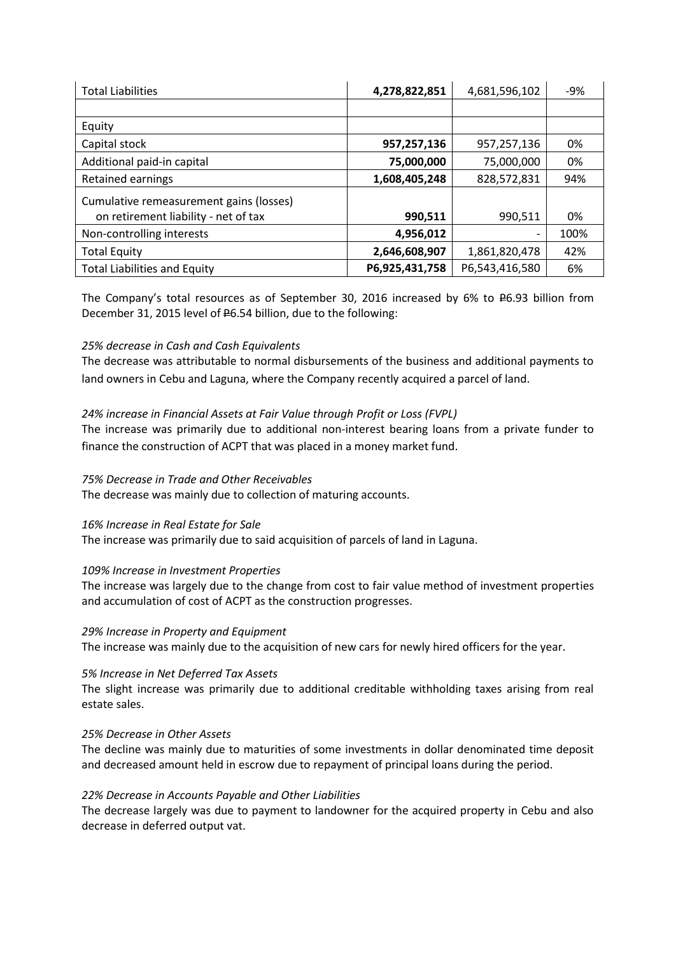| <b>Total Liabilities</b>                | 4,278,822,851  | 4,681,596,102  | $-9%$ |
|-----------------------------------------|----------------|----------------|-------|
|                                         |                |                |       |
| Equity                                  |                |                |       |
| Capital stock                           | 957,257,136    | 957,257,136    | 0%    |
| Additional paid-in capital              | 75,000,000     | 75,000,000     | 0%    |
| Retained earnings                       | 1,608,405,248  | 828,572,831    | 94%   |
| Cumulative remeasurement gains (losses) |                |                |       |
| on retirement liability - net of tax    | 990,511        | 990,511        | 0%    |
| Non-controlling interests               | 4,956,012      |                | 100%  |
| <b>Total Equity</b>                     | 2,646,608,907  | 1,861,820,478  | 42%   |
| <b>Total Liabilities and Equity</b>     | P6,925,431,758 | P6,543,416,580 | 6%    |

The Company's total resources as of September 30, 2016 increased by 6% to P6.93 billion from December 31, 2015 level of <del>P</del>6.54 billion, due to the following:

# *25% decrease in Cash and Cash Equivalents*

The decrease was attributable to normal disbursements of the business and additional payments to land owners in Cebu and Laguna, where the Company recently acquired a parcel of land.

# *24% increase in Financial Assets at Fair Value through Profit or Loss (FVPL)*

The increase was primarily due to additional non-interest bearing loans from a private funder to finance the construction of ACPT that was placed in a money market fund.

# *75% Decrease in Trade and Other Receivables*

The decrease was mainly due to collection of maturing accounts.

# *16% Increase in Real Estate for Sale*

The increase was primarily due to said acquisition of parcels of land in Laguna.

# *109% Increase in Investment Properties*

The increase was largely due to the change from cost to fair value method of investment properties and accumulation of cost of ACPT as the construction progresses.

# *29% Increase in Property and Equipment*

The increase was mainly due to the acquisition of new cars for newly hired officers for the year.

# *5% Increase in Net Deferred Tax Assets*

The slight increase was primarily due to additional creditable withholding taxes arising from real estate sales.

# *25% Decrease in Other Assets*

The decline was mainly due to maturities of some investments in dollar denominated time deposit and decreased amount held in escrow due to repayment of principal loans during the period.

# *22% Decrease in Accounts Payable and Other Liabilities*

The decrease largely was due to payment to landowner for the acquired property in Cebu and also decrease in deferred output vat.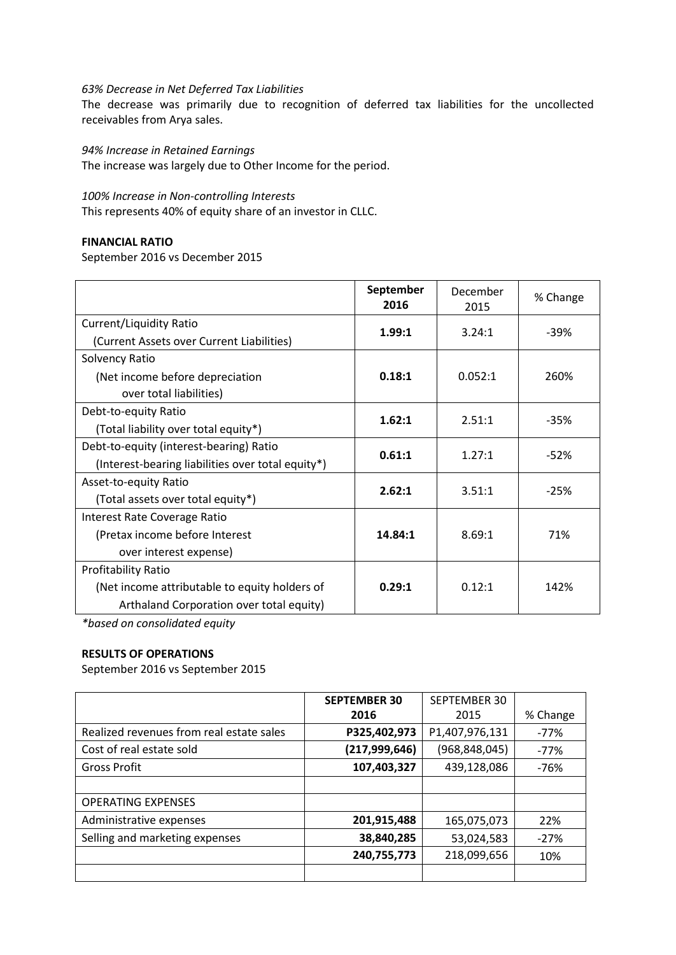#### *63% Decrease in Net Deferred Tax Liabilities*

The decrease was primarily due to recognition of deferred tax liabilities for the uncollected receivables from Arya sales.

*94% Increase in Retained Earnings*

The increase was largely due to Other Income for the period.

#### *100% Increase in Non-controlling Interests*

This represents 40% of equity share of an investor in CLLC.

# **FINANCIAL RATIO**

September 2016 vs December 2015

|                                                   | September<br>2016 | December<br>2015 | % Change |
|---------------------------------------------------|-------------------|------------------|----------|
| Current/Liquidity Ratio                           | 1.99:1            | 3.24:1           | $-39%$   |
| (Current Assets over Current Liabilities)         |                   |                  |          |
| Solvency Ratio                                    |                   |                  |          |
| (Net income before depreciation                   | 0.18:1            | 0.052:1          | 260%     |
| over total liabilities)                           |                   |                  |          |
| Debt-to-equity Ratio                              | 1.62:1            | 2.51:1           | $-35%$   |
| (Total liability over total equity*)              |                   |                  |          |
| Debt-to-equity (interest-bearing) Ratio           | 0.61:1            | 1.27:1           | $-52%$   |
| (Interest-bearing liabilities over total equity*) |                   |                  |          |
| Asset-to-equity Ratio                             | 2.62:1            | 3.51:1           | $-25%$   |
| (Total assets over total equity*)                 |                   |                  |          |
| Interest Rate Coverage Ratio                      |                   |                  |          |
| (Pretax income before Interest                    | 14.84:1           | 8.69:1           | 71%      |
| over interest expense)                            |                   |                  |          |
| <b>Profitability Ratio</b>                        |                   |                  |          |
| (Net income attributable to equity holders of     | 0.29:1            | 0.12:1           | 142%     |
| Arthaland Corporation over total equity)          |                   |                  |          |

*\*based on consolidated equity*

# **RESULTS OF OPERATIONS**

September 2016 vs September 2015

|                                          | <b>SEPTEMBER 30</b> | SEPTEMBER 30    |          |
|------------------------------------------|---------------------|-----------------|----------|
|                                          | 2016                | 2015            | % Change |
| Realized revenues from real estate sales | P325,402,973        | P1,407,976,131  | -77%     |
| Cost of real estate sold                 | (217,999,646)       | (968, 848, 045) | -77%     |
| <b>Gross Profit</b>                      | 107,403,327         | 439,128,086     | $-76%$   |
|                                          |                     |                 |          |
| <b>OPERATING EXPENSES</b>                |                     |                 |          |
| Administrative expenses                  | 201,915,488         | 165,075,073     | 22%      |
| Selling and marketing expenses           | 38,840,285          | 53,024,583      | $-27%$   |
|                                          | 240,755,773         | 218,099,656     | 10%      |
|                                          |                     |                 |          |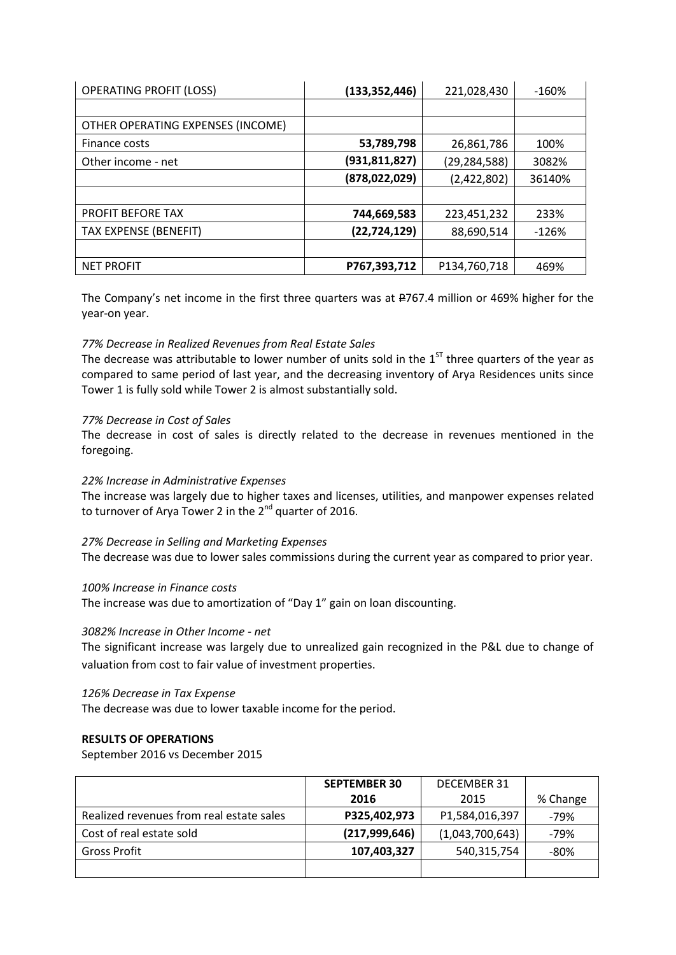| <b>OPERATING PROFIT (LOSS)</b>    | (133, 352, 446) | 221,028,430    | $-160%$ |
|-----------------------------------|-----------------|----------------|---------|
|                                   |                 |                |         |
| OTHER OPERATING EXPENSES (INCOME) |                 |                |         |
| Finance costs                     | 53,789,798      | 26,861,786     | 100%    |
| Other income - net                | (931,811,827)   | (29, 284, 588) | 3082%   |
|                                   | (878,022,029)   | (2,422,802)    | 36140%  |
|                                   |                 |                |         |
| PROFIT BEFORE TAX                 | 744,669,583     | 223,451,232    | 233%    |
| <b>TAX EXPENSE (BENEFIT)</b>      | (22, 724, 129)  | 88,690,514     | $-126%$ |
|                                   |                 |                |         |
| <b>NET PROFIT</b>                 | P767,393,712    | P134,760,718   | 469%    |

The Company's net income in the first three quarters was at #767.4 million or 469% higher for the year-on year.

# *77% Decrease in Realized Revenues from Real Estate Sales*

The decrease was attributable to lower number of units sold in the  $1<sup>ST</sup>$  three quarters of the year as compared to same period of last year, and the decreasing inventory of Arya Residences units since Tower 1 is fully sold while Tower 2 is almost substantially sold.

# *77% Decrease in Cost of Sales*

The decrease in cost of sales is directly related to the decrease in revenues mentioned in the foregoing.

# *22% Increase in Administrative Expenses*

The increase was largely due to higher taxes and licenses, utilities, and manpower expenses related to turnover of Arya Tower 2 in the  $2^{nd}$  quarter of 2016.

# *27% Decrease in Selling and Marketing Expenses*

The decrease was due to lower sales commissions during the current year as compared to prior year.

# *100% Increase in Finance costs*

The increase was due to amortization of "Day 1" gain on loan discounting.

# *3082% Increase in Other Income - net*

The significant increase was largely due to unrealized gain recognized in the P&L due to change of valuation from cost to fair value of investment properties.

# *126% Decrease in Tax Expense*

The decrease was due to lower taxable income for the period.

# **RESULTS OF OPERATIONS**

September 2016 vs December 2015

|                                          | <b>SEPTEMBER 30</b> | <b>DECEMBER 31</b> |          |
|------------------------------------------|---------------------|--------------------|----------|
|                                          | 2016                | 2015               | % Change |
| Realized revenues from real estate sales | P325,402,973        | P1,584,016,397     | -79%     |
| Cost of real estate sold                 | (217,999,646)       | (1,043,700,643)    | -79%     |
| <b>Gross Profit</b>                      | 107,403,327         | 540,315,754        | -80%     |
|                                          |                     |                    |          |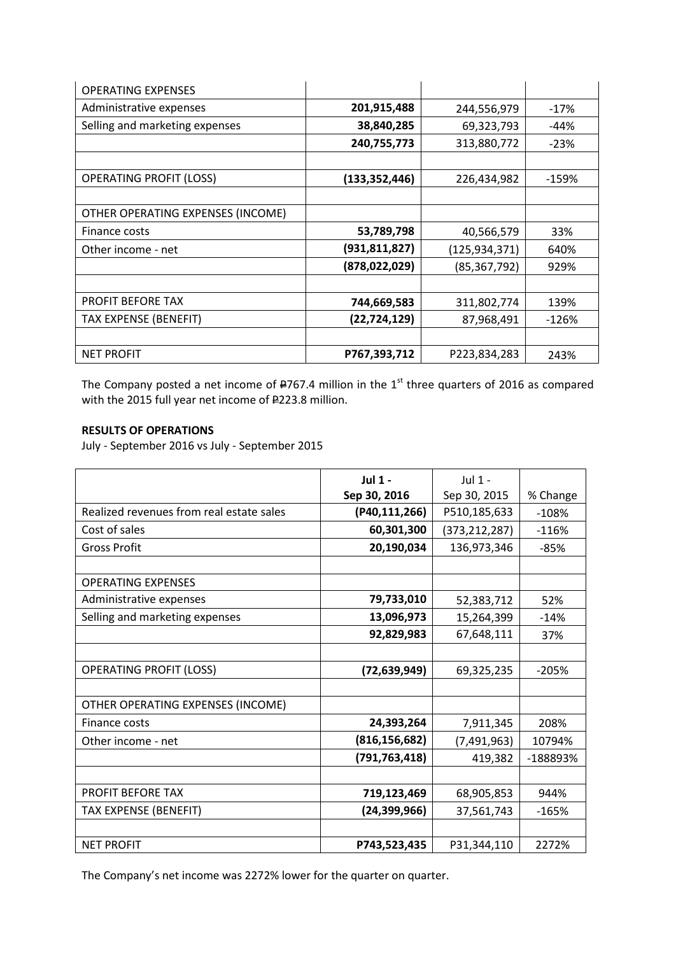| <b>OPERATING EXPENSES</b>         |                 |                |         |
|-----------------------------------|-----------------|----------------|---------|
| Administrative expenses           | 201,915,488     | 244,556,979    | -17%    |
| Selling and marketing expenses    | 38,840,285      | 69,323,793     | -44%    |
|                                   | 240,755,773     | 313,880,772    | $-23%$  |
|                                   |                 |                |         |
| <b>OPERATING PROFIT (LOSS)</b>    | (133, 352, 446) | 226,434,982    | $-159%$ |
|                                   |                 |                |         |
| OTHER OPERATING EXPENSES (INCOME) |                 |                |         |
| Finance costs                     | 53,789,798      | 40,566,579     | 33%     |
| Other income - net                | (931, 811, 827) | (125,934,371)  | 640%    |
|                                   | (878,022,029)   | (85, 367, 792) | 929%    |
|                                   |                 |                |         |
| <b>PROFIT BEFORE TAX</b>          | 744,669,583     | 311,802,774    | 139%    |
| <b>TAX EXPENSE (BENEFIT)</b>      | (22,724,129)    | 87,968,491     | $-126%$ |
|                                   |                 |                |         |
| <b>NET PROFIT</b>                 | P767,393,712    | P223,834,283   | 243%    |

The Company posted a net income of  $\textsf{\textbf{4767}}.4$  million in the  $1^\text{st}$  three quarters of 2016 as compared with the 2015 full year net income of #223.8 million.

# **RESULTS OF OPERATIONS**

July - September 2016 vs July - September 2015

|                                          | $Jul$ 1 -       | $J$ ul 1 -      |          |
|------------------------------------------|-----------------|-----------------|----------|
|                                          | Sep 30, 2016    | Sep 30, 2015    | % Change |
| Realized revenues from real estate sales | (P40,111,266)   | P510,185,633    | $-108%$  |
| Cost of sales                            | 60,301,300      | (373, 212, 287) | $-116%$  |
| <b>Gross Profit</b>                      | 20,190,034      | 136,973,346     | $-85%$   |
|                                          |                 |                 |          |
| <b>OPERATING EXPENSES</b>                |                 |                 |          |
| Administrative expenses                  | 79,733,010      | 52,383,712      | 52%      |
| Selling and marketing expenses           | 13,096,973      | 15,264,399      | $-14%$   |
|                                          | 92,829,983      | 67,648,111      | 37%      |
|                                          |                 |                 |          |
| <b>OPERATING PROFIT (LOSS)</b>           | (72,639,949)    | 69,325,235      | $-205%$  |
|                                          |                 |                 |          |
| OTHER OPERATING EXPENSES (INCOME)        |                 |                 |          |
| Finance costs                            | 24,393,264      | 7,911,345       | 208%     |
| Other income - net                       | (816, 156, 682) | (7, 491, 963)   | 10794%   |
|                                          | (791, 763, 418) | 419,382         | -188893% |
|                                          |                 |                 |          |
| <b>PROFIT BEFORE TAX</b>                 | 719,123,469     | 68,905,853      | 944%     |
| <b>TAX EXPENSE (BENEFIT)</b>             | (24, 399, 966)  | 37,561,743      | $-165%$  |
|                                          |                 |                 |          |
| <b>NET PROFIT</b>                        | P743,523,435    | P31,344,110     | 2272%    |

The Company's net income was 2272% lower for the quarter on quarter.